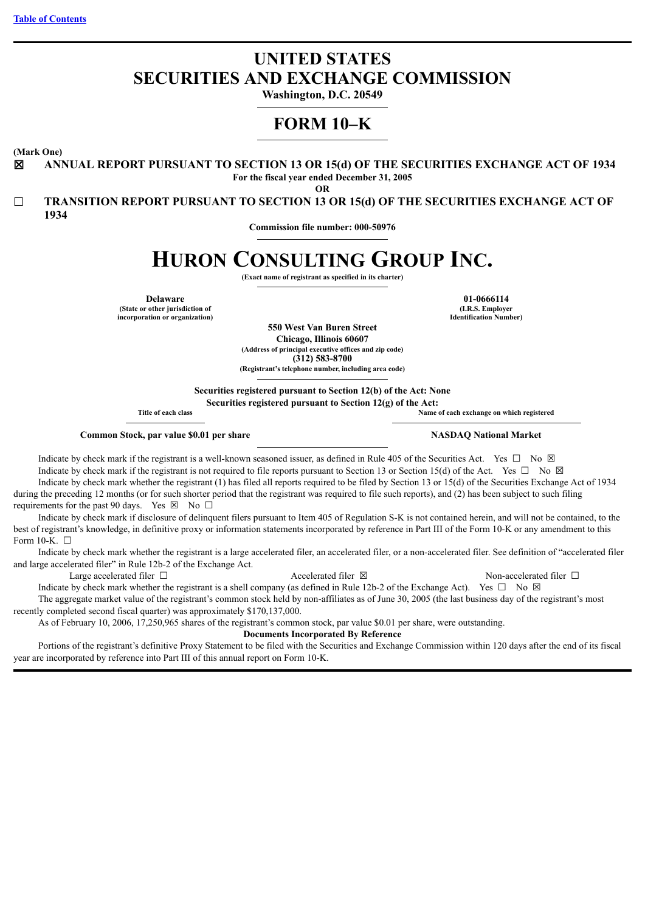# **UNITED STATES SECURITIES AND EXCHANGE COMMISSION**

**Washington, D.C. 20549**

# **FORM 10–K**

**(Mark One)**

☒ **ANNUAL REPORT PURSUANT TO SECTION 13 OR 15(d) OF THE SECURITIES EXCHANGE ACT OF 1934 For the fiscal year ended December 31, 2005**

**OR**

☐ **TRANSITION REPORT PURSUANT TO SECTION 13 OR 15(d) OF THE SECURITIES EXCHANGE ACT OF 1934**

**Commission file number: 000-50976**

# **HURON CONSULTING GROUP INC.**

**(Exact name of registrant as specified in its charter)**

**(State or other jurisdiction of incorporation or organization)**

**Delaware 01-0666114 (I.R.S. Employer Identification Number)**

> **550 West Van Buren Street Chicago, Illinois 60607 (Address of principal executive offices and zip code) (312) 583-8700 (Registrant's telephone number, including area code)**

**Securities registered pursuant to Section 12(b) of the Act: None**

**Securities registered pursuant to Section 12(g) of the Act:**

**Title of each class Name of each exchange on which registered**

**Common Stock, par value \$0.01 per share NASDAQ National Market**

Indicate by check mark if the registrant is a well-known seasoned issuer, as defined in Rule 405 of the Securities Act. Yes  $\Box$  No  $\boxtimes$ Indicate by check mark if the registrant is not required to file reports pursuant to Section 13 or Section 15(d) of the Act. Yes  $\square$  No  $\boxtimes$ Indicate by check mark whether the registrant (1) has filed all reports required to be filed by Section 13 or 15(d) of the Securities Exchange Act of 1934

during the preceding 12 months (or for such shorter period that the registrant was required to file such reports), and (2) has been subject to such filing requirements for the past 90 days. Yes  $\boxtimes$  No  $\Box$ 

Indicate by check mark if disclosure of delinquent filers pursuant to Item 405 of Regulation S-K is not contained herein, and will not be contained, to the best of registrant's knowledge, in definitive proxy or information statements incorporated by reference in Part III of the Form 10-K or any amendment to this Form  $10-K$ .  $\Box$ 

Indicate by check mark whether the registrant is a large accelerated filer, an accelerated filer, or a non-accelerated filer. See definition of "accelerated filer and large accelerated filer" in Rule 12b-2 of the Exchange Act.

Large accelerated filer □ Accelerated filer □ Accelerated filer ⊠ Non-accelerated filer □

Indicate by check mark whether the registrant is a shell company (as defined in Rule 12b-2 of the Exchange Act). Yes  $\Box$  No  $\boxtimes$ The aggregate market value of the registrant's common stock held by non-affiliates as of June 30, 2005 (the last business day of the registrant's most recently completed second fiscal quarter) was approximately \$170,137,000.

As of February 10, 2006, 17,250,965 shares of the registrant's common stock, par value \$0.01 per share, were outstanding.

**Documents Incorporated By Reference**

Portions of the registrant's definitive Proxy Statement to be filed with the Securities and Exchange Commission within 120 days after the end of its fiscal year are incorporated by reference into Part III of this annual report on Form 10-K.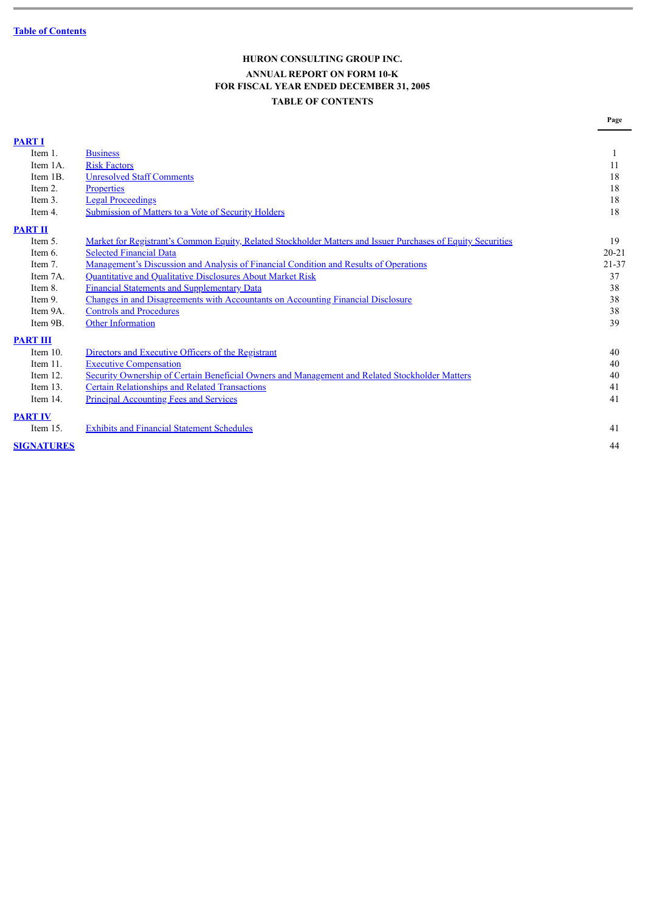# **HURON CONSULTING GROUP INC. ANNUAL REPORT ON FORM 10-K FOR FISCAL YEAR ENDED DECEMBER 31, 2005**

# **TABLE OF CONTENTS**

**Page**

<span id="page-1-0"></span>

| <b>PART I</b>     |                                                                                                              |           |
|-------------------|--------------------------------------------------------------------------------------------------------------|-----------|
| Item 1.           | <b>Business</b>                                                                                              |           |
| Item 1A.          | <b>Risk Factors</b>                                                                                          | 11        |
| Item 1B.          | <b>Unresolved Staff Comments</b>                                                                             | 18        |
| Item 2.           | <b>Properties</b>                                                                                            | 18        |
| Item 3.           | <b>Legal Proceedings</b>                                                                                     | 18        |
| Item 4.           | <b>Submission of Matters to a Vote of Security Holders</b>                                                   | 18        |
| <b>PART II</b>    |                                                                                                              |           |
| Item 5.           | Market for Registrant's Common Equity, Related Stockholder Matters and Issuer Purchases of Equity Securities | 19        |
| Item 6.           | <b>Selected Financial Data</b>                                                                               | $20 - 21$ |
| Item 7.           | Management's Discussion and Analysis of Financial Condition and Results of Operations                        | 21-37     |
| Item 7A.          | Quantitative and Qualitative Disclosures About Market Risk                                                   | 37        |
| Item 8.           | <b>Financial Statements and Supplementary Data</b>                                                           | 38        |
| Item 9.           | Changes in and Disagreements with Accountants on Accounting Financial Disclosure                             | 38        |
| Item 9A.          | <b>Controls and Procedures</b>                                                                               | 38        |
| Item 9B.          | Other Information                                                                                            | 39        |
| <b>PART III</b>   |                                                                                                              |           |
| Item $10$ .       | Directors and Executive Officers of the Registrant                                                           | 40        |
| Item 11.          | <b>Executive Compensation</b>                                                                                | 40        |
| Item 12.          | <b>Security Ownership of Certain Beneficial Owners and Management and Related Stockholder Matters</b>        | 40        |
| Item $13$ .       | <b>Certain Relationships and Related Transactions</b>                                                        | 41        |
| Item 14.          | <b>Principal Accounting Fees and Services</b>                                                                | 41        |
| <b>PART IV</b>    |                                                                                                              |           |
| Item 15.          | <b>Exhibits and Financial Statement Schedules</b>                                                            | 41        |
| <b>SIGNATURES</b> |                                                                                                              | 44        |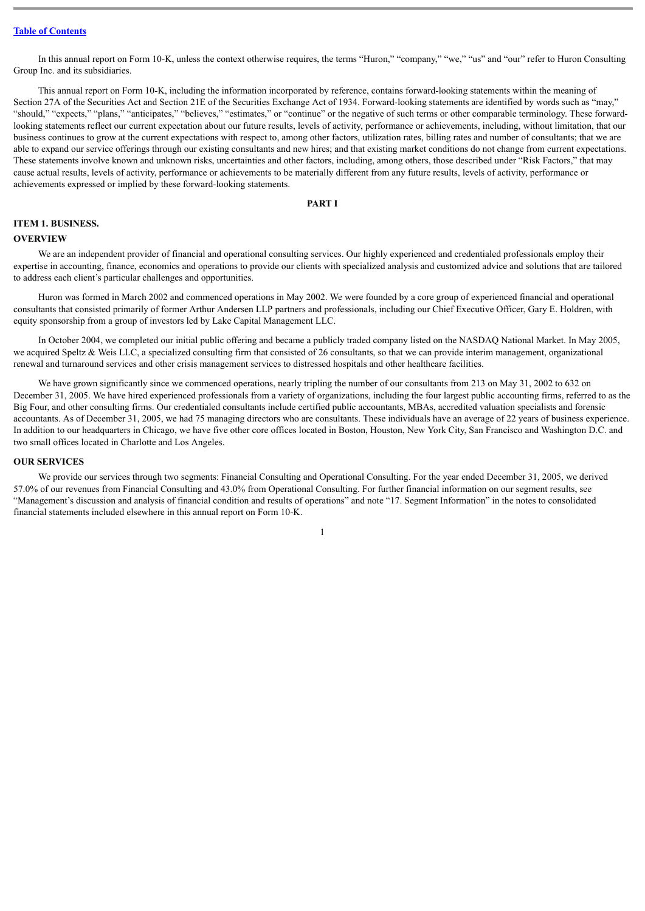In this annual report on Form 10-K, unless the context otherwise requires, the terms "Huron," "company," "we," "us" and "our" refer to Huron Consulting Group Inc. and its subsidiaries.

This annual report on Form 10-K, including the information incorporated by reference, contains forward-looking statements within the meaning of Section 27A of the Securities Act and Section 21E of the Securities Exchange Act of 1934. Forward-looking statements are identified by words such as "may," "should," "expects," "plans," "anticipates," "believes," "estimates," or "continue" or the negative of such terms or other comparable terminology. These forwardlooking statements reflect our current expectation about our future results, levels of activity, performance or achievements, including, without limitation, that our business continues to grow at the current expectations with respect to, among other factors, utilization rates, billing rates and number of consultants; that we are able to expand our service offerings through our existing consultants and new hires; and that existing market conditions do not change from current expectations. These statements involve known and unknown risks, uncertainties and other factors, including, among others, those described under "Risk Factors," that may cause actual results, levels of activity, performance or achievements to be materially different from any future results, levels of activity, performance or achievements expressed or implied by these forward-looking statements.

#### **PART I**

# <span id="page-2-1"></span><span id="page-2-0"></span>**ITEM 1. BUSINESS. OVERVIEW**

We are an independent provider of financial and operational consulting services. Our highly experienced and credentialed professionals employ their expertise in accounting, finance, economics and operations to provide our clients with specialized analysis and customized advice and solutions that are tailored to address each client's particular challenges and opportunities.

Huron was formed in March 2002 and commenced operations in May 2002. We were founded by a core group of experienced financial and operational consultants that consisted primarily of former Arthur Andersen LLP partners and professionals, including our Chief Executive Officer, Gary E. Holdren, with equity sponsorship from a group of investors led by Lake Capital Management LLC.

In October 2004, we completed our initial public offering and became a publicly traded company listed on the NASDAQ National Market. In May 2005, we acquired Speltz & Weis LLC, a specialized consulting firm that consisted of 26 consultants, so that we can provide interim management, organizational renewal and turnaround services and other crisis management services to distressed hospitals and other healthcare facilities.

We have grown significantly since we commenced operations, nearly tripling the number of our consultants from 213 on May 31, 2002 to 632 on December 31, 2005. We have hired experienced professionals from a variety of organizations, including the four largest public accounting firms, referred to as the Big Four, and other consulting firms. Our credentialed consultants include certified public accountants, MBAs, accredited valuation specialists and forensic accountants. As of December 31, 2005, we had 75 managing directors who are consultants. These individuals have an average of 22 years of business experience. In addition to our headquarters in Chicago, we have five other core offices located in Boston, Houston, New York City, San Francisco and Washington D.C. and two small offices located in Charlotte and Los Angeles.

#### **OUR SERVICES**

We provide our services through two segments: Financial Consulting and Operational Consulting. For the year ended December 31, 2005, we derived 57.0% of our revenues from Financial Consulting and 43.0% from Operational Consulting. For further financial information on our segment results, see "Management's discussion and analysis of financial condition and results of operations" and note "17. Segment Information" in the notes to consolidated financial statements included elsewhere in this annual report on Form 10-K.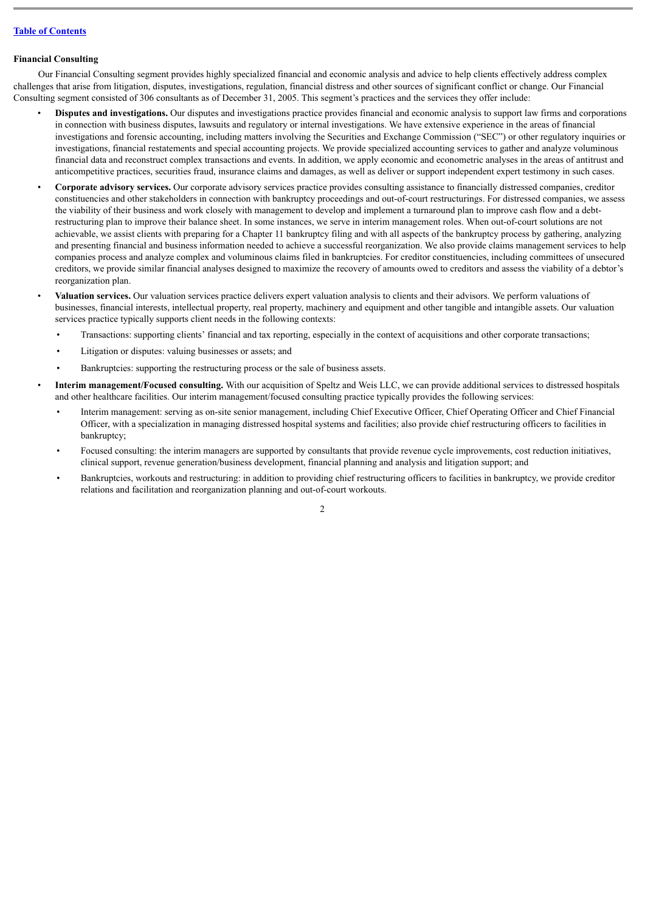#### **Financial Consulting**

Our Financial Consulting segment provides highly specialized financial and economic analysis and advice to help clients effectively address complex challenges that arise from litigation, disputes, investigations, regulation, financial distress and other sources of significant conflict or change. Our Financial Consulting segment consisted of 306 consultants as of December 31, 2005. This segment's practices and the services they offer include:

- **Disputes and investigations.** Our disputes and investigations practice provides financial and economic analysis to support law firms and corporations in connection with business disputes, lawsuits and regulatory or internal investigations. We have extensive experience in the areas of financial investigations and forensic accounting, including matters involving the Securities and Exchange Commission ("SEC") or other regulatory inquiries or investigations, financial restatements and special accounting projects. We provide specialized accounting services to gather and analyze voluminous financial data and reconstruct complex transactions and events. In addition, we apply economic and econometric analyses in the areas of antitrust and anticompetitive practices, securities fraud, insurance claims and damages, as well as deliver or support independent expert testimony in such cases.
- **Corporate advisory services.** Our corporate advisory services practice provides consulting assistance to financially distressed companies, creditor constituencies and other stakeholders in connection with bankruptcy proceedings and out-of-court restructurings. For distressed companies, we assess the viability of their business and work closely with management to develop and implement a turnaround plan to improve cash flow and a debtrestructuring plan to improve their balance sheet. In some instances, we serve in interim management roles. When out-of-court solutions are not achievable, we assist clients with preparing for a Chapter 11 bankruptcy filing and with all aspects of the bankruptcy process by gathering, analyzing and presenting financial and business information needed to achieve a successful reorganization. We also provide claims management services to help companies process and analyze complex and voluminous claims filed in bankruptcies. For creditor constituencies, including committees of unsecured creditors, we provide similar financial analyses designed to maximize the recovery of amounts owed to creditors and assess the viability of a debtor's reorganization plan.
- **Valuation services.** Our valuation services practice delivers expert valuation analysis to clients and their advisors. We perform valuations of businesses, financial interests, intellectual property, real property, machinery and equipment and other tangible and intangible assets. Our valuation services practice typically supports client needs in the following contexts:
	- Transactions: supporting clients' financial and tax reporting, especially in the context of acquisitions and other corporate transactions;
	- Litigation or disputes: valuing businesses or assets; and
	- Bankruptcies: supporting the restructuring process or the sale of business assets.
- **Interim management/Focused consulting.** With our acquisition of Speltz and Weis LLC, we can provide additional services to distressed hospitals and other healthcare facilities. Our interim management/focused consulting practice typically provides the following services:
	- Interim management: serving as on-site senior management, including Chief Executive Officer, Chief Operating Officer and Chief Financial Officer, with a specialization in managing distressed hospital systems and facilities; also provide chief restructuring officers to facilities in bankruptcy;
	- Focused consulting: the interim managers are supported by consultants that provide revenue cycle improvements, cost reduction initiatives, clinical support, revenue generation/business development, financial planning and analysis and litigation support; and
	- Bankruptcies, workouts and restructuring: in addition to providing chief restructuring officers to facilities in bankruptcy, we provide creditor relations and facilitation and reorganization planning and out-of-court workouts.

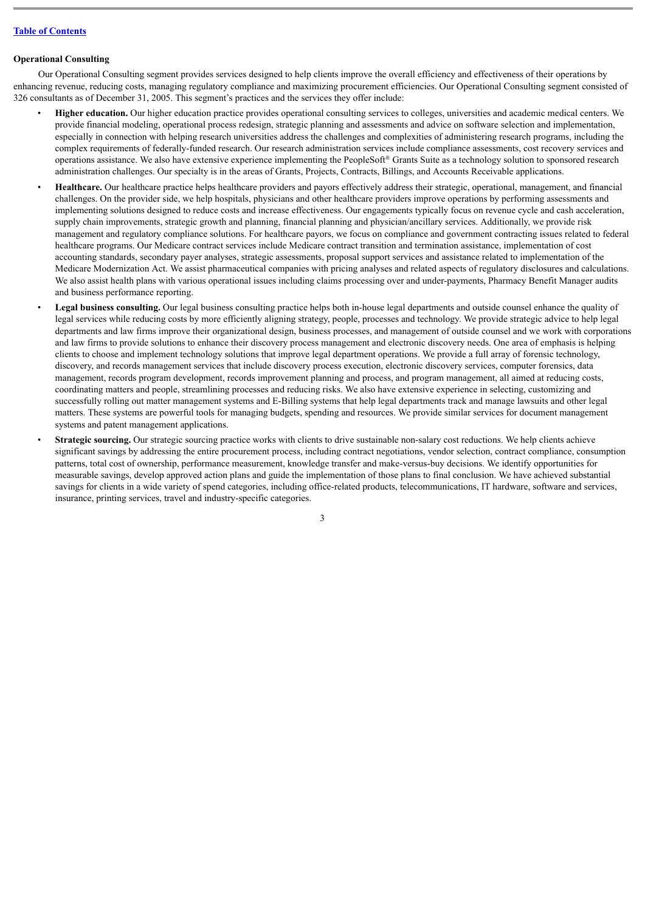# **Operational Consulting**

Our Operational Consulting segment provides services designed to help clients improve the overall efficiency and effectiveness of their operations by enhancing revenue, reducing costs, managing regulatory compliance and maximizing procurement efficiencies. Our Operational Consulting segment consisted of 326 consultants as of December 31, 2005. This segment's practices and the services they offer include:

- **Higher education.** Our higher education practice provides operational consulting services to colleges, universities and academic medical centers. We provide financial modeling, operational process redesign, strategic planning and assessments and advice on software selection and implementation, especially in connection with helping research universities address the challenges and complexities of administering research programs, including the complex requirements of federally-funded research. Our research administration services include compliance assessments, cost recovery services and operations assistance. We also have extensive experience implementing the PeopleSoft® Grants Suite as a technology solution to sponsored research administration challenges. Our specialty is in the areas of Grants, Projects, Contracts, Billings, and Accounts Receivable applications.
- **Healthcare.** Our healthcare practice helps healthcare providers and payors effectively address their strategic, operational, management, and financial challenges. On the provider side, we help hospitals, physicians and other healthcare providers improve operations by performing assessments and implementing solutions designed to reduce costs and increase effectiveness. Our engagements typically focus on revenue cycle and cash acceleration, supply chain improvements, strategic growth and planning, financial planning and physician/ancillary services. Additionally, we provide risk management and regulatory compliance solutions. For healthcare payors, we focus on compliance and government contracting issues related to federal healthcare programs. Our Medicare contract services include Medicare contract transition and termination assistance, implementation of cost accounting standards, secondary payer analyses, strategic assessments, proposal support services and assistance related to implementation of the Medicare Modernization Act. We assist pharmaceutical companies with pricing analyses and related aspects of regulatory disclosures and calculations. We also assist health plans with various operational issues including claims processing over and under-payments, Pharmacy Benefit Manager audits and business performance reporting.
- Legal business consulting. Our legal business consulting practice helps both in-house legal departments and outside counsel enhance the quality of legal services while reducing costs by more efficiently aligning strategy, people, processes and technology. We provide strategic advice to help legal departments and law firms improve their organizational design, business processes, and management of outside counsel and we work with corporations and law firms to provide solutions to enhance their discovery process management and electronic discovery needs. One area of emphasis is helping clients to choose and implement technology solutions that improve legal department operations. We provide a full array of forensic technology, discovery, and records management services that include discovery process execution, electronic discovery services, computer forensics, data management, records program development, records improvement planning and process, and program management, all aimed at reducing costs, coordinating matters and people, streamlining processes and reducing risks. We also have extensive experience in selecting, customizing and successfully rolling out matter management systems and E-Billing systems that help legal departments track and manage lawsuits and other legal matters. These systems are powerful tools for managing budgets, spending and resources. We provide similar services for document management systems and patent management applications.
- **Strategic sourcing.** Our strategic sourcing practice works with clients to drive sustainable non-salary cost reductions. We help clients achieve significant savings by addressing the entire procurement process, including contract negotiations, vendor selection, contract compliance, consumption patterns, total cost of ownership, performance measurement, knowledge transfer and make-versus-buy decisions. We identify opportunities for measurable savings, develop approved action plans and guide the implementation of those plans to final conclusion. We have achieved substantial savings for clients in a wide variety of spend categories, including office-related products, telecommunications, IT hardware, software and services, insurance, printing services, travel and industry-specific categories.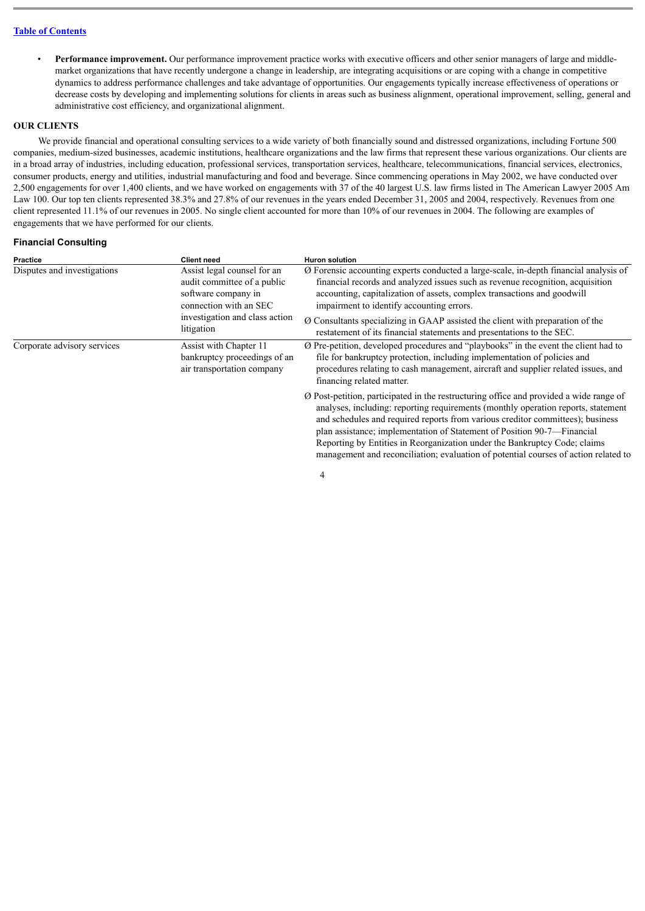• **Performance improvement.** Our performance improvement practice works with executive officers and other senior managers of large and middlemarket organizations that have recently undergone a change in leadership, are integrating acquisitions or are coping with a change in competitive dynamics to address performance challenges and take advantage of opportunities. Our engagements typically increase effectiveness of operations or decrease costs by developing and implementing solutions for clients in areas such as business alignment, operational improvement, selling, general and administrative cost efficiency, and organizational alignment.

# **OUR CLIENTS**

We provide financial and operational consulting services to a wide variety of both financially sound and distressed organizations, including Fortune 500 companies, medium-sized businesses, academic institutions, healthcare organizations and the law firms that represent these various organizations. Our clients are in a broad array of industries, including education, professional services, transportation services, healthcare, telecommunications, financial services, electronics, consumer products, energy and utilities, industrial manufacturing and food and beverage. Since commencing operations in May 2002, we have conducted over 2,500 engagements for over 1,400 clients, and we have worked on engagements with 37 of the 40 largest U.S. law firms listed in The American Lawyer 2005 Am Law 100. Our top ten clients represented 38.3% and 27.8% of our revenues in the years ended December 31, 2005 and 2004, respectively. Revenues from one client represented 11.1% of our revenues in 2005. No single client accounted for more than 10% of our revenues in 2004. The following are examples of engagements that we have performed for our clients.

# **Financial Consulting**

| <b>Practice</b>             | <b>Client need</b>                                                                                          | <b>Huron solution</b>                                                                                                                                                                                                                                                                                                                                                                                                                                                                                        |
|-----------------------------|-------------------------------------------------------------------------------------------------------------|--------------------------------------------------------------------------------------------------------------------------------------------------------------------------------------------------------------------------------------------------------------------------------------------------------------------------------------------------------------------------------------------------------------------------------------------------------------------------------------------------------------|
| Disputes and investigations | Assist legal counsel for an<br>audit committee of a public<br>software company in<br>connection with an SEC | Ø Forensic accounting experts conducted a large-scale, in-depth financial analysis of<br>financial records and analyzed issues such as revenue recognition, acquisition<br>accounting, capitalization of assets, complex transactions and goodwill<br>impairment to identify accounting errors.                                                                                                                                                                                                              |
|                             | investigation and class action<br>litigation                                                                | O Consultants specializing in GAAP assisted the client with preparation of the<br>restatement of its financial statements and presentations to the SEC.                                                                                                                                                                                                                                                                                                                                                      |
| Corporate advisory services | Assist with Chapter 11<br>bankruptcy proceedings of an<br>air transportation company                        | Ø Pre-petition, developed procedures and "playbooks" in the event the client had to<br>file for bankruptcy protection, including implementation of policies and<br>procedures relating to cash management, aircraft and supplier related issues, and<br>financing related matter.                                                                                                                                                                                                                            |
|                             |                                                                                                             | Ø Post-petition, participated in the restructuring office and provided a wide range of<br>analyses, including: reporting requirements (monthly operation reports, statement<br>and schedules and required reports from various creditor committees); business<br>plan assistance; implementation of Statement of Position 90-7—Financial<br>Reporting by Entities in Reorganization under the Bankruptcy Code; claims<br>management and reconciliation; evaluation of potential courses of action related to |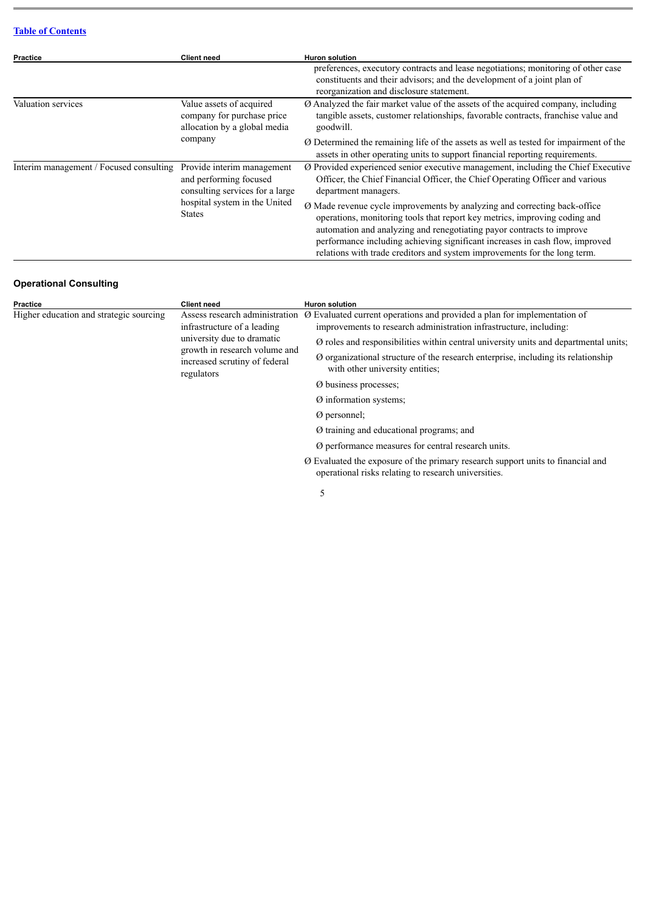| <b>Practice</b>                         | <b>Client need</b>                                                                      | <b>Huron solution</b>                                                                                                                                                                                                                                                                                                                                                                         |
|-----------------------------------------|-----------------------------------------------------------------------------------------|-----------------------------------------------------------------------------------------------------------------------------------------------------------------------------------------------------------------------------------------------------------------------------------------------------------------------------------------------------------------------------------------------|
|                                         |                                                                                         | preferences, executory contracts and lease negotiations; monitoring of other case<br>constituents and their advisors; and the development of a joint plan of<br>reorganization and disclosure statement.                                                                                                                                                                                      |
| Valuation services                      | Value assets of acquired<br>company for purchase price<br>allocation by a global media  | Ø Analyzed the fair market value of the assets of the acquired company, including<br>tangible assets, customer relationships, favorable contracts, franchise value and<br>goodwill.                                                                                                                                                                                                           |
|                                         | company                                                                                 | Ø Determined the remaining life of the assets as well as tested for impairment of the<br>assets in other operating units to support financial reporting requirements.                                                                                                                                                                                                                         |
| Interim management / Focused consulting | Provide interim management<br>and performing focused<br>consulting services for a large | Ø Provided experienced senior executive management, including the Chief Executive<br>Officer, the Chief Financial Officer, the Chief Operating Officer and various<br>department managers.                                                                                                                                                                                                    |
|                                         | hospital system in the United<br><b>States</b>                                          | Ø Made revenue cycle improvements by analyzing and correcting back-office<br>operations, monitoring tools that report key metrics, improving coding and<br>automation and analyzing and renegotiating payor contracts to improve<br>performance including achieving significant increases in cash flow, improved<br>relations with trade creditors and system improvements for the long term. |

# **Operational Consulting**

| <b>Practice</b>                         | <b>Client need</b>                                                                                                                                                          | <b>Huron solution</b>                                                                                                                                                                                                                                                                                                                                                                                    |
|-----------------------------------------|-----------------------------------------------------------------------------------------------------------------------------------------------------------------------------|----------------------------------------------------------------------------------------------------------------------------------------------------------------------------------------------------------------------------------------------------------------------------------------------------------------------------------------------------------------------------------------------------------|
| Higher education and strategic sourcing | Assess research administration<br>infrastructure of a leading<br>university due to dramatic<br>growth in research volume and<br>increased scrutiny of federal<br>regulators | Ø Evaluated current operations and provided a plan for implementation of<br>improvements to research administration infrastructure, including:<br>$\emptyset$ roles and responsibilities within central university units and departmental units;<br>$\Omega$ organizational structure of the research enterprise, including its relationship<br>with other university entities;<br>Ø business processes; |
|                                         |                                                                                                                                                                             | $\emptyset$ information systems;                                                                                                                                                                                                                                                                                                                                                                         |
|                                         |                                                                                                                                                                             | $\emptyset$ personnel;                                                                                                                                                                                                                                                                                                                                                                                   |
|                                         |                                                                                                                                                                             | O training and educational programs; and                                                                                                                                                                                                                                                                                                                                                                 |
|                                         |                                                                                                                                                                             | Ø performance measures for central research units.                                                                                                                                                                                                                                                                                                                                                       |
|                                         |                                                                                                                                                                             | Ø Evaluated the exposure of the primary research support units to financial and<br>operational risks relating to research universities.                                                                                                                                                                                                                                                                  |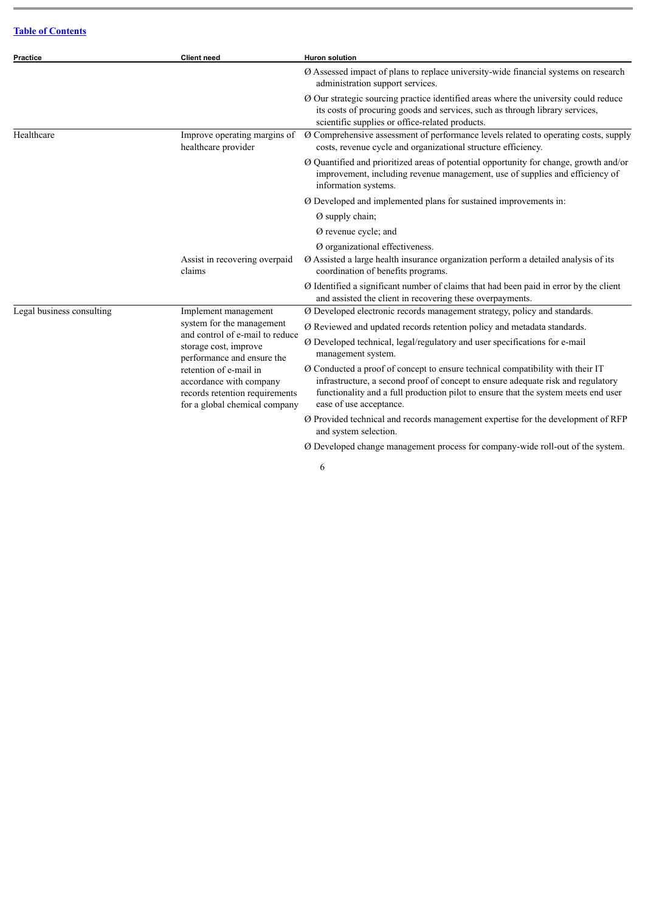| <b>Practice</b>           | <b>Client need</b>                                                                                                                                                                                             | <b>Huron solution</b>                                                                                                                                                                                                                                                               |
|---------------------------|----------------------------------------------------------------------------------------------------------------------------------------------------------------------------------------------------------------|-------------------------------------------------------------------------------------------------------------------------------------------------------------------------------------------------------------------------------------------------------------------------------------|
|                           |                                                                                                                                                                                                                | Ø Assessed impact of plans to replace university-wide financial systems on research<br>administration support services.                                                                                                                                                             |
|                           |                                                                                                                                                                                                                | Ø Our strategic sourcing practice identified areas where the university could reduce<br>its costs of procuring goods and services, such as through library services,<br>scientific supplies or office-related products.                                                             |
| Healthcare                | Improve operating margins of<br>healthcare provider                                                                                                                                                            | $\emptyset$ Comprehensive assessment of performance levels related to operating costs, supply<br>costs, revenue cycle and organizational structure efficiency.                                                                                                                      |
|                           |                                                                                                                                                                                                                | Ø Quantified and prioritized areas of potential opportunity for change, growth and/or<br>improvement, including revenue management, use of supplies and efficiency of<br>information systems.                                                                                       |
|                           |                                                                                                                                                                                                                | Ø Developed and implemented plans for sustained improvements in:                                                                                                                                                                                                                    |
|                           | Assist in recovering overpaid<br>claims                                                                                                                                                                        | $\emptyset$ supply chain;                                                                                                                                                                                                                                                           |
|                           |                                                                                                                                                                                                                | Ø revenue cycle; and                                                                                                                                                                                                                                                                |
|                           |                                                                                                                                                                                                                | Ø organizational effectiveness.<br>Ø Assisted a large health insurance organization perform a detailed analysis of its<br>coordination of benefits programs.                                                                                                                        |
|                           |                                                                                                                                                                                                                | Ø Identified a significant number of claims that had been paid in error by the client<br>and assisted the client in recovering these overpayments.                                                                                                                                  |
| Legal business consulting | Implement management                                                                                                                                                                                           | Ø Developed electronic records management strategy, policy and standards.                                                                                                                                                                                                           |
|                           | system for the management                                                                                                                                                                                      | Ø Reviewed and updated records retention policy and metadata standards.                                                                                                                                                                                                             |
|                           | and control of e-mail to reduce<br>storage cost, improve<br>performance and ensure the<br>retention of e-mail in<br>accordance with company<br>records retention requirements<br>for a global chemical company | Ø Developed technical, legal/regulatory and user specifications for e-mail<br>management system.                                                                                                                                                                                    |
|                           |                                                                                                                                                                                                                | Ø Conducted a proof of concept to ensure technical compatibility with their IT<br>infrastructure, a second proof of concept to ensure adequate risk and regulatory<br>functionality and a full production pilot to ensure that the system meets end user<br>ease of use acceptance. |
|                           |                                                                                                                                                                                                                | Ø Provided technical and records management expertise for the development of RFP<br>and system selection.                                                                                                                                                                           |
|                           |                                                                                                                                                                                                                | Ø Developed change management process for company-wide roll-out of the system.                                                                                                                                                                                                      |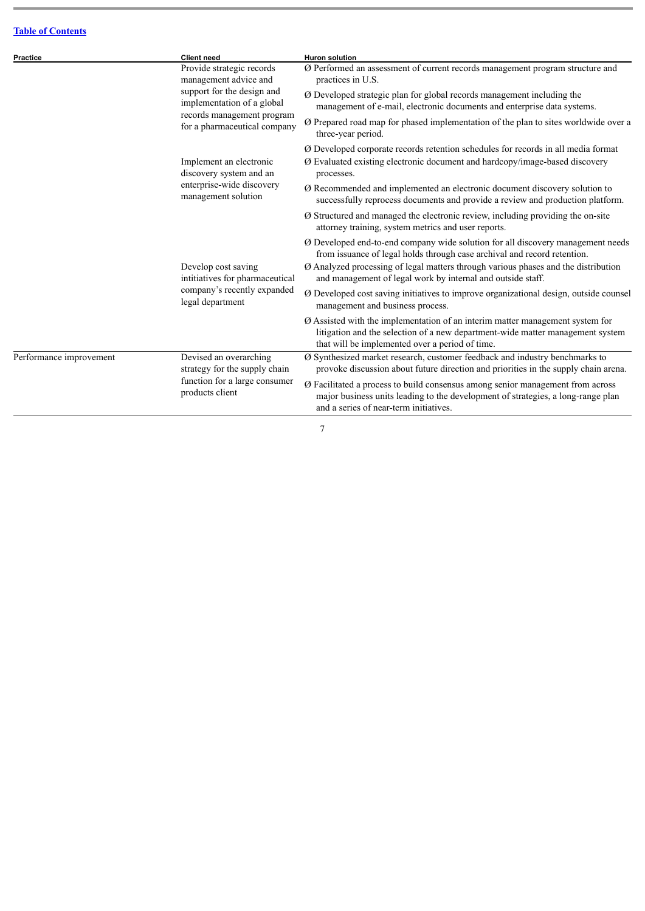| <b>Practice</b>                                                                                        | <b>Client need</b>                                         | <b>Huron solution</b>                                                                                                                                                                                                                             |
|--------------------------------------------------------------------------------------------------------|------------------------------------------------------------|---------------------------------------------------------------------------------------------------------------------------------------------------------------------------------------------------------------------------------------------------|
|                                                                                                        | Provide strategic records<br>management advice and         | Ø Performed an assessment of current records management program structure and<br>practices in U.S.                                                                                                                                                |
|                                                                                                        | support for the design and<br>implementation of a global   | Ø Developed strategic plan for global records management including the<br>management of e-mail, electronic documents and enterprise data systems.                                                                                                 |
| Implement an electronic<br>discovery system and an<br>enterprise-wide discovery<br>management solution | records management program<br>for a pharmaceutical company | Ø Prepared road map for phased implementation of the plan to sites worldwide over a<br>three-year period.                                                                                                                                         |
|                                                                                                        |                                                            | Ø Developed corporate records retention schedules for records in all media format<br>Ø Evaluated existing electronic document and hardcopy/image-based discovery<br>processes.                                                                    |
|                                                                                                        |                                                            | Ø Recommended and implemented an electronic document discovery solution to<br>successfully reprocess documents and provide a review and production platform.                                                                                      |
|                                                                                                        |                                                            | Ø Structured and managed the electronic review, including providing the on-site<br>attorney training, system metrics and user reports.                                                                                                            |
|                                                                                                        | Develop cost saving                                        | Ø Developed end-to-end company wide solution for all discovery management needs<br>from issuance of legal holds through case archival and record retention.<br>Ø Analyzed processing of legal matters through various phases and the distribution |
|                                                                                                        | intitiatives for pharmaceutical                            | and management of legal work by internal and outside staff.                                                                                                                                                                                       |
|                                                                                                        | company's recently expanded<br>legal department            | Ø Developed cost saving initiatives to improve organizational design, outside counsel<br>management and business process.                                                                                                                         |
|                                                                                                        |                                                            | Ø Assisted with the implementation of an interim matter management system for<br>litigation and the selection of a new department-wide matter management system<br>that will be implemented over a period of time.                                |
| Performance improvement                                                                                | Devised an overarching<br>strategy for the supply chain    | Ø Synthesized market research, customer feedback and industry benchmarks to<br>provoke discussion about future direction and priorities in the supply chain arena.                                                                                |
|                                                                                                        | function for a large consumer<br>products client           | Ø Facilitated a process to build consensus among senior management from across<br>major business units leading to the development of strategies, a long-range plan<br>and a series of near-term initiatives.                                      |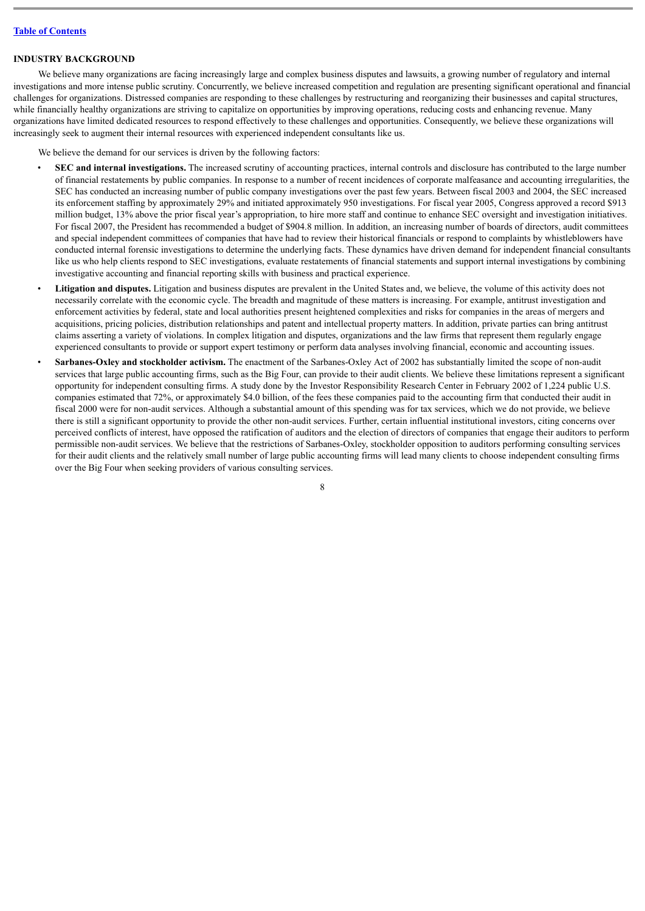# **INDUSTRY BACKGROUND**

We believe many organizations are facing increasingly large and complex business disputes and lawsuits, a growing number of regulatory and internal investigations and more intense public scrutiny. Concurrently, we believe increased competition and regulation are presenting significant operational and financial challenges for organizations. Distressed companies are responding to these challenges by restructuring and reorganizing their businesses and capital structures, while financially healthy organizations are striving to capitalize on opportunities by improving operations, reducing costs and enhancing revenue. Many organizations have limited dedicated resources to respond effectively to these challenges and opportunities. Consequently, we believe these organizations will increasingly seek to augment their internal resources with experienced independent consultants like us.

We believe the demand for our services is driven by the following factors:

- **SEC and internal investigations.** The increased scrutiny of accounting practices, internal controls and disclosure has contributed to the large number of financial restatements by public companies. In response to a number of recent incidences of corporate malfeasance and accounting irregularities, the SEC has conducted an increasing number of public company investigations over the past few years. Between fiscal 2003 and 2004, the SEC increased its enforcement staffing by approximately 29% and initiated approximately 950 investigations. For fiscal year 2005, Congress approved a record \$913 million budget, 13% above the prior fiscal year's appropriation, to hire more staff and continue to enhance SEC oversight and investigation initiatives. For fiscal 2007, the President has recommended a budget of \$904.8 million. In addition, an increasing number of boards of directors, audit committees and special independent committees of companies that have had to review their historical financials or respond to complaints by whistleblowers have conducted internal forensic investigations to determine the underlying facts. These dynamics have driven demand for independent financial consultants like us who help clients respond to SEC investigations, evaluate restatements of financial statements and support internal investigations by combining investigative accounting and financial reporting skills with business and practical experience.
- **Litigation and disputes.** Litigation and business disputes are prevalent in the United States and, we believe, the volume of this activity does not necessarily correlate with the economic cycle. The breadth and magnitude of these matters is increasing. For example, antitrust investigation and enforcement activities by federal, state and local authorities present heightened complexities and risks for companies in the areas of mergers and acquisitions, pricing policies, distribution relationships and patent and intellectual property matters. In addition, private parties can bring antitrust claims asserting a variety of violations. In complex litigation and disputes, organizations and the law firms that represent them regularly engage experienced consultants to provide or support expert testimony or perform data analyses involving financial, economic and accounting issues.
- **Sarbanes-Oxley and stockholder activism.** The enactment of the Sarbanes-Oxley Act of 2002 has substantially limited the scope of non-audit services that large public accounting firms, such as the Big Four, can provide to their audit clients. We believe these limitations represent a significant opportunity for independent consulting firms. A study done by the Investor Responsibility Research Center in February 2002 of 1,224 public U.S. companies estimated that 72%, or approximately \$4.0 billion, of the fees these companies paid to the accounting firm that conducted their audit in fiscal 2000 were for non-audit services. Although a substantial amount of this spending was for tax services, which we do not provide, we believe there is still a significant opportunity to provide the other non-audit services. Further, certain influential institutional investors, citing concerns over perceived conflicts of interest, have opposed the ratification of auditors and the election of directors of companies that engage their auditors to perform permissible non-audit services. We believe that the restrictions of Sarbanes-Oxley, stockholder opposition to auditors performing consulting services for their audit clients and the relatively small number of large public accounting firms will lead many clients to choose independent consulting firms over the Big Four when seeking providers of various consulting services.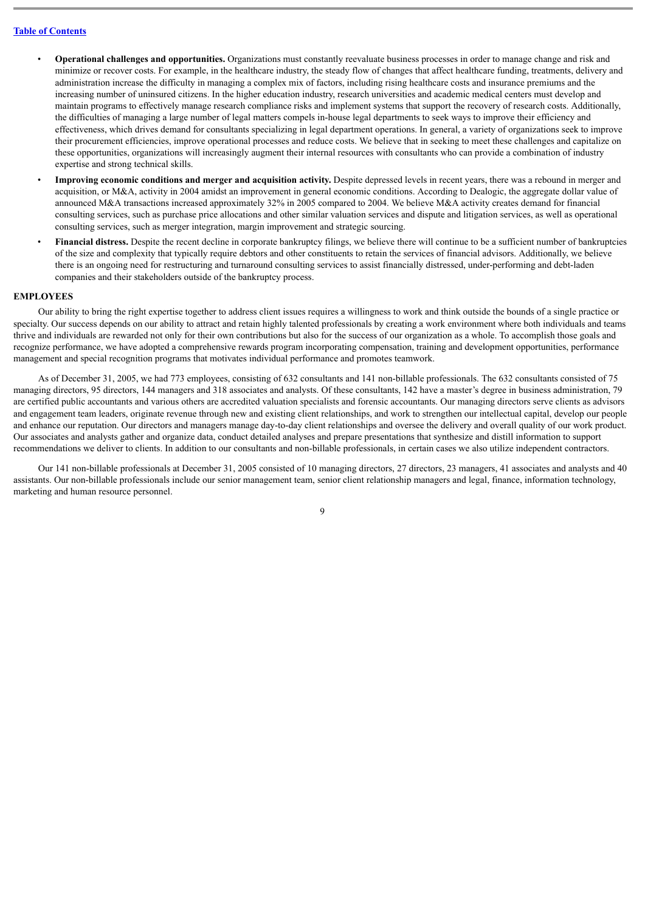- **Operational challenges and opportunities.** Organizations must constantly reevaluate business processes in order to manage change and risk and minimize or recover costs. For example, in the healthcare industry, the steady flow of changes that affect healthcare funding, treatments, delivery and administration increase the difficulty in managing a complex mix of factors, including rising healthcare costs and insurance premiums and the increasing number of uninsured citizens. In the higher education industry, research universities and academic medical centers must develop and maintain programs to effectively manage research compliance risks and implement systems that support the recovery of research costs. Additionally, the difficulties of managing a large number of legal matters compels in-house legal departments to seek ways to improve their efficiency and effectiveness, which drives demand for consultants specializing in legal department operations. In general, a variety of organizations seek to improve their procurement efficiencies, improve operational processes and reduce costs. We believe that in seeking to meet these challenges and capitalize on these opportunities, organizations will increasingly augment their internal resources with consultants who can provide a combination of industry expertise and strong technical skills.
- **Improving economic conditions and merger and acquisition activity.** Despite depressed levels in recent years, there was a rebound in merger and acquisition, or M&A, activity in 2004 amidst an improvement in general economic conditions. According to Dealogic, the aggregate dollar value of announced M&A transactions increased approximately 32% in 2005 compared to 2004. We believe M&A activity creates demand for financial consulting services, such as purchase price allocations and other similar valuation services and dispute and litigation services, as well as operational consulting services, such as merger integration, margin improvement and strategic sourcing.
- **Financial distress.** Despite the recent decline in corporate bankruptcy filings, we believe there will continue to be a sufficient number of bankruptcies of the size and complexity that typically require debtors and other constituents to retain the services of financial advisors. Additionally, we believe there is an ongoing need for restructuring and turnaround consulting services to assist financially distressed, under-performing and debt-laden companies and their stakeholders outside of the bankruptcy process.

#### **EMPLOYEES**

Our ability to bring the right expertise together to address client issues requires a willingness to work and think outside the bounds of a single practice or specialty. Our success depends on our ability to attract and retain highly talented professionals by creating a work environment where both individuals and teams thrive and individuals are rewarded not only for their own contributions but also for the success of our organization as a whole. To accomplish those goals and recognize performance, we have adopted a comprehensive rewards program incorporating compensation, training and development opportunities, performance management and special recognition programs that motivates individual performance and promotes teamwork.

As of December 31, 2005, we had 773 employees, consisting of 632 consultants and 141 non-billable professionals. The 632 consultants consisted of 75 managing directors, 95 directors, 144 managers and 318 associates and analysts. Of these consultants, 142 have a master's degree in business administration, 79 are certified public accountants and various others are accredited valuation specialists and forensic accountants. Our managing directors serve clients as advisors and engagement team leaders, originate revenue through new and existing client relationships, and work to strengthen our intellectual capital, develop our people and enhance our reputation. Our directors and managers manage day-to-day client relationships and oversee the delivery and overall quality of our work product. Our associates and analysts gather and organize data, conduct detailed analyses and prepare presentations that synthesize and distill information to support recommendations we deliver to clients. In addition to our consultants and non-billable professionals, in certain cases we also utilize independent contractors.

Our 141 non-billable professionals at December 31, 2005 consisted of 10 managing directors, 27 directors, 23 managers, 41 associates and analysts and 40 assistants. Our non-billable professionals include our senior management team, senior client relationship managers and legal, finance, information technology, marketing and human resource personnel.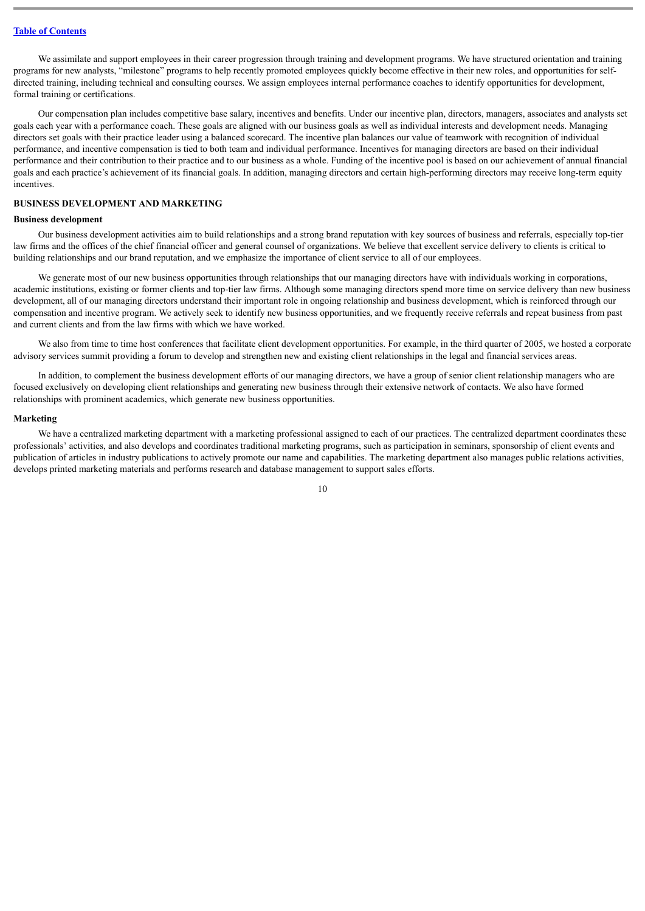We assimilate and support employees in their career progression through training and development programs. We have structured orientation and training programs for new analysts, "milestone" programs to help recently promoted employees quickly become effective in their new roles, and opportunities for selfdirected training, including technical and consulting courses. We assign employees internal performance coaches to identify opportunities for development, formal training or certifications.

Our compensation plan includes competitive base salary, incentives and benefits. Under our incentive plan, directors, managers, associates and analysts set goals each year with a performance coach. These goals are aligned with our business goals as well as individual interests and development needs. Managing directors set goals with their practice leader using a balanced scorecard. The incentive plan balances our value of teamwork with recognition of individual performance, and incentive compensation is tied to both team and individual performance. Incentives for managing directors are based on their individual performance and their contribution to their practice and to our business as a whole. Funding of the incentive pool is based on our achievement of annual financial goals and each practice's achievement of its financial goals. In addition, managing directors and certain high-performing directors may receive long-term equity incentives.

# **BUSINESS DEVELOPMENT AND MARKETING**

# **Business development**

Our business development activities aim to build relationships and a strong brand reputation with key sources of business and referrals, especially top-tier law firms and the offices of the chief financial officer and general counsel of organizations. We believe that excellent service delivery to clients is critical to building relationships and our brand reputation, and we emphasize the importance of client service to all of our employees.

We generate most of our new business opportunities through relationships that our managing directors have with individuals working in corporations, academic institutions, existing or former clients and top-tier law firms. Although some managing directors spend more time on service delivery than new business development, all of our managing directors understand their important role in ongoing relationship and business development, which is reinforced through our compensation and incentive program. We actively seek to identify new business opportunities, and we frequently receive referrals and repeat business from past and current clients and from the law firms with which we have worked.

We also from time to time host conferences that facilitate client development opportunities. For example, in the third quarter of 2005, we hosted a corporate advisory services summit providing a forum to develop and strengthen new and existing client relationships in the legal and financial services areas.

In addition, to complement the business development efforts of our managing directors, we have a group of senior client relationship managers who are focused exclusively on developing client relationships and generating new business through their extensive network of contacts. We also have formed relationships with prominent academics, which generate new business opportunities.

# **Marketing**

We have a centralized marketing department with a marketing professional assigned to each of our practices. The centralized department coordinates these professionals' activities, and also develops and coordinates traditional marketing programs, such as participation in seminars, sponsorship of client events and publication of articles in industry publications to actively promote our name and capabilities. The marketing department also manages public relations activities, develops printed marketing materials and performs research and database management to support sales efforts.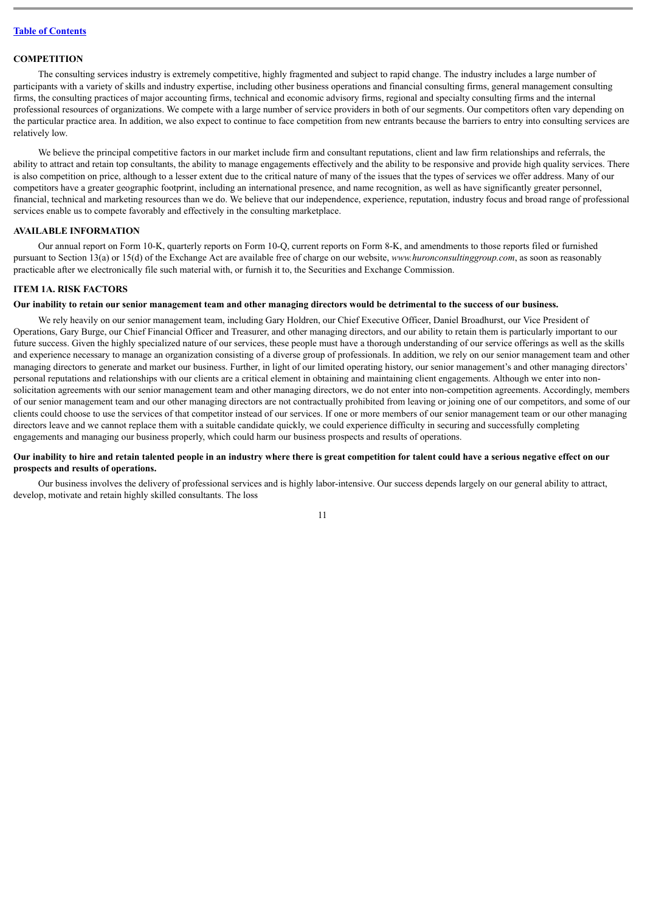# **COMPETITION**

The consulting services industry is extremely competitive, highly fragmented and subject to rapid change. The industry includes a large number of participants with a variety of skills and industry expertise, including other business operations and financial consulting firms, general management consulting firms, the consulting practices of major accounting firms, technical and economic advisory firms, regional and specialty consulting firms and the internal professional resources of organizations. We compete with a large number of service providers in both of our segments. Our competitors often vary depending on the particular practice area. In addition, we also expect to continue to face competition from new entrants because the barriers to entry into consulting services are relatively low.

We believe the principal competitive factors in our market include firm and consultant reputations, client and law firm relationships and referrals, the ability to attract and retain top consultants, the ability to manage engagements effectively and the ability to be responsive and provide high quality services. There is also competition on price, although to a lesser extent due to the critical nature of many of the issues that the types of services we offer address. Many of our competitors have a greater geographic footprint, including an international presence, and name recognition, as well as have significantly greater personnel, financial, technical and marketing resources than we do. We believe that our independence, experience, reputation, industry focus and broad range of professional services enable us to compete favorably and effectively in the consulting marketplace.

# **AVAILABLE INFORMATION**

Our annual report on Form 10-K, quarterly reports on Form 10-Q, current reports on Form 8-K, and amendments to those reports filed or furnished pursuant to Section 13(a) or 15(d) of the Exchange Act are available free of charge on our website, *www.huronconsultinggroup.com*, as soon as reasonably practicable after we electronically file such material with, or furnish it to, the Securities and Exchange Commission.

# <span id="page-12-0"></span>**ITEM 1A. RISK FACTORS**

### **Our inability to retain our senior management team and other managing directors would be detrimental to the success of our business.**

We rely heavily on our senior management team, including Gary Holdren, our Chief Executive Officer, Daniel Broadhurst, our Vice President of Operations, Gary Burge, our Chief Financial Officer and Treasurer, and other managing directors, and our ability to retain them is particularly important to our future success. Given the highly specialized nature of our services, these people must have a thorough understanding of our service offerings as well as the skills and experience necessary to manage an organization consisting of a diverse group of professionals. In addition, we rely on our senior management team and other managing directors to generate and market our business. Further, in light of our limited operating history, our senior management's and other managing directors' personal reputations and relationships with our clients are a critical element in obtaining and maintaining client engagements. Although we enter into nonsolicitation agreements with our senior management team and other managing directors, we do not enter into non-competition agreements. Accordingly, members of our senior management team and our other managing directors are not contractually prohibited from leaving or joining one of our competitors, and some of our clients could choose to use the services of that competitor instead of our services. If one or more members of our senior management team or our other managing directors leave and we cannot replace them with a suitable candidate quickly, we could experience difficulty in securing and successfully completing engagements and managing our business properly, which could harm our business prospects and results of operations.

# **Our inability to hire and retain talented people in an industry where there is great competition for talent could have a serious negative effect on our prospects and results of operations.**

Our business involves the delivery of professional services and is highly labor-intensive. Our success depends largely on our general ability to attract, develop, motivate and retain highly skilled consultants. The loss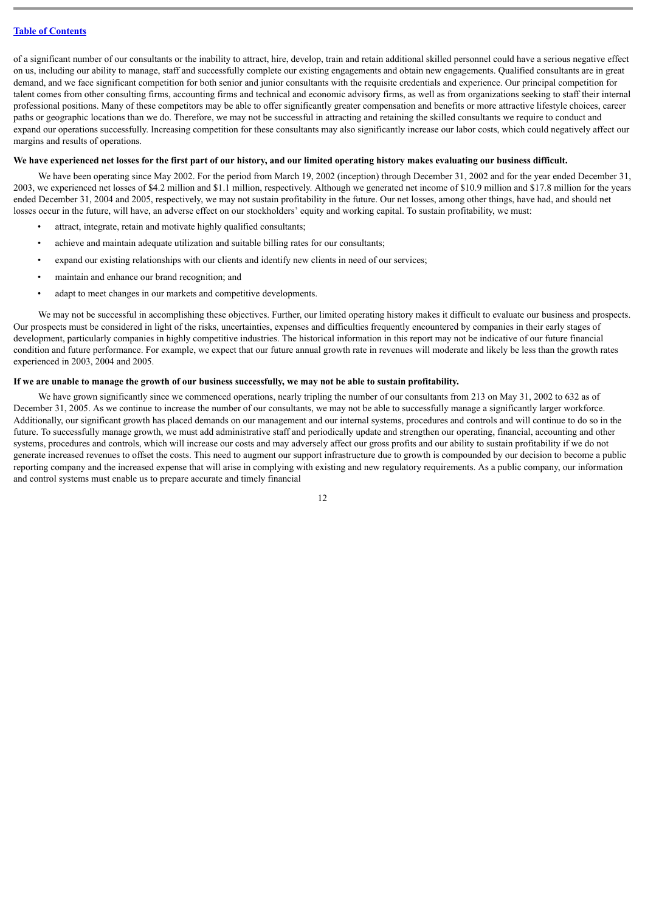of a significant number of our consultants or the inability to attract, hire, develop, train and retain additional skilled personnel could have a serious negative effect on us, including our ability to manage, staff and successfully complete our existing engagements and obtain new engagements. Qualified consultants are in great demand, and we face significant competition for both senior and junior consultants with the requisite credentials and experience. Our principal competition for talent comes from other consulting firms, accounting firms and technical and economic advisory firms, as well as from organizations seeking to staff their internal professional positions. Many of these competitors may be able to offer significantly greater compensation and benefits or more attractive lifestyle choices, career paths or geographic locations than we do. Therefore, we may not be successful in attracting and retaining the skilled consultants we require to conduct and expand our operations successfully. Increasing competition for these consultants may also significantly increase our labor costs, which could negatively affect our margins and results of operations.

# **We have experienced net losses for the first part of our history, and our limited operating history makes evaluating our business difficult.**

We have been operating since May 2002. For the period from March 19, 2002 (inception) through December 31, 2002 and for the year ended December 31, 2003, we experienced net losses of \$4.2 million and \$1.1 million, respectively. Although we generated net income of \$10.9 million and \$17.8 million for the years ended December 31, 2004 and 2005, respectively, we may not sustain profitability in the future. Our net losses, among other things, have had, and should net losses occur in the future, will have, an adverse effect on our stockholders' equity and working capital. To sustain profitability, we must:

- attract, integrate, retain and motivate highly qualified consultants;
- achieve and maintain adequate utilization and suitable billing rates for our consultants;
- expand our existing relationships with our clients and identify new clients in need of our services;
- maintain and enhance our brand recognition; and
- adapt to meet changes in our markets and competitive developments.

We may not be successful in accomplishing these objectives. Further, our limited operating history makes it difficult to evaluate our business and prospects. Our prospects must be considered in light of the risks, uncertainties, expenses and difficulties frequently encountered by companies in their early stages of development, particularly companies in highly competitive industries. The historical information in this report may not be indicative of our future financial condition and future performance. For example, we expect that our future annual growth rate in revenues will moderate and likely be less than the growth rates experienced in 2003, 2004 and 2005.

#### **If we are unable to manage the growth of our business successfully, we may not be able to sustain profitability.**

We have grown significantly since we commenced operations, nearly tripling the number of our consultants from 213 on May 31, 2002 to 632 as of December 31, 2005. As we continue to increase the number of our consultants, we may not be able to successfully manage a significantly larger workforce. Additionally, our significant growth has placed demands on our management and our internal systems, procedures and controls and will continue to do so in the future. To successfully manage growth, we must add administrative staff and periodically update and strengthen our operating, financial, accounting and other systems, procedures and controls, which will increase our costs and may adversely affect our gross profits and our ability to sustain profitability if we do not generate increased revenues to offset the costs. This need to augment our support infrastructure due to growth is compounded by our decision to become a public reporting company and the increased expense that will arise in complying with existing and new regulatory requirements. As a public company, our information and control systems must enable us to prepare accurate and timely financial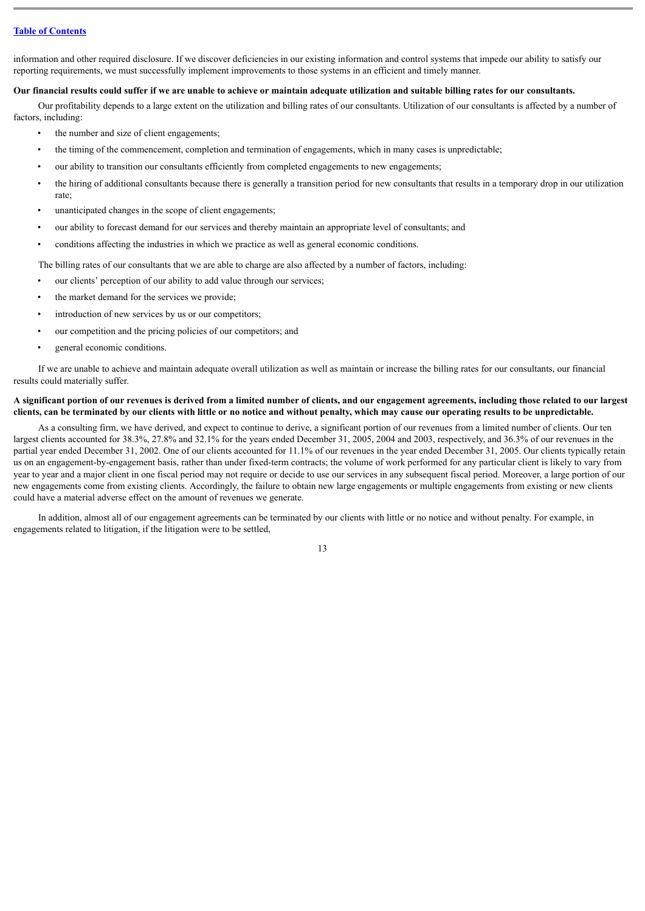information and other required disclosure. If we discover deficiencies in our existing information and control systems that impede our ability to satisfy our reporting requirements, we must successfully implement improvements to those systems in an efficient and timely manner.

# **Our financial results could suffer if we are unable to achieve or maintain adequate utilization and suitable billing rates for our consultants.**

Our profitability depends to a large extent on the utilization and billing rates of our consultants. Utilization of our consultants is affected by a number of factors, including:

- the number and size of client engagements;
- the timing of the commencement, completion and termination of engagements, which in many cases is unpredictable;
- our ability to transition our consultants efficiently from completed engagements to new engagements;
- the hiring of additional consultants because there is generally a transition period for new consultants that results in a temporary drop in our utilization rate;
- unanticipated changes in the scope of client engagements;
- our ability to forecast demand for our services and thereby maintain an appropriate level of consultants; and
- conditions affecting the industries in which we practice as well as general economic conditions.

The billing rates of our consultants that we are able to charge are also affected by a number of factors, including:

- our clients' perception of our ability to add value through our services;
- the market demand for the services we provide;
- introduction of new services by us or our competitors;
- our competition and the pricing policies of our competitors; and
- general economic conditions.

If we are unable to achieve and maintain adequate overall utilization as well as maintain or increase the billing rates for our consultants, our financial results could materially suffer.

# **A significant portion of our revenues is derived from a limited number of clients, and our engagement agreements, including those related to our largest clients, can be terminated by our clients with little or no notice and without penalty, which may cause our operating results to be unpredictable.**

As a consulting firm, we have derived, and expect to continue to derive, a significant portion of our revenues from a limited number of clients. Our ten largest clients accounted for 38.3%, 27.8% and 32.1% for the years ended December 31, 2005, 2004 and 2003, respectively, and 36.3% of our revenues in the partial year ended December 31, 2002. One of our clients accounted for 11.1% of our revenues in the year ended December 31, 2005. Our clients typically retain us on an engagement-by-engagement basis, rather than under fixed-term contracts; the volume of work performed for any particular client is likely to vary from year to year and a major client in one fiscal period may not require or decide to use our services in any subsequent fiscal period. Moreover, a large portion of our new engagements come from existing clients. Accordingly, the failure to obtain new large engagements or multiple engagements from existing or new clients could have a material adverse effect on the amount of revenues we generate.

In addition, almost all of our engagement agreements can be terminated by our clients with little or no notice and without penalty. For example, in engagements related to litigation, if the litigation were to be settled,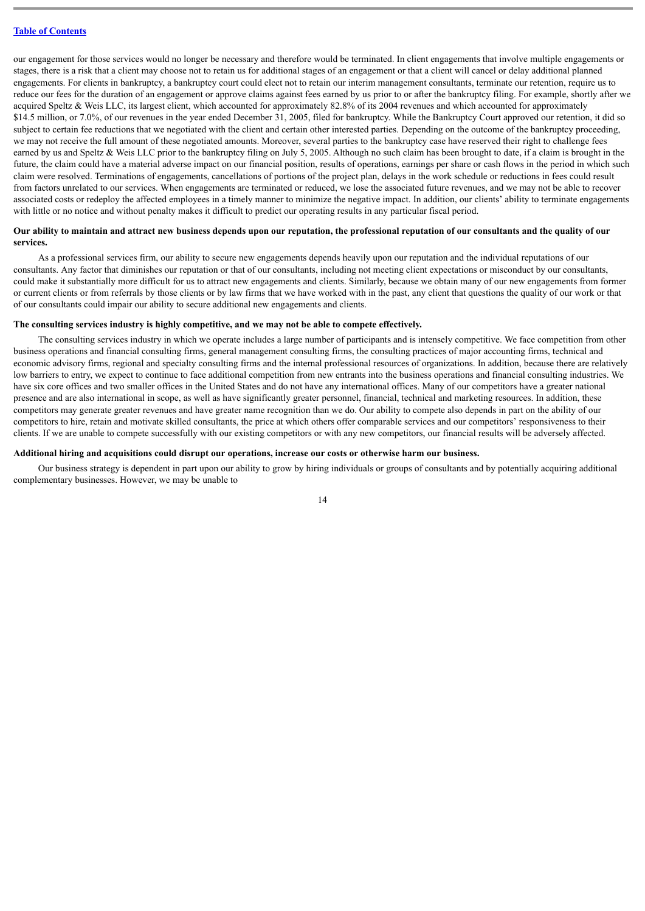our engagement for those services would no longer be necessary and therefore would be terminated. In client engagements that involve multiple engagements or stages, there is a risk that a client may choose not to retain us for additional stages of an engagement or that a client will cancel or delay additional planned engagements. For clients in bankruptcy, a bankruptcy court could elect not to retain our interim management consultants, terminate our retention, require us to reduce our fees for the duration of an engagement or approve claims against fees earned by us prior to or after the bankruptcy filing. For example, shortly after we acquired Speltz & Weis LLC, its largest client, which accounted for approximately 82.8% of its 2004 revenues and which accounted for approximately \$14.5 million, or 7.0%, of our revenues in the year ended December 31, 2005, filed for bankruptcy. While the Bankruptcy Court approved our retention, it did so subject to certain fee reductions that we negotiated with the client and certain other interested parties. Depending on the outcome of the bankruptcy proceeding, we may not receive the full amount of these negotiated amounts. Moreover, several parties to the bankruptcy case have reserved their right to challenge fees earned by us and Speltz & Weis LLC prior to the bankruptcy filing on July 5, 2005. Although no such claim has been brought to date, if a claim is brought in the future, the claim could have a material adverse impact on our financial position, results of operations, earnings per share or cash flows in the period in which such claim were resolved. Terminations of engagements, cancellations of portions of the project plan, delays in the work schedule or reductions in fees could result from factors unrelated to our services. When engagements are terminated or reduced, we lose the associated future revenues, and we may not be able to recover associated costs or redeploy the affected employees in a timely manner to minimize the negative impact. In addition, our clients' ability to terminate engagements with little or no notice and without penalty makes it difficult to predict our operating results in any particular fiscal period.

# **Our ability to maintain and attract new business depends upon our reputation, the professional reputation of our consultants and the quality of our services.**

As a professional services firm, our ability to secure new engagements depends heavily upon our reputation and the individual reputations of our consultants. Any factor that diminishes our reputation or that of our consultants, including not meeting client expectations or misconduct by our consultants, could make it substantially more difficult for us to attract new engagements and clients. Similarly, because we obtain many of our new engagements from former or current clients or from referrals by those clients or by law firms that we have worked with in the past, any client that questions the quality of our work or that of our consultants could impair our ability to secure additional new engagements and clients.

### **The consulting services industry is highly competitive, and we may not be able to compete effectively.**

The consulting services industry in which we operate includes a large number of participants and is intensely competitive. We face competition from other business operations and financial consulting firms, general management consulting firms, the consulting practices of major accounting firms, technical and economic advisory firms, regional and specialty consulting firms and the internal professional resources of organizations. In addition, because there are relatively low barriers to entry, we expect to continue to face additional competition from new entrants into the business operations and financial consulting industries. We have six core offices and two smaller offices in the United States and do not have any international offices. Many of our competitors have a greater national presence and are also international in scope, as well as have significantly greater personnel, financial, technical and marketing resources. In addition, these competitors may generate greater revenues and have greater name recognition than we do. Our ability to compete also depends in part on the ability of our competitors to hire, retain and motivate skilled consultants, the price at which others offer comparable services and our competitors' responsiveness to their clients. If we are unable to compete successfully with our existing competitors or with any new competitors, our financial results will be adversely affected.

#### **Additional hiring and acquisitions could disrupt our operations, increase our costs or otherwise harm our business.**

Our business strategy is dependent in part upon our ability to grow by hiring individuals or groups of consultants and by potentially acquiring additional complementary businesses. However, we may be unable to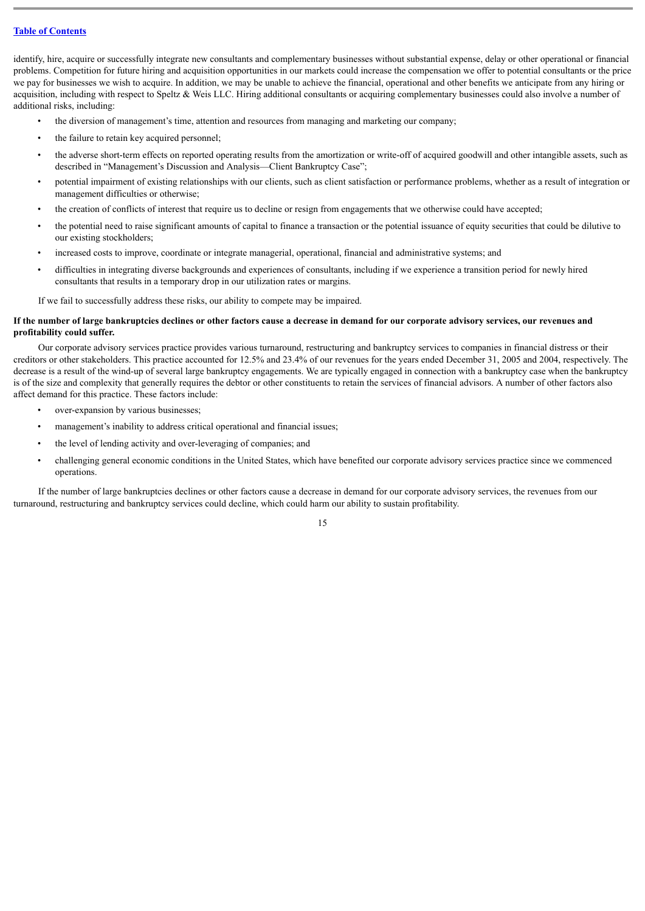identify, hire, acquire or successfully integrate new consultants and complementary businesses without substantial expense, delay or other operational or financial problems. Competition for future hiring and acquisition opportunities in our markets could increase the compensation we offer to potential consultants or the price we pay for businesses we wish to acquire. In addition, we may be unable to achieve the financial, operational and other benefits we anticipate from any hiring or acquisition, including with respect to Speltz & Weis LLC. Hiring additional consultants or acquiring complementary businesses could also involve a number of additional risks, including:

- the diversion of management's time, attention and resources from managing and marketing our company;
- the failure to retain key acquired personnel;
- the adverse short-term effects on reported operating results from the amortization or write-off of acquired goodwill and other intangible assets, such as described in "Management's Discussion and Analysis—Client Bankruptcy Case";
- potential impairment of existing relationships with our clients, such as client satisfaction or performance problems, whether as a result of integration or management difficulties or otherwise;
- the creation of conflicts of interest that require us to decline or resign from engagements that we otherwise could have accepted;
- the potential need to raise significant amounts of capital to finance a transaction or the potential issuance of equity securities that could be dilutive to our existing stockholders;
- increased costs to improve, coordinate or integrate managerial, operational, financial and administrative systems; and
- difficulties in integrating diverse backgrounds and experiences of consultants, including if we experience a transition period for newly hired consultants that results in a temporary drop in our utilization rates or margins.

If we fail to successfully address these risks, our ability to compete may be impaired.

# **If the number of large bankruptcies declines or other factors cause a decrease in demand for our corporate advisory services, our revenues and profitability could suffer.**

Our corporate advisory services practice provides various turnaround, restructuring and bankruptcy services to companies in financial distress or their creditors or other stakeholders. This practice accounted for 12.5% and 23.4% of our revenues for the years ended December 31, 2005 and 2004, respectively. The decrease is a result of the wind-up of several large bankruptcy engagements. We are typically engaged in connection with a bankruptcy case when the bankruptcy is of the size and complexity that generally requires the debtor or other constituents to retain the services of financial advisors. A number of other factors also affect demand for this practice. These factors include:

- over-expansion by various businesses;
- management's inability to address critical operational and financial issues;
- the level of lending activity and over-leveraging of companies; and
- challenging general economic conditions in the United States, which have benefited our corporate advisory services practice since we commenced operations.

If the number of large bankruptcies declines or other factors cause a decrease in demand for our corporate advisory services, the revenues from our turnaround, restructuring and bankruptcy services could decline, which could harm our ability to sustain profitability.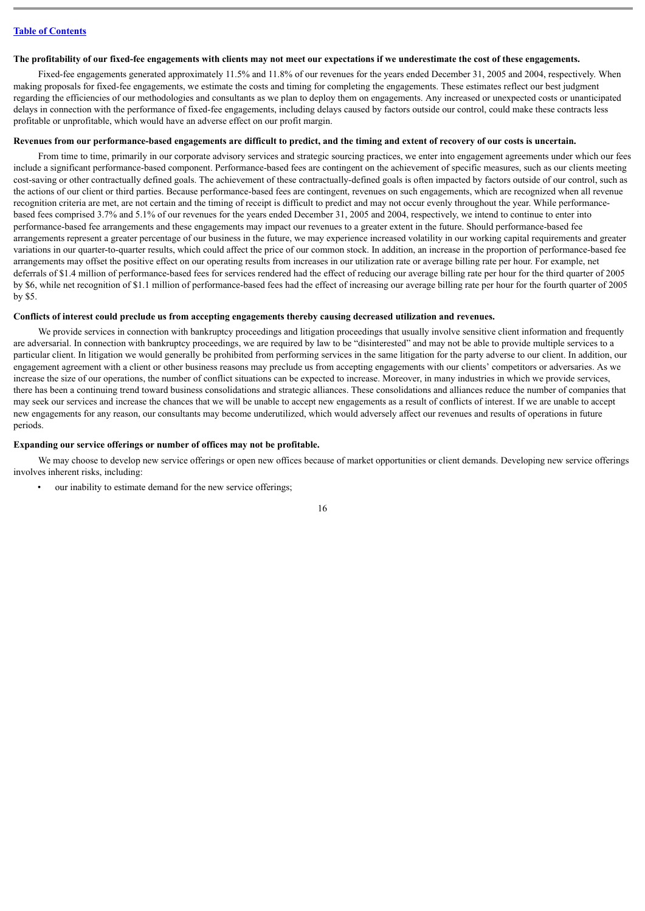#### **The profitability of our fixed-fee engagements with clients may not meet our expectations if we underestimate the cost of these engagements.**

Fixed-fee engagements generated approximately 11.5% and 11.8% of our revenues for the years ended December 31, 2005 and 2004, respectively. When making proposals for fixed-fee engagements, we estimate the costs and timing for completing the engagements. These estimates reflect our best judgment regarding the efficiencies of our methodologies and consultants as we plan to deploy them on engagements. Any increased or unexpected costs or unanticipated delays in connection with the performance of fixed-fee engagements, including delays caused by factors outside our control, could make these contracts less profitable or unprofitable, which would have an adverse effect on our profit margin.

#### **Revenues from our performance-based engagements are difficult to predict, and the timing and extent of recovery of our costs is uncertain.**

From time to time, primarily in our corporate advisory services and strategic sourcing practices, we enter into engagement agreements under which our fees include a significant performance-based component. Performance-based fees are contingent on the achievement of specific measures, such as our clients meeting cost-saving or other contractually defined goals. The achievement of these contractually-defined goals is often impacted by factors outside of our control, such as the actions of our client or third parties. Because performance-based fees are contingent, revenues on such engagements, which are recognized when all revenue recognition criteria are met, are not certain and the timing of receipt is difficult to predict and may not occur evenly throughout the year. While performancebased fees comprised 3.7% and 5.1% of our revenues for the years ended December 31, 2005 and 2004, respectively, we intend to continue to enter into performance-based fee arrangements and these engagements may impact our revenues to a greater extent in the future. Should performance-based fee arrangements represent a greater percentage of our business in the future, we may experience increased volatility in our working capital requirements and greater variations in our quarter-to-quarter results, which could affect the price of our common stock. In addition, an increase in the proportion of performance-based fee arrangements may offset the positive effect on our operating results from increases in our utilization rate or average billing rate per hour. For example, net deferrals of \$1.4 million of performance-based fees for services rendered had the effect of reducing our average billing rate per hour for the third quarter of 2005 by \$6, while net recognition of \$1.1 million of performance-based fees had the effect of increasing our average billing rate per hour for the fourth quarter of 2005 by \$5.

#### **Conflicts of interest could preclude us from accepting engagements thereby causing decreased utilization and revenues.**

We provide services in connection with bankruptcy proceedings and litigation proceedings that usually involve sensitive client information and frequently are adversarial. In connection with bankruptcy proceedings, we are required by law to be "disinterested" and may not be able to provide multiple services to a particular client. In litigation we would generally be prohibited from performing services in the same litigation for the party adverse to our client. In addition, our engagement agreement with a client or other business reasons may preclude us from accepting engagements with our clients' competitors or adversaries. As we increase the size of our operations, the number of conflict situations can be expected to increase. Moreover, in many industries in which we provide services, there has been a continuing trend toward business consolidations and strategic alliances. These consolidations and alliances reduce the number of companies that may seek our services and increase the chances that we will be unable to accept new engagements as a result of conflicts of interest. If we are unable to accept new engagements for any reason, our consultants may become underutilized, which would adversely affect our revenues and results of operations in future periods.

# **Expanding our service offerings or number of offices may not be profitable.**

We may choose to develop new service offerings or open new offices because of market opportunities or client demands. Developing new service offerings involves inherent risks, including:

our inability to estimate demand for the new service offerings;

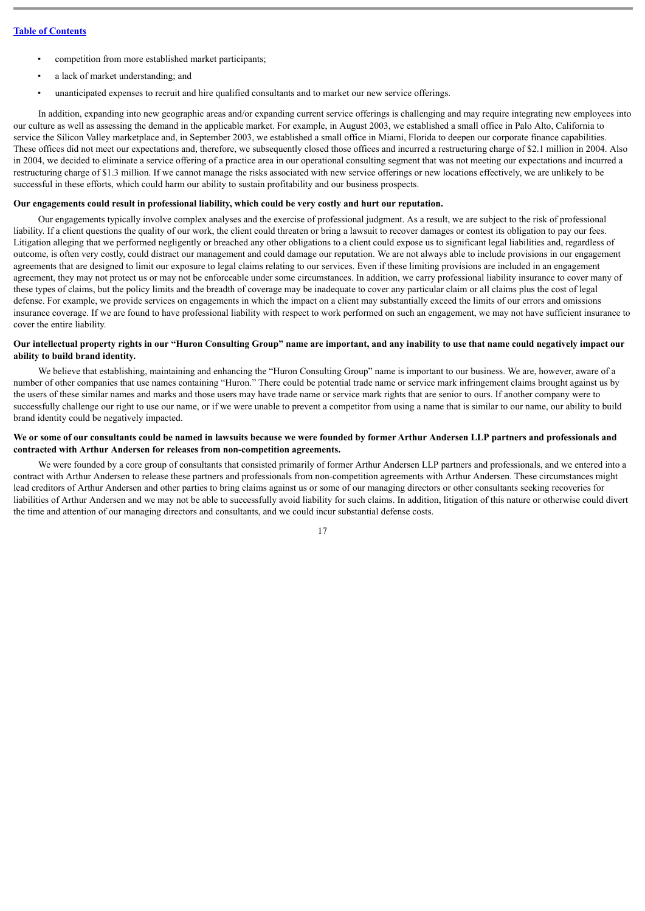- competition from more established market participants;
- a lack of market understanding; and
- unanticipated expenses to recruit and hire qualified consultants and to market our new service offerings.

In addition, expanding into new geographic areas and/or expanding current service offerings is challenging and may require integrating new employees into our culture as well as assessing the demand in the applicable market. For example, in August 2003, we established a small office in Palo Alto, California to service the Silicon Valley marketplace and, in September 2003, we established a small office in Miami, Florida to deepen our corporate finance capabilities. These offices did not meet our expectations and, therefore, we subsequently closed those offices and incurred a restructuring charge of \$2.1 million in 2004. Also in 2004, we decided to eliminate a service offering of a practice area in our operational consulting segment that was not meeting our expectations and incurred a restructuring charge of \$1.3 million. If we cannot manage the risks associated with new service offerings or new locations effectively, we are unlikely to be successful in these efforts, which could harm our ability to sustain profitability and our business prospects.

#### **Our engagements could result in professional liability, which could be very costly and hurt our reputation.**

Our engagements typically involve complex analyses and the exercise of professional judgment. As a result, we are subject to the risk of professional liability. If a client questions the quality of our work, the client could threaten or bring a lawsuit to recover damages or contest its obligation to pay our fees. Litigation alleging that we performed negligently or breached any other obligations to a client could expose us to significant legal liabilities and, regardless of outcome, is often very costly, could distract our management and could damage our reputation. We are not always able to include provisions in our engagement agreements that are designed to limit our exposure to legal claims relating to our services. Even if these limiting provisions are included in an engagement agreement, they may not protect us or may not be enforceable under some circumstances. In addition, we carry professional liability insurance to cover many of these types of claims, but the policy limits and the breadth of coverage may be inadequate to cover any particular claim or all claims plus the cost of legal defense. For example, we provide services on engagements in which the impact on a client may substantially exceed the limits of our errors and omissions insurance coverage. If we are found to have professional liability with respect to work performed on such an engagement, we may not have sufficient insurance to cover the entire liability.

# **Our intellectual property rights in our "Huron Consulting Group" name are important, and any inability to use that name could negatively impact our ability to build brand identity.**

We believe that establishing, maintaining and enhancing the "Huron Consulting Group" name is important to our business. We are, however, aware of a number of other companies that use names containing "Huron." There could be potential trade name or service mark infringement claims brought against us by the users of these similar names and marks and those users may have trade name or service mark rights that are senior to ours. If another company were to successfully challenge our right to use our name, or if we were unable to prevent a competitor from using a name that is similar to our name, our ability to build brand identity could be negatively impacted.

# **We or some of our consultants could be named in lawsuits because we were founded by former Arthur Andersen LLP partners and professionals and contracted with Arthur Andersen for releases from non-competition agreements.**

We were founded by a core group of consultants that consisted primarily of former Arthur Andersen LLP partners and professionals, and we entered into a contract with Arthur Andersen to release these partners and professionals from non-competition agreements with Arthur Andersen. These circumstances might lead creditors of Arthur Andersen and other parties to bring claims against us or some of our managing directors or other consultants seeking recoveries for liabilities of Arthur Andersen and we may not be able to successfully avoid liability for such claims. In addition, litigation of this nature or otherwise could divert the time and attention of our managing directors and consultants, and we could incur substantial defense costs.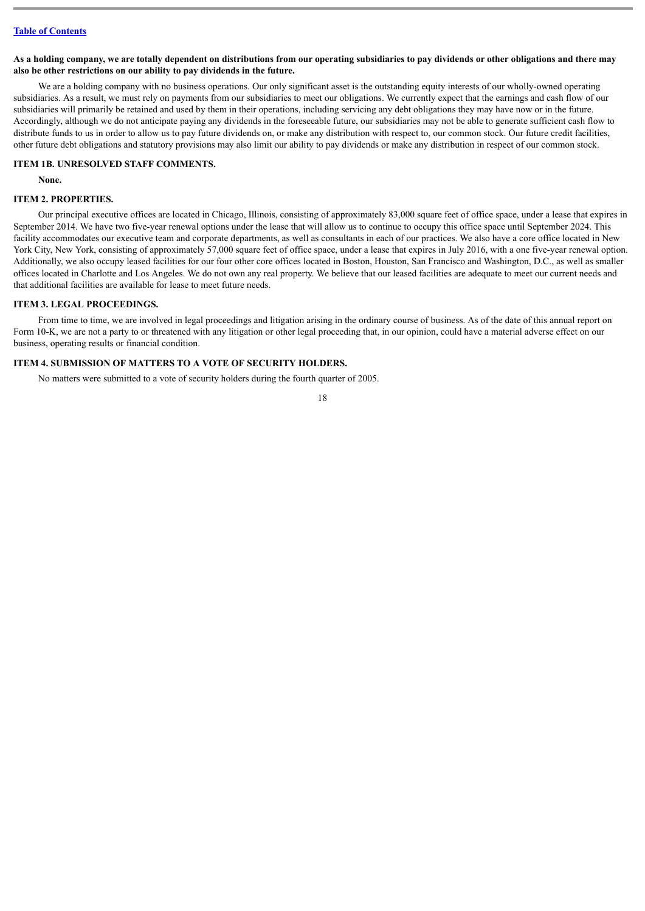### **As a holding company, we are totally dependent on distributions from our operating subsidiaries to pay dividends or other obligations and there may also be other restrictions on our ability to pay dividends in the future.**

We are a holding company with no business operations. Our only significant asset is the outstanding equity interests of our wholly-owned operating subsidiaries. As a result, we must rely on payments from our subsidiaries to meet our obligations. We currently expect that the earnings and cash flow of our subsidiaries will primarily be retained and used by them in their operations, including servicing any debt obligations they may have now or in the future. Accordingly, although we do not anticipate paying any dividends in the foreseeable future, our subsidiaries may not be able to generate sufficient cash flow to distribute funds to us in order to allow us to pay future dividends on, or make any distribution with respect to, our common stock. Our future credit facilities, other future debt obligations and statutory provisions may also limit our ability to pay dividends or make any distribution in respect of our common stock.

# <span id="page-19-0"></span>**ITEM 1B. UNRESOLVED STAFF COMMENTS.**

**None.**

#### <span id="page-19-1"></span>**ITEM 2. PROPERTIES.**

Our principal executive offices are located in Chicago, Illinois, consisting of approximately 83,000 square feet of office space, under a lease that expires in September 2014. We have two five-year renewal options under the lease that will allow us to continue to occupy this office space until September 2024. This facility accommodates our executive team and corporate departments, as well as consultants in each of our practices. We also have a core office located in New York City, New York, consisting of approximately 57,000 square feet of office space, under a lease that expires in July 2016, with a one five-year renewal option. Additionally, we also occupy leased facilities for our four other core offices located in Boston, Houston, San Francisco and Washington, D.C., as well as smaller offices located in Charlotte and Los Angeles. We do not own any real property. We believe that our leased facilities are adequate to meet our current needs and that additional facilities are available for lease to meet future needs.

# <span id="page-19-2"></span>**ITEM 3. LEGAL PROCEEDINGS.**

From time to time, we are involved in legal proceedings and litigation arising in the ordinary course of business. As of the date of this annual report on Form 10-K, we are not a party to or threatened with any litigation or other legal proceeding that, in our opinion, could have a material adverse effect on our business, operating results or financial condition.

# <span id="page-19-3"></span>**ITEM 4. SUBMISSION OF MATTERS TO A VOTE OF SECURITY HOLDERS.**

No matters were submitted to a vote of security holders during the fourth quarter of 2005.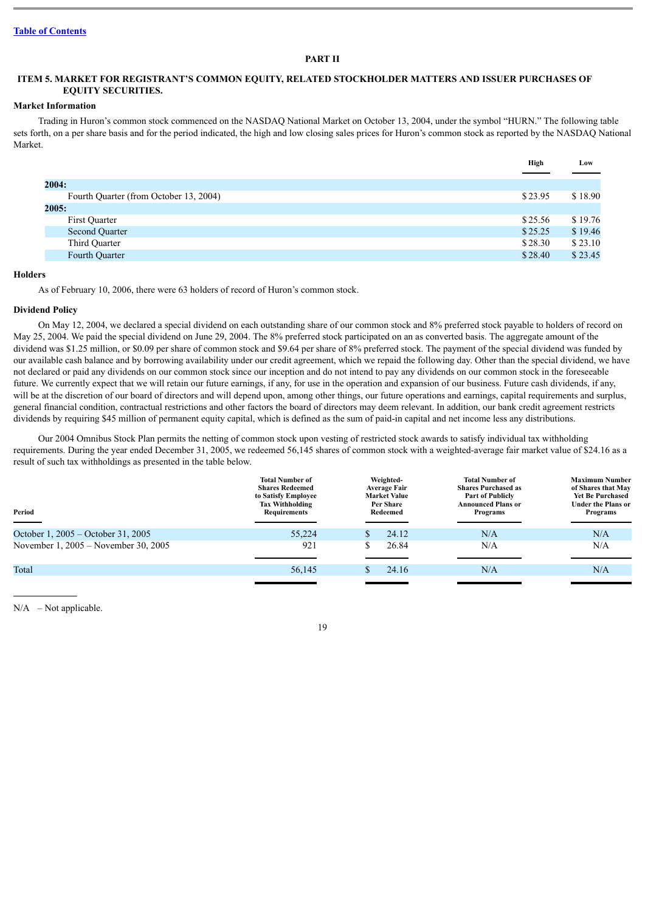# **PART II**

# <span id="page-20-1"></span><span id="page-20-0"></span>**ITEM 5. MARKET FOR REGISTRANT'S COMMON EQUITY, RELATED STOCKHOLDER MATTERS AND ISSUER PURCHASES OF EQUITY SECURITIES.**

# **Market Information**

Trading in Huron's common stock commenced on the NASDAQ National Market on October 13, 2004, under the symbol "HURN." The following table sets forth, on a per share basis and for the period indicated, the high and low closing sales prices for Huron's common stock as reported by the NASDAQ National Market.

|                                        | High    | Low     |
|----------------------------------------|---------|---------|
| 2004:                                  |         |         |
| Fourth Quarter (from October 13, 2004) | \$23.95 | \$18.90 |
| 2005:                                  |         |         |
| First Quarter                          | \$25.56 | \$19.76 |
| Second Quarter                         | \$25.25 | \$19.46 |
| Third Quarter                          | \$28.30 | \$23.10 |
| Fourth Quarter                         | \$28.40 | \$23.45 |

#### **Holders**

As of February 10, 2006, there were 63 holders of record of Huron's common stock.

#### **Dividend Policy**

On May 12, 2004, we declared a special dividend on each outstanding share of our common stock and 8% preferred stock payable to holders of record on May 25, 2004. We paid the special dividend on June 29, 2004. The 8% preferred stock participated on an as converted basis. The aggregate amount of the dividend was \$1.25 million, or \$0.09 per share of common stock and \$9.64 per share of 8% preferred stock. The payment of the special dividend was funded by our available cash balance and by borrowing availability under our credit agreement, which we repaid the following day. Other than the special dividend, we have not declared or paid any dividends on our common stock since our inception and do not intend to pay any dividends on our common stock in the foreseeable future. We currently expect that we will retain our future earnings, if any, for use in the operation and expansion of our business. Future cash dividends, if any, will be at the discretion of our board of directors and will depend upon, among other things, our future operations and earnings, capital requirements and surplus, general financial condition, contractual restrictions and other factors the board of directors may deem relevant. In addition, our bank credit agreement restricts dividends by requiring \$45 million of permanent equity capital, which is defined as the sum of paid-in capital and net income less any distributions.

Our 2004 Omnibus Stock Plan permits the netting of common stock upon vesting of restricted stock awards to satisfy individual tax withholding requirements. During the year ended December 31, 2005, we redeemed 56,145 shares of common stock with a weighted-average fair market value of \$24.16 as a result of such tax withholdings as presented in the table below.

| Period                               | <b>Total Number of</b><br><b>Shares Redeemed</b><br>to Satisfy Employee<br><b>Tax Withholding</b><br><b>Requirements</b> | Weighted-<br><b>Average Fair</b><br><b>Market Value</b><br>Per Share<br>Redeemed | <b>Total Number of</b><br><b>Shares Purchased as</b><br><b>Part of Publicly</b><br><b>Announced Plans or</b><br>Programs | <b>Maximum Number</b><br>of Shares that May<br><b>Yet Be Purchased</b><br><b>Under the Plans or</b><br>Programs |
|--------------------------------------|--------------------------------------------------------------------------------------------------------------------------|----------------------------------------------------------------------------------|--------------------------------------------------------------------------------------------------------------------------|-----------------------------------------------------------------------------------------------------------------|
| October 1, 2005 – October 31, 2005   | 55,224                                                                                                                   | 24.12                                                                            | N/A                                                                                                                      | N/A                                                                                                             |
| November 1, 2005 – November 30, 2005 | 921                                                                                                                      | 26.84                                                                            | N/A                                                                                                                      | N/A                                                                                                             |
| Total                                | 56,145                                                                                                                   | 24.16                                                                            | N/A                                                                                                                      | N/A                                                                                                             |
|                                      |                                                                                                                          |                                                                                  |                                                                                                                          |                                                                                                                 |

N/A – Not applicable.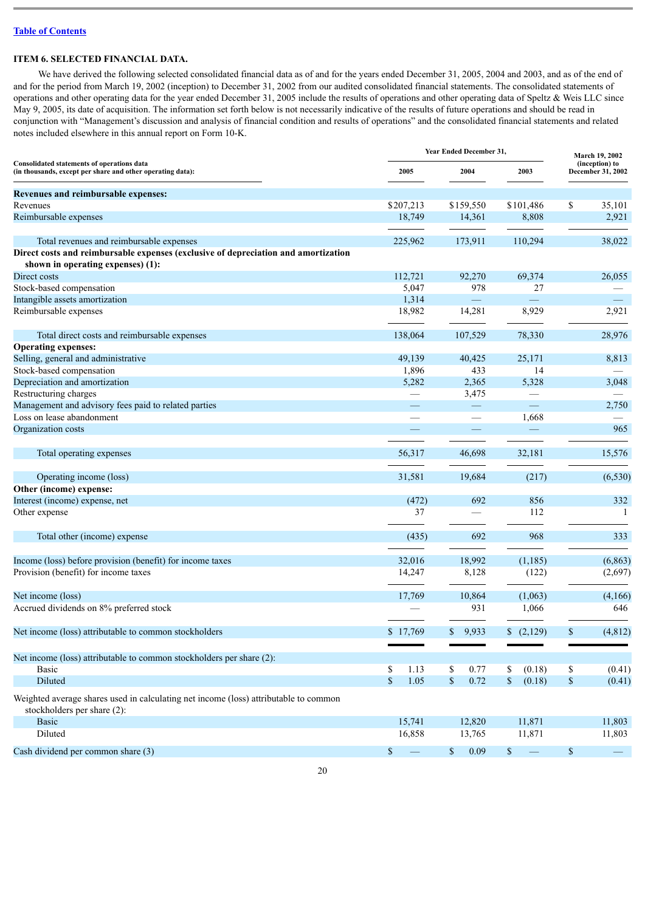# <span id="page-21-0"></span>**ITEM 6. SELECTED FINANCIAL DATA.**

We have derived the following selected consolidated financial data as of and for the years ended December 31, 2005, 2004 and 2003, and as of the end of and for the period from March 19, 2002 (inception) to December 31, 2002 from our audited consolidated financial statements. The consolidated statements of operations and other operating data for the year ended December 31, 2005 include the results of operations and other operating data of Speltz & Weis LLC since May 9, 2005, its date of acquisition. The information set forth below is not necessarily indicative of the results of future operations and should be read in conjunction with "Management's discussion and analysis of financial condition and results of operations" and the consolidated financial statements and related notes included elsewhere in this annual report on Form 10-K.

|                                                                                                          | Year Ended December 31,  |                      |                                         | <b>March 19, 2002</b>               |  |
|----------------------------------------------------------------------------------------------------------|--------------------------|----------------------|-----------------------------------------|-------------------------------------|--|
| Consolidated statements of operations data<br>(in thousands, except per share and other operating data): | 2005                     | 2004                 | 2003                                    | (inception) to<br>December 31, 2002 |  |
| Revenues and reimbursable expenses:                                                                      |                          |                      |                                         |                                     |  |
| Revenues                                                                                                 | \$207,213                | \$159,550            | \$101,486                               | \$<br>35,101                        |  |
| Reimbursable expenses                                                                                    | 18,749                   | 14,361               | 8,808                                   | 2,921                               |  |
| Total revenues and reimbursable expenses                                                                 | 225,962                  | 173,911              | 110,294                                 | 38,022                              |  |
| Direct costs and reimbursable expenses (exclusive of depreciation and amortization                       |                          |                      |                                         |                                     |  |
| shown in operating expenses) (1):                                                                        |                          |                      |                                         |                                     |  |
| Direct costs                                                                                             | 112,721                  | 92,270               | 69,374                                  | 26,055                              |  |
| Stock-based compensation                                                                                 | 5,047                    | 978                  | 27                                      |                                     |  |
| Intangible assets amortization                                                                           | 1,314                    | 二                    |                                         |                                     |  |
| Reimbursable expenses                                                                                    | 18,982                   | 14,281               | 8,929                                   | 2,921                               |  |
| Total direct costs and reimbursable expenses                                                             | 138,064                  | 107,529              | 78,330                                  | 28,976                              |  |
| <b>Operating expenses:</b>                                                                               |                          |                      |                                         |                                     |  |
| Selling, general and administrative                                                                      | 49,139                   | 40,425               | 25,171                                  | 8,813                               |  |
| Stock-based compensation                                                                                 | 1,896                    | 433                  | 14                                      |                                     |  |
| Depreciation and amortization                                                                            | 5,282                    | 2,365                | 5,328                                   | 3,048                               |  |
| Restructuring charges                                                                                    | $\overline{\phantom{0}}$ | 3,475                |                                         |                                     |  |
| Management and advisory fees paid to related parties                                                     |                          |                      | $\equiv$                                | 2,750                               |  |
| Loss on lease abandonment                                                                                |                          |                      | 1,668                                   |                                     |  |
| Organization costs                                                                                       |                          |                      |                                         | 965                                 |  |
|                                                                                                          |                          |                      |                                         |                                     |  |
| Total operating expenses                                                                                 | 56,317                   | 46,698               | 32,181                                  | 15,576                              |  |
| Operating income (loss)                                                                                  | 31,581                   | 19,684               | (217)                                   | (6, 530)                            |  |
| Other (income) expense:                                                                                  |                          |                      |                                         |                                     |  |
| Interest (income) expense, net                                                                           | (472)                    | 692                  | 856                                     | 332                                 |  |
| Other expense                                                                                            | 37                       |                      | 112                                     |                                     |  |
| Total other (income) expense                                                                             | (435)                    | 692                  | 968                                     | 333                                 |  |
| Income (loss) before provision (benefit) for income taxes                                                | 32,016                   | 18,992               | (1,185)                                 | (6, 863)                            |  |
| Provision (benefit) for income taxes                                                                     | 14,247                   | 8,128                | (122)                                   | (2,697)                             |  |
|                                                                                                          |                          |                      |                                         |                                     |  |
| Net income (loss)                                                                                        | 17.769                   | 10,864               | (1,063)                                 | (4,166)                             |  |
| Accrued dividends on 8% preferred stock                                                                  |                          | 931                  | 1,066                                   | 646                                 |  |
| Net income (loss) attributable to common stockholders                                                    | \$17,769                 | \$9,933              | (2,129)                                 | (4, 812)                            |  |
| Net income (loss) attributable to common stockholders per share (2):                                     |                          |                      |                                         |                                     |  |
| Basic                                                                                                    | \$<br>1.13               | 0.77<br>\$           | (0.18)<br>\$                            | (0.41)<br>\$                        |  |
| Diluted                                                                                                  | $\mathsf{\$}$<br>1.05    | $\mathbb S$<br>0.72  | $\mathbb S$<br>(0.18)                   | $\mathbb S$<br>(0.41)               |  |
| Weighted average shares used in calculating net income (loss) attributable to common                     |                          |                      |                                         |                                     |  |
| stockholders per share (2):                                                                              |                          |                      |                                         |                                     |  |
| <b>Basic</b>                                                                                             | 15,741                   | 12,820               | 11,871                                  | 11,803                              |  |
| Diluted                                                                                                  | 16,858                   | 13,765               | 11,871                                  | 11,803                              |  |
| Cash dividend per common share (3)                                                                       | \$<br>$\qquad \qquad -$  | $\mathbb{S}$<br>0.09 | $\mathbb S$<br>$\overline{\phantom{0}}$ | \$                                  |  |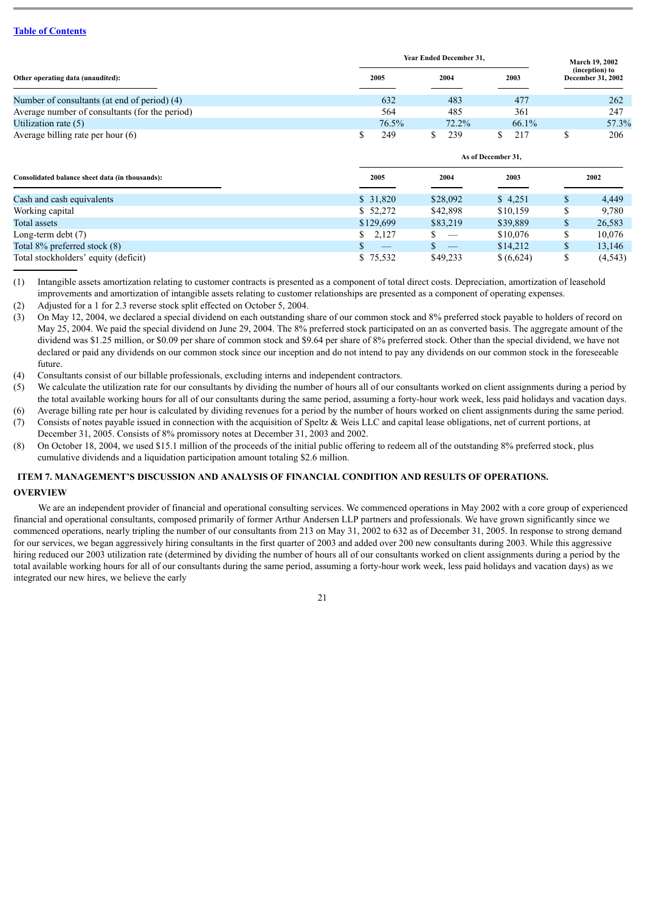|                                                | Year Ended December 31, | <b>March 19, 2002</b> |       |                                     |
|------------------------------------------------|-------------------------|-----------------------|-------|-------------------------------------|
| Other operating data (unaudited):              | 2005                    | 2004                  | 2003  | (inception) to<br>December 31, 2002 |
| Number of consultants (at end of period) (4)   | 632                     | 483                   | 477   | 262                                 |
| Average number of consultants (for the period) | 564                     | 485                   | 361   | 247                                 |
| Utilization rate $(5)$                         | 76.5%                   | 72.2%                 | 66.1% | 57.3%                               |
| Average billing rate per hour $(6)$            | 249                     | 239                   | 217   | 206                                 |

|                                                 | As of December 31,  |                                 |            |    |          |
|-------------------------------------------------|---------------------|---------------------------------|------------|----|----------|
| Consolidated balance sheet data (in thousands): | 2005                | 2004                            | 2003       |    | 2002     |
| Cash and cash equivalents                       | \$31,820            | \$28,092                        | \$4,251    | S  | 4,449    |
| Working capital                                 | \$52,272            | \$42,898                        | \$10,159   |    | 9,780    |
| Total assets                                    | \$129,699           | \$83,219                        | \$39,889   | \$ | 26,583   |
| Long-term debt $(7)$                            | $\frac{1}{2}$ , 127 | $\hspace{0.1mm}-\hspace{0.1mm}$ | \$10,076   |    | 10,076   |
| Total 8% preferred stock (8)                    |                     | $\overline{\phantom{a}}$        | \$14.212   | S  | 13,146   |
| Total stockholders' equity (deficit)            | \$75,532            | \$49,233                        | \$ (6,624) |    | (4, 543) |

(1) Intangible assets amortization relating to customer contracts is presented as a component of total direct costs. Depreciation, amortization of leasehold improvements and amortization of intangible assets relating to customer relationships are presented as a component of operating expenses.

(2) Adjusted for a 1 for 2.3 reverse stock split effected on October 5, 2004.

- (3) On May 12, 2004, we declared a special dividend on each outstanding share of our common stock and 8% preferred stock payable to holders of record on May 25, 2004. We paid the special dividend on June 29, 2004. The 8% preferred stock participated on an as converted basis. The aggregate amount of the dividend was \$1.25 million, or \$0.09 per share of common stock and \$9.64 per share of 8% preferred stock. Other than the special dividend, we have not declared or paid any dividends on our common stock since our inception and do not intend to pay any dividends on our common stock in the foreseeable future.
- (4) Consultants consist of our billable professionals, excluding interns and independent contractors.
- (5) We calculate the utilization rate for our consultants by dividing the number of hours all of our consultants worked on client assignments during a period by the total available working hours for all of our consultants during the same period, assuming a forty-hour work week, less paid holidays and vacation days.
- (6) Average billing rate per hour is calculated by dividing revenues for a period by the number of hours worked on client assignments during the same period. (7) Consists of notes payable issued in connection with the acquisition of Speltz & Weis LLC and capital lease obligations, net of current portions, at December 31, 2005. Consists of 8% promissory notes at December 31, 2003 and 2002.
- (8) On October 18, 2004, we used \$15.1 million of the proceeds of the initial public offering to redeem all of the outstanding 8% preferred stock, plus cumulative dividends and a liquidation participation amount totaling \$2.6 million.

# <span id="page-22-0"></span>**ITEM 7. MANAGEMENT'S DISCUSSION AND ANALYSIS OF FINANCIAL CONDITION AND RESULTS OF OPERATIONS.**

# **OVERVIEW**

We are an independent provider of financial and operational consulting services. We commenced operations in May 2002 with a core group of experienced financial and operational consultants, composed primarily of former Arthur Andersen LLP partners and professionals. We have grown significantly since we commenced operations, nearly tripling the number of our consultants from 213 on May 31, 2002 to 632 as of December 31, 2005. In response to strong demand for our services, we began aggressively hiring consultants in the first quarter of 2003 and added over 200 new consultants during 2003. While this aggressive hiring reduced our 2003 utilization rate (determined by dividing the number of hours all of our consultants worked on client assignments during a period by the total available working hours for all of our consultants during the same period, assuming a forty-hour work week, less paid holidays and vacation days) as we integrated our new hires, we believe the early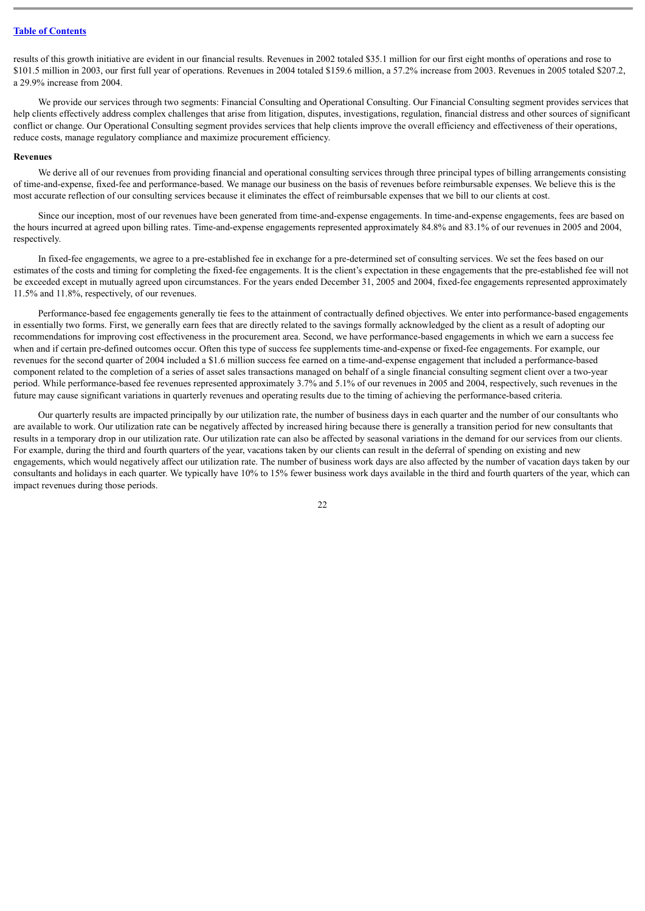results of this growth initiative are evident in our financial results. Revenues in 2002 totaled \$35.1 million for our first eight months of operations and rose to \$101.5 million in 2003, our first full year of operations. Revenues in 2004 totaled \$159.6 million, a 57.2% increase from 2003. Revenues in 2005 totaled \$207.2, a 29.9% increase from 2004.

We provide our services through two segments: Financial Consulting and Operational Consulting. Our Financial Consulting segment provides services that help clients effectively address complex challenges that arise from litigation, disputes, investigations, regulation, financial distress and other sources of significant conflict or change. Our Operational Consulting segment provides services that help clients improve the overall efficiency and effectiveness of their operations, reduce costs, manage regulatory compliance and maximize procurement efficiency.

#### **Revenues**

We derive all of our revenues from providing financial and operational consulting services through three principal types of billing arrangements consisting of time-and-expense, fixed-fee and performance-based. We manage our business on the basis of revenues before reimbursable expenses. We believe this is the most accurate reflection of our consulting services because it eliminates the effect of reimbursable expenses that we bill to our clients at cost.

Since our inception, most of our revenues have been generated from time-and-expense engagements. In time-and-expense engagements, fees are based on the hours incurred at agreed upon billing rates. Time-and-expense engagements represented approximately 84.8% and 83.1% of our revenues in 2005 and 2004, respectively.

In fixed-fee engagements, we agree to a pre-established fee in exchange for a pre-determined set of consulting services. We set the fees based on our estimates of the costs and timing for completing the fixed-fee engagements. It is the client's expectation in these engagements that the pre-established fee will not be exceeded except in mutually agreed upon circumstances. For the years ended December 31, 2005 and 2004, fixed-fee engagements represented approximately 11.5% and 11.8%, respectively, of our revenues.

Performance-based fee engagements generally tie fees to the attainment of contractually defined objectives. We enter into performance-based engagements in essentially two forms. First, we generally earn fees that are directly related to the savings formally acknowledged by the client as a result of adopting our recommendations for improving cost effectiveness in the procurement area. Second, we have performance-based engagements in which we earn a success fee when and if certain pre-defined outcomes occur. Often this type of success fee supplements time-and-expense or fixed-fee engagements. For example, our revenues for the second quarter of 2004 included a \$1.6 million success fee earned on a time-and-expense engagement that included a performance-based component related to the completion of a series of asset sales transactions managed on behalf of a single financial consulting segment client over a two-year period. While performance-based fee revenues represented approximately 3.7% and 5.1% of our revenues in 2005 and 2004, respectively, such revenues in the future may cause significant variations in quarterly revenues and operating results due to the timing of achieving the performance-based criteria.

Our quarterly results are impacted principally by our utilization rate, the number of business days in each quarter and the number of our consultants who are available to work. Our utilization rate can be negatively affected by increased hiring because there is generally a transition period for new consultants that results in a temporary drop in our utilization rate. Our utilization rate can also be affected by seasonal variations in the demand for our services from our clients. For example, during the third and fourth quarters of the year, vacations taken by our clients can result in the deferral of spending on existing and new engagements, which would negatively affect our utilization rate. The number of business work days are also affected by the number of vacation days taken by our consultants and holidays in each quarter. We typically have 10% to 15% fewer business work days available in the third and fourth quarters of the year, which can impact revenues during those periods.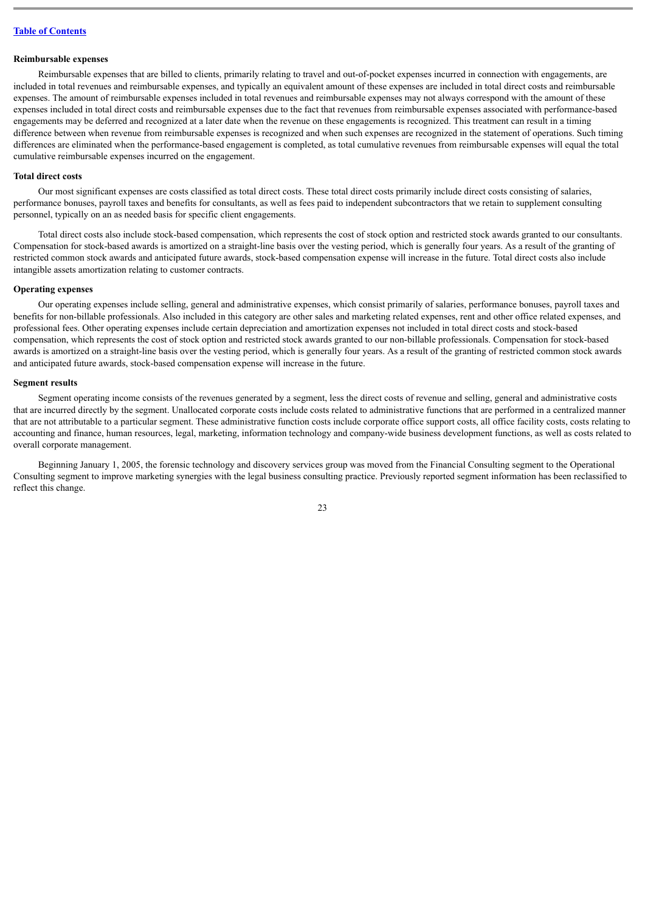#### **Reimbursable expenses**

Reimbursable expenses that are billed to clients, primarily relating to travel and out-of-pocket expenses incurred in connection with engagements, are included in total revenues and reimbursable expenses, and typically an equivalent amount of these expenses are included in total direct costs and reimbursable expenses. The amount of reimbursable expenses included in total revenues and reimbursable expenses may not always correspond with the amount of these expenses included in total direct costs and reimbursable expenses due to the fact that revenues from reimbursable expenses associated with performance-based engagements may be deferred and recognized at a later date when the revenue on these engagements is recognized. This treatment can result in a timing difference between when revenue from reimbursable expenses is recognized and when such expenses are recognized in the statement of operations. Such timing differences are eliminated when the performance-based engagement is completed, as total cumulative revenues from reimbursable expenses will equal the total cumulative reimbursable expenses incurred on the engagement.

#### **Total direct costs**

Our most significant expenses are costs classified as total direct costs. These total direct costs primarily include direct costs consisting of salaries, performance bonuses, payroll taxes and benefits for consultants, as well as fees paid to independent subcontractors that we retain to supplement consulting personnel, typically on an as needed basis for specific client engagements.

Total direct costs also include stock-based compensation, which represents the cost of stock option and restricted stock awards granted to our consultants. Compensation for stock-based awards is amortized on a straight-line basis over the vesting period, which is generally four years. As a result of the granting of restricted common stock awards and anticipated future awards, stock-based compensation expense will increase in the future. Total direct costs also include intangible assets amortization relating to customer contracts.

#### **Operating expenses**

Our operating expenses include selling, general and administrative expenses, which consist primarily of salaries, performance bonuses, payroll taxes and benefits for non-billable professionals. Also included in this category are other sales and marketing related expenses, rent and other office related expenses, and professional fees. Other operating expenses include certain depreciation and amortization expenses not included in total direct costs and stock-based compensation, which represents the cost of stock option and restricted stock awards granted to our non-billable professionals. Compensation for stock-based awards is amortized on a straight-line basis over the vesting period, which is generally four years. As a result of the granting of restricted common stock awards and anticipated future awards, stock-based compensation expense will increase in the future.

# **Segment results**

Segment operating income consists of the revenues generated by a segment, less the direct costs of revenue and selling, general and administrative costs that are incurred directly by the segment. Unallocated corporate costs include costs related to administrative functions that are performed in a centralized manner that are not attributable to a particular segment. These administrative function costs include corporate office support costs, all office facility costs, costs relating to accounting and finance, human resources, legal, marketing, information technology and company-wide business development functions, as well as costs related to overall corporate management.

Beginning January 1, 2005, the forensic technology and discovery services group was moved from the Financial Consulting segment to the Operational Consulting segment to improve marketing synergies with the legal business consulting practice. Previously reported segment information has been reclassified to reflect this change.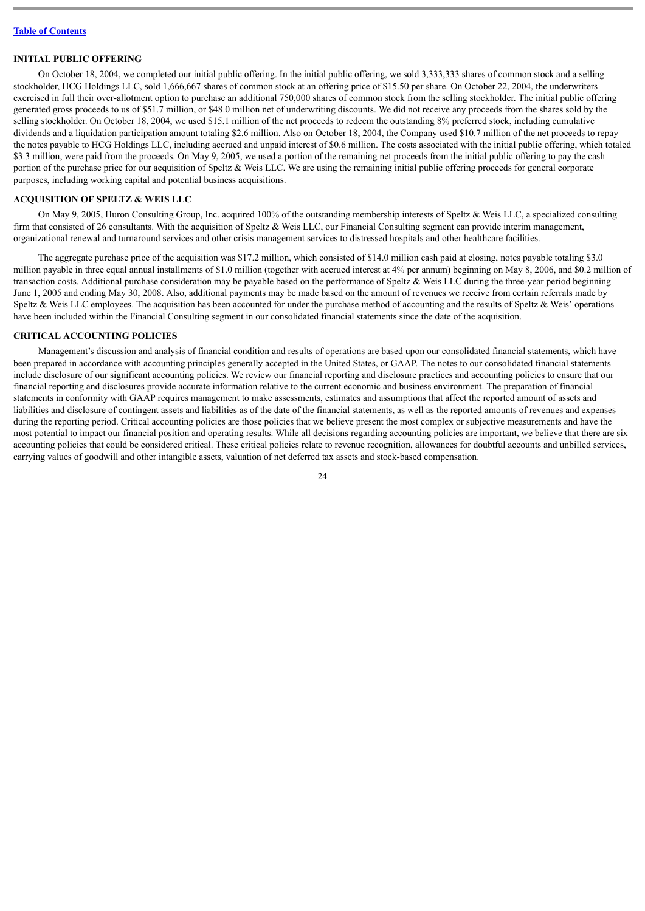# **INITIAL PUBLIC OFFERING**

On October 18, 2004, we completed our initial public offering. In the initial public offering, we sold 3,333,333 shares of common stock and a selling stockholder, HCG Holdings LLC, sold 1,666,667 shares of common stock at an offering price of \$15.50 per share. On October 22, 2004, the underwriters exercised in full their over-allotment option to purchase an additional 750,000 shares of common stock from the selling stockholder. The initial public offering generated gross proceeds to us of \$51.7 million, or \$48.0 million net of underwriting discounts. We did not receive any proceeds from the shares sold by the selling stockholder. On October 18, 2004, we used \$15.1 million of the net proceeds to redeem the outstanding 8% preferred stock, including cumulative dividends and a liquidation participation amount totaling \$2.6 million. Also on October 18, 2004, the Company used \$10.7 million of the net proceeds to repay the notes payable to HCG Holdings LLC, including accrued and unpaid interest of \$0.6 million. The costs associated with the initial public offering, which totaled \$3.3 million, were paid from the proceeds. On May 9, 2005, we used a portion of the remaining net proceeds from the initial public offering to pay the cash portion of the purchase price for our acquisition of Speltz & Weis LLC. We are using the remaining initial public offering proceeds for general corporate purposes, including working capital and potential business acquisitions.

#### **ACQUISITION OF SPELTZ & WEIS LLC**

On May 9, 2005, Huron Consulting Group, Inc. acquired 100% of the outstanding membership interests of Speltz & Weis LLC, a specialized consulting firm that consisted of 26 consultants. With the acquisition of Speltz & Weis LLC, our Financial Consulting segment can provide interim management, organizational renewal and turnaround services and other crisis management services to distressed hospitals and other healthcare facilities.

The aggregate purchase price of the acquisition was \$17.2 million, which consisted of \$14.0 million cash paid at closing, notes payable totaling \$3.0 million payable in three equal annual installments of \$1.0 million (together with accrued interest at 4% per annum) beginning on May 8, 2006, and \$0.2 million of transaction costs. Additional purchase consideration may be payable based on the performance of Speltz & Weis LLC during the three-year period beginning June 1, 2005 and ending May 30, 2008. Also, additional payments may be made based on the amount of revenues we receive from certain referrals made by Speltz & Weis LLC employees. The acquisition has been accounted for under the purchase method of accounting and the results of Speltz & Weis' operations have been included within the Financial Consulting segment in our consolidated financial statements since the date of the acquisition.

# **CRITICAL ACCOUNTING POLICIES**

Management's discussion and analysis of financial condition and results of operations are based upon our consolidated financial statements, which have been prepared in accordance with accounting principles generally accepted in the United States, or GAAP. The notes to our consolidated financial statements include disclosure of our significant accounting policies. We review our financial reporting and disclosure practices and accounting policies to ensure that our financial reporting and disclosures provide accurate information relative to the current economic and business environment. The preparation of financial statements in conformity with GAAP requires management to make assessments, estimates and assumptions that affect the reported amount of assets and liabilities and disclosure of contingent assets and liabilities as of the date of the financial statements, as well as the reported amounts of revenues and expenses during the reporting period. Critical accounting policies are those policies that we believe present the most complex or subjective measurements and have the most potential to impact our financial position and operating results. While all decisions regarding accounting policies are important, we believe that there are six accounting policies that could be considered critical. These critical policies relate to revenue recognition, allowances for doubtful accounts and unbilled services, carrying values of goodwill and other intangible assets, valuation of net deferred tax assets and stock-based compensation.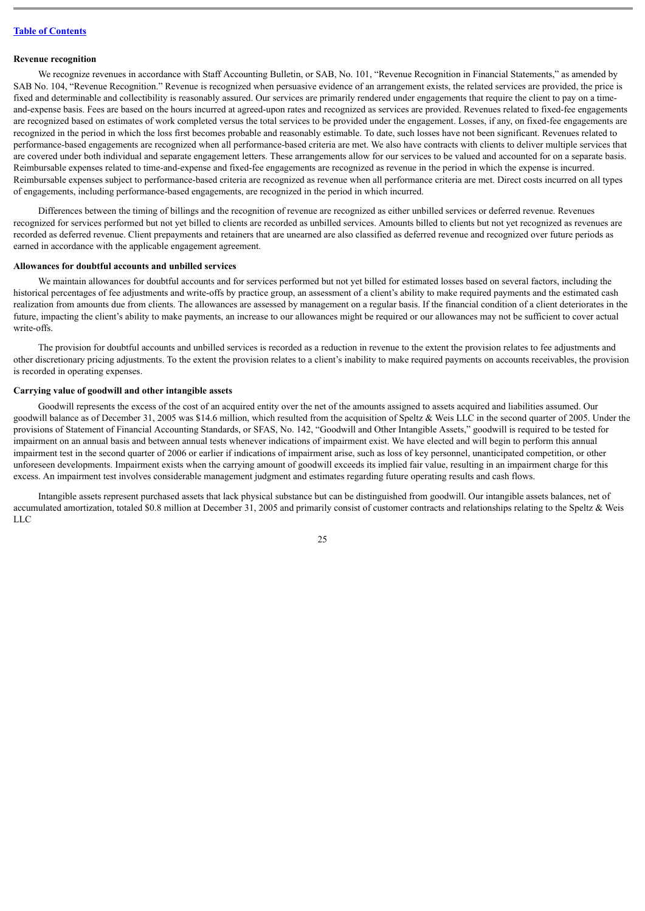#### **Revenue recognition**

We recognize revenues in accordance with Staff Accounting Bulletin, or SAB, No. 101, "Revenue Recognition in Financial Statements," as amended by SAB No. 104, "Revenue Recognition." Revenue is recognized when persuasive evidence of an arrangement exists, the related services are provided, the price is fixed and determinable and collectibility is reasonably assured. Our services are primarily rendered under engagements that require the client to pay on a timeand-expense basis. Fees are based on the hours incurred at agreed-upon rates and recognized as services are provided. Revenues related to fixed-fee engagements are recognized based on estimates of work completed versus the total services to be provided under the engagement. Losses, if any, on fixed-fee engagements are recognized in the period in which the loss first becomes probable and reasonably estimable. To date, such losses have not been significant. Revenues related to performance-based engagements are recognized when all performance-based criteria are met. We also have contracts with clients to deliver multiple services that are covered under both individual and separate engagement letters. These arrangements allow for our services to be valued and accounted for on a separate basis. Reimbursable expenses related to time-and-expense and fixed-fee engagements are recognized as revenue in the period in which the expense is incurred. Reimbursable expenses subject to performance-based criteria are recognized as revenue when all performance criteria are met. Direct costs incurred on all types of engagements, including performance-based engagements, are recognized in the period in which incurred.

Differences between the timing of billings and the recognition of revenue are recognized as either unbilled services or deferred revenue. Revenues recognized for services performed but not yet billed to clients are recorded as unbilled services. Amounts billed to clients but not yet recognized as revenues are recorded as deferred revenue. Client prepayments and retainers that are unearned are also classified as deferred revenue and recognized over future periods as earned in accordance with the applicable engagement agreement.

#### **Allowances for doubtful accounts and unbilled services**

We maintain allowances for doubtful accounts and for services performed but not yet billed for estimated losses based on several factors, including the historical percentages of fee adjustments and write-offs by practice group, an assessment of a client's ability to make required payments and the estimated cash realization from amounts due from clients. The allowances are assessed by management on a regular basis. If the financial condition of a client deteriorates in the future, impacting the client's ability to make payments, an increase to our allowances might be required or our allowances may not be sufficient to cover actual write-offs.

The provision for doubtful accounts and unbilled services is recorded as a reduction in revenue to the extent the provision relates to fee adjustments and other discretionary pricing adjustments. To the extent the provision relates to a client's inability to make required payments on accounts receivables, the provision is recorded in operating expenses.

#### **Carrying value of goodwill and other intangible assets**

Goodwill represents the excess of the cost of an acquired entity over the net of the amounts assigned to assets acquired and liabilities assumed. Our goodwill balance as of December 31, 2005 was \$14.6 million, which resulted from the acquisition of Speltz & Weis LLC in the second quarter of 2005. Under the provisions of Statement of Financial Accounting Standards, or SFAS, No. 142, "Goodwill and Other Intangible Assets," goodwill is required to be tested for impairment on an annual basis and between annual tests whenever indications of impairment exist. We have elected and will begin to perform this annual impairment test in the second quarter of 2006 or earlier if indications of impairment arise, such as loss of key personnel, unanticipated competition, or other unforeseen developments. Impairment exists when the carrying amount of goodwill exceeds its implied fair value, resulting in an impairment charge for this excess. An impairment test involves considerable management judgment and estimates regarding future operating results and cash flows.

Intangible assets represent purchased assets that lack physical substance but can be distinguished from goodwill. Our intangible assets balances, net of accumulated amortization, totaled \$0.8 million at December 31, 2005 and primarily consist of customer contracts and relationships relating to the Speltz & Weis LLC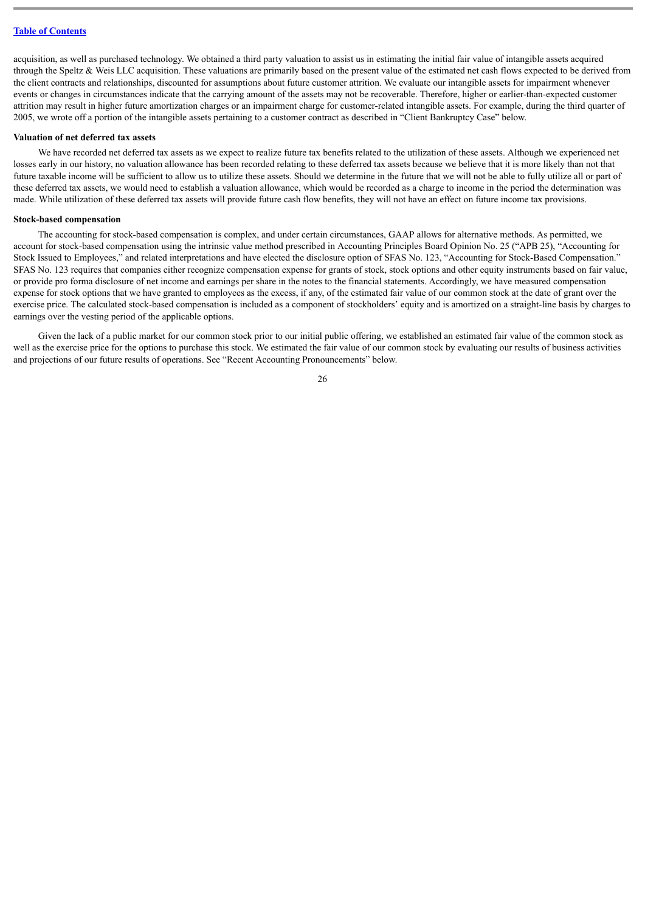acquisition, as well as purchased technology. We obtained a third party valuation to assist us in estimating the initial fair value of intangible assets acquired through the Speltz & Weis LLC acquisition. These valuations are primarily based on the present value of the estimated net cash flows expected to be derived from the client contracts and relationships, discounted for assumptions about future customer attrition. We evaluate our intangible assets for impairment whenever events or changes in circumstances indicate that the carrying amount of the assets may not be recoverable. Therefore, higher or earlier-than-expected customer attrition may result in higher future amortization charges or an impairment charge for customer-related intangible assets. For example, during the third quarter of 2005, we wrote off a portion of the intangible assets pertaining to a customer contract as described in "Client Bankruptcy Case" below.

# **Valuation of net deferred tax assets**

We have recorded net deferred tax assets as we expect to realize future tax benefits related to the utilization of these assets. Although we experienced net losses early in our history, no valuation allowance has been recorded relating to these deferred tax assets because we believe that it is more likely than not that future taxable income will be sufficient to allow us to utilize these assets. Should we determine in the future that we will not be able to fully utilize all or part of these deferred tax assets, we would need to establish a valuation allowance, which would be recorded as a charge to income in the period the determination was made. While utilization of these deferred tax assets will provide future cash flow benefits, they will not have an effect on future income tax provisions.

#### **Stock-based compensation**

The accounting for stock-based compensation is complex, and under certain circumstances, GAAP allows for alternative methods. As permitted, we account for stock-based compensation using the intrinsic value method prescribed in Accounting Principles Board Opinion No. 25 ("APB 25), "Accounting for Stock Issued to Employees," and related interpretations and have elected the disclosure option of SFAS No. 123, "Accounting for Stock-Based Compensation." SFAS No. 123 requires that companies either recognize compensation expense for grants of stock, stock options and other equity instruments based on fair value, or provide pro forma disclosure of net income and earnings per share in the notes to the financial statements. Accordingly, we have measured compensation expense for stock options that we have granted to employees as the excess, if any, of the estimated fair value of our common stock at the date of grant over the exercise price. The calculated stock-based compensation is included as a component of stockholders' equity and is amortized on a straight-line basis by charges to earnings over the vesting period of the applicable options.

Given the lack of a public market for our common stock prior to our initial public offering, we established an estimated fair value of the common stock as well as the exercise price for the options to purchase this stock. We estimated the fair value of our common stock by evaluating our results of business activities and projections of our future results of operations. See "Recent Accounting Pronouncements" below.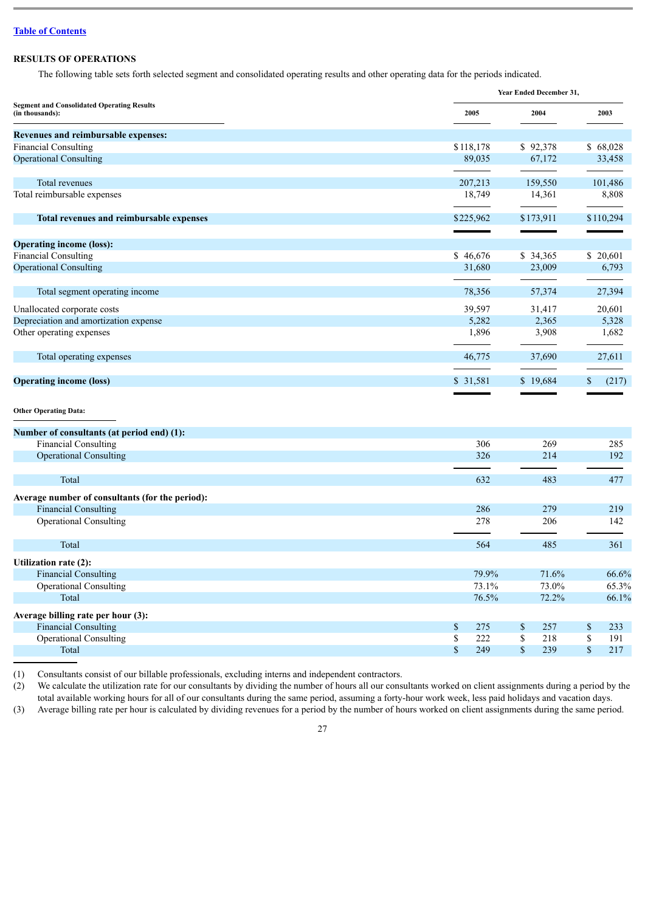# **RESULTS OF OPERATIONS**

The following table sets forth selected segment and consolidated operating results and other operating data for the periods indicated.

|                                                                      |           | Year Ended December 31, |                     |  |  |
|----------------------------------------------------------------------|-----------|-------------------------|---------------------|--|--|
| <b>Segment and Consolidated Operating Results</b><br>(in thousands): | 2005      | 2004                    | 2003                |  |  |
| Revenues and reimbursable expenses:                                  |           |                         |                     |  |  |
| <b>Financial Consulting</b>                                          | \$118,178 | \$92,378                | \$68,028            |  |  |
| <b>Operational Consulting</b>                                        | 89,035    | 67,172                  | 33,458              |  |  |
| Total revenues                                                       | 207,213   | 159,550                 | 101,486             |  |  |
| Total reimbursable expenses                                          | 18,749    | 14,361                  | 8,808               |  |  |
| Total revenues and reimbursable expenses                             | \$225,962 | \$173,911               | \$110,294           |  |  |
| <b>Operating income (loss):</b>                                      |           |                         |                     |  |  |
| <b>Financial Consulting</b>                                          | \$46,676  | \$ 34,365               | $\overline{20,601}$ |  |  |
| <b>Operational Consulting</b>                                        | 31,680    | 23,009                  | 6,793               |  |  |
| Total segment operating income                                       | 78,356    | 57,374                  | 27,394              |  |  |
| Unallocated corporate costs                                          | 39,597    | 31,417                  | 20,601              |  |  |
| Depreciation and amortization expense                                | 5,282     | 2,365                   | 5,328               |  |  |
| Other operating expenses                                             | 1,896     | 3,908                   | 1,682               |  |  |
| Total operating expenses                                             | 46,775    | 37,690                  | 27,611              |  |  |
| <b>Operating income (loss)</b>                                       | \$31,581  | \$19,684                | \$<br>(217)         |  |  |
| <b>Other Operating Data:</b>                                         |           |                         |                     |  |  |
| Number of consultants (at period end) (1):                           |           |                         |                     |  |  |
| <b>Financial Consulting</b>                                          | 306       | 269                     | 285                 |  |  |
| <b>Operational Consulting</b>                                        | 326       | 214                     | 192                 |  |  |
| Total                                                                | 632       | 483                     | 477                 |  |  |
| Average number of consultants (for the period):                      |           |                         |                     |  |  |
| <b>Financial Consulting</b>                                          | 286       | 279                     | 219                 |  |  |
| <b>Operational Consulting</b>                                        | 278       | 206                     | 142                 |  |  |
| Total                                                                | 564       | 485                     | 361                 |  |  |
| Utilization rate (2):                                                |           |                         |                     |  |  |
| <b>Financial Consulting</b>                                          | 79.9%     | 71.6%                   | 66.6%               |  |  |
| <b>Operational Consulting</b>                                        | 73.1%     | 73.0%                   | 65.3%               |  |  |
| Total                                                                | 76.5%     | 72.2%                   | 66.1%               |  |  |

**Average billing rate per hour (3):** Financial Consulting **1996** Supervisor Consulting Supervisor Supervisor Supervisor Supervisor Supervisor Supervisor Supervisor Supervisor Supervisor Supervisor Supervisor Supervisor Supervisor Supervisor Supervisor Supervi Operational Consulting  $\begin{array}{ccc} \text{5} & 222 & \text{5} & 218 & \text{5} \\ \text{Total} & \text{5} & 249 & \text{5} & 239 & \text{5} \end{array}$ Total  $\frac{1}{2}$  239 \$ 217

(1) Consultants consist of our billable professionals, excluding interns and independent contractors.

(2) We calculate the utilization rate for our consultants by dividing the number of hours all our consultants worked on client assignments during a period by the total available working hours for all of our consultants during the same period, assuming a forty-hour work week, less paid holidays and vacation days.

(3) Average billing rate per hour is calculated by dividing revenues for a period by the number of hours worked on client assignments during the same period.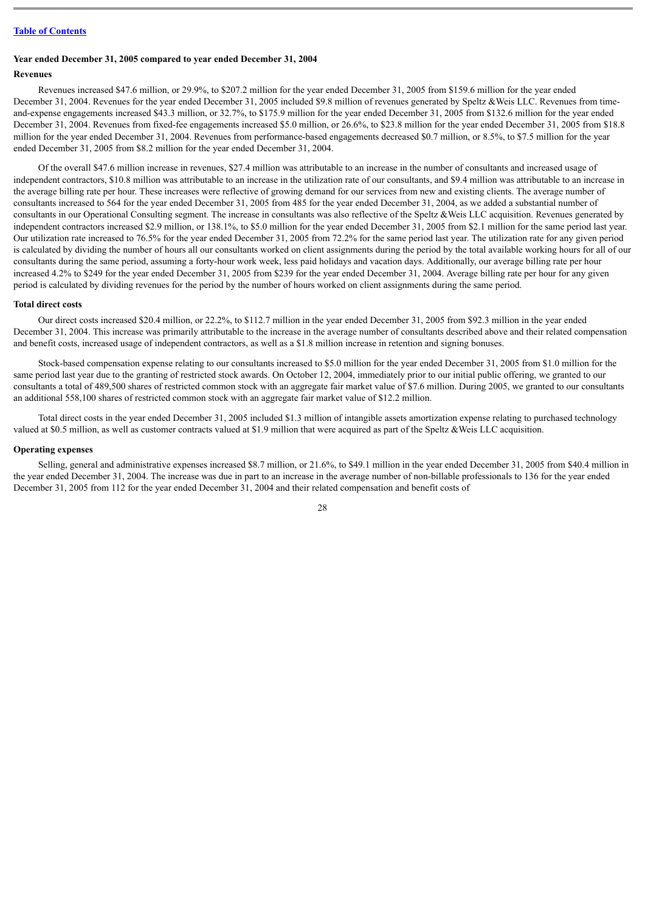# **Year ended December 31, 2005 compared to year ended December 31, 2004**

# **Revenues**

Revenues increased \$47.6 million, or 29.9%, to \$207.2 million for the year ended December 31, 2005 from \$159.6 million for the year ended December 31, 2004. Revenues for the year ended December 31, 2005 included \$9.8 million of revenues generated by Speltz &Weis LLC. Revenues from timeand-expense engagements increased \$43.3 million, or 32.7%, to \$175.9 million for the year ended December 31, 2005 from \$132.6 million for the year ended December 31, 2004. Revenues from fixed-fee engagements increased \$5.0 million, or 26.6%, to \$23.8 million for the year ended December 31, 2005 from \$18.8 million for the year ended December 31, 2004. Revenues from performance-based engagements decreased \$0.7 million, or 8.5%, to \$7.5 million for the year ended December 31, 2005 from \$8.2 million for the year ended December 31, 2004.

Of the overall \$47.6 million increase in revenues, \$27.4 million was attributable to an increase in the number of consultants and increased usage of independent contractors, \$10.8 million was attributable to an increase in the utilization rate of our consultants, and \$9.4 million was attributable to an increase in the average billing rate per hour. These increases were reflective of growing demand for our services from new and existing clients. The average number of consultants increased to 564 for the year ended December 31, 2005 from 485 for the year ended December 31, 2004, as we added a substantial number of consultants in our Operational Consulting segment. The increase in consultants was also reflective of the Speltz &Weis LLC acquisition. Revenues generated by independent contractors increased \$2.9 million, or 138.1%, to \$5.0 million for the year ended December 31, 2005 from \$2.1 million for the same period last year. Our utilization rate increased to 76.5% for the year ended December 31, 2005 from 72.2% for the same period last year. The utilization rate for any given period is calculated by dividing the number of hours all our consultants worked on client assignments during the period by the total available working hours for all of our consultants during the same period, assuming a forty-hour work week, less paid holidays and vacation days. Additionally, our average billing rate per hour increased 4.2% to \$249 for the year ended December 31, 2005 from \$239 for the year ended December 31, 2004. Average billing rate per hour for any given period is calculated by dividing revenues for the period by the number of hours worked on client assignments during the same period.

#### **Total direct costs**

Our direct costs increased \$20.4 million, or 22.2%, to \$112.7 million in the year ended December 31, 2005 from \$92.3 million in the year ended December 31, 2004. This increase was primarily attributable to the increase in the average number of consultants described above and their related compensation and benefit costs, increased usage of independent contractors, as well as a \$1.8 million increase in retention and signing bonuses.

Stock-based compensation expense relating to our consultants increased to \$5.0 million for the year ended December 31, 2005 from \$1.0 million for the same period last year due to the granting of restricted stock awards. On October 12, 2004, immediately prior to our initial public offering, we granted to our consultants a total of 489,500 shares of restricted common stock with an aggregate fair market value of \$7.6 million. During 2005, we granted to our consultants an additional 558,100 shares of restricted common stock with an aggregate fair market value of \$12.2 million.

Total direct costs in the year ended December 31, 2005 included \$1.3 million of intangible assets amortization expense relating to purchased technology valued at \$0.5 million, as well as customer contracts valued at \$1.9 million that were acquired as part of the Speltz &Weis LLC acquisition.

#### **Operating expenses**

Selling, general and administrative expenses increased \$8.7 million, or 21.6%, to \$49.1 million in the year ended December 31, 2005 from \$40.4 million in the year ended December 31, 2004. The increase was due in part to an increase in the average number of non-billable professionals to 136 for the year ended December 31, 2005 from 112 for the year ended December 31, 2004 and their related compensation and benefit costs of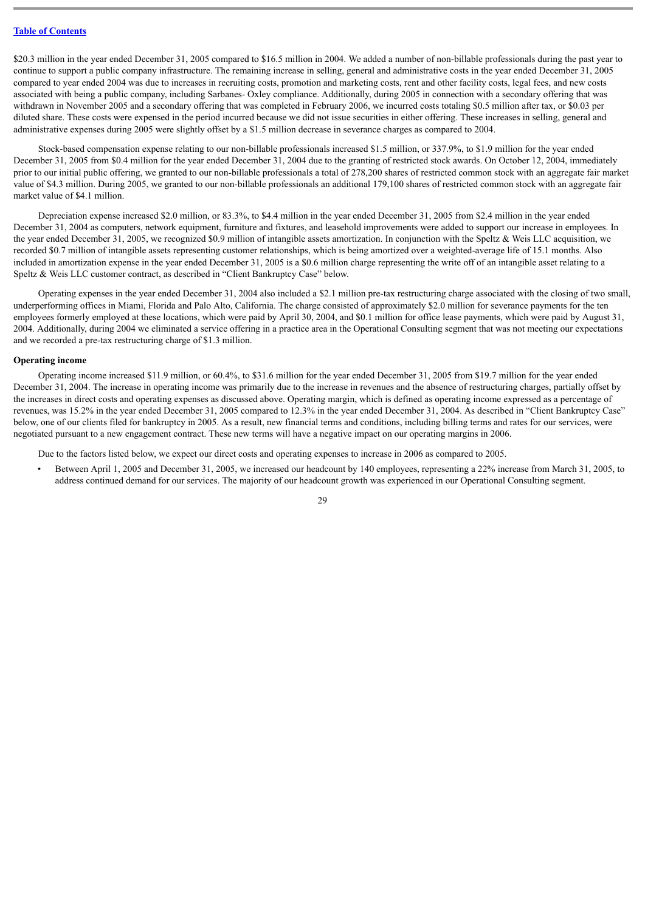\$20.3 million in the year ended December 31, 2005 compared to \$16.5 million in 2004. We added a number of non-billable professionals during the past year to continue to support a public company infrastructure. The remaining increase in selling, general and administrative costs in the year ended December 31, 2005 compared to year ended 2004 was due to increases in recruiting costs, promotion and marketing costs, rent and other facility costs, legal fees, and new costs associated with being a public company, including Sarbanes- Oxley compliance. Additionally, during 2005 in connection with a secondary offering that was withdrawn in November 2005 and a secondary offering that was completed in February 2006, we incurred costs totaling \$0.5 million after tax, or \$0.03 per diluted share. These costs were expensed in the period incurred because we did not issue securities in either offering. These increases in selling, general and administrative expenses during 2005 were slightly offset by a \$1.5 million decrease in severance charges as compared to 2004.

Stock-based compensation expense relating to our non-billable professionals increased \$1.5 million, or 337.9%, to \$1.9 million for the year ended December 31, 2005 from \$0.4 million for the year ended December 31, 2004 due to the granting of restricted stock awards. On October 12, 2004, immediately prior to our initial public offering, we granted to our non-billable professionals a total of 278,200 shares of restricted common stock with an aggregate fair market value of \$4.3 million. During 2005, we granted to our non-billable professionals an additional 179,100 shares of restricted common stock with an aggregate fair market value of \$4.1 million.

Depreciation expense increased \$2.0 million, or 83.3%, to \$4.4 million in the year ended December 31, 2005 from \$2.4 million in the year ended December 31, 2004 as computers, network equipment, furniture and fixtures, and leasehold improvements were added to support our increase in employees. In the year ended December 31, 2005, we recognized \$0.9 million of intangible assets amortization. In conjunction with the Speltz & Weis LLC acquisition, we recorded \$0.7 million of intangible assets representing customer relationships, which is being amortized over a weighted-average life of 15.1 months. Also included in amortization expense in the year ended December 31, 2005 is a \$0.6 million charge representing the write off of an intangible asset relating to a Speltz & Weis LLC customer contract, as described in "Client Bankruptcy Case" below.

Operating expenses in the year ended December 31, 2004 also included a \$2.1 million pre-tax restructuring charge associated with the closing of two small, underperforming offices in Miami, Florida and Palo Alto, California. The charge consisted of approximately \$2.0 million for severance payments for the ten employees formerly employed at these locations, which were paid by April 30, 2004, and \$0.1 million for office lease payments, which were paid by August 31, 2004. Additionally, during 2004 we eliminated a service offering in a practice area in the Operational Consulting segment that was not meeting our expectations and we recorded a pre-tax restructuring charge of \$1.3 million.

#### **Operating income**

Operating income increased \$11.9 million, or 60.4%, to \$31.6 million for the year ended December 31, 2005 from \$19.7 million for the year ended December 31, 2004. The increase in operating income was primarily due to the increase in revenues and the absence of restructuring charges, partially offset by the increases in direct costs and operating expenses as discussed above. Operating margin, which is defined as operating income expressed as a percentage of revenues, was 15.2% in the year ended December 31, 2005 compared to 12.3% in the year ended December 31, 2004. As described in "Client Bankruptcy Case" below, one of our clients filed for bankruptcy in 2005. As a result, new financial terms and conditions, including billing terms and rates for our services, were negotiated pursuant to a new engagement contract. These new terms will have a negative impact on our operating margins in 2006.

Due to the factors listed below, we expect our direct costs and operating expenses to increase in 2006 as compared to 2005.

• Between April 1, 2005 and December 31, 2005, we increased our headcount by 140 employees, representing a 22% increase from March 31, 2005, to address continued demand for our services. The majority of our headcount growth was experienced in our Operational Consulting segment.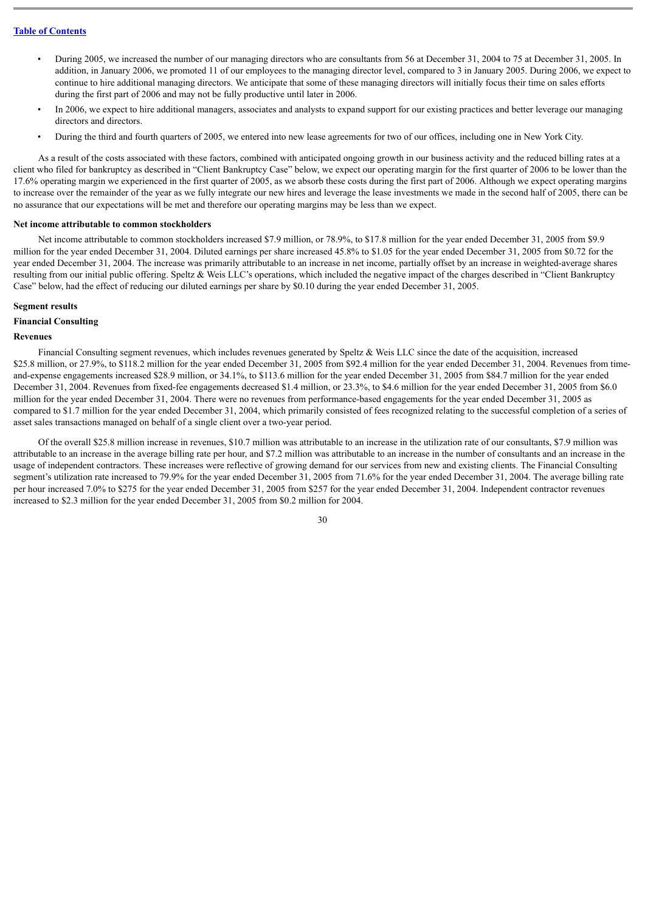- During 2005, we increased the number of our managing directors who are consultants from 56 at December 31, 2004 to 75 at December 31, 2005. In addition, in January 2006, we promoted 11 of our employees to the managing director level, compared to 3 in January 2005. During 2006, we expect to continue to hire additional managing directors. We anticipate that some of these managing directors will initially focus their time on sales efforts during the first part of 2006 and may not be fully productive until later in 2006.
- In 2006, we expect to hire additional managers, associates and analysts to expand support for our existing practices and better leverage our managing directors and directors.
- During the third and fourth quarters of 2005, we entered into new lease agreements for two of our offices, including one in New York City.

As a result of the costs associated with these factors, combined with anticipated ongoing growth in our business activity and the reduced billing rates at a client who filed for bankruptcy as described in "Client Bankruptcy Case" below, we expect our operating margin for the first quarter of 2006 to be lower than the 17.6% operating margin we experienced in the first quarter of 2005, as we absorb these costs during the first part of 2006. Although we expect operating margins to increase over the remainder of the year as we fully integrate our new hires and leverage the lease investments we made in the second half of 2005, there can be no assurance that our expectations will be met and therefore our operating margins may be less than we expect.

#### **Net income attributable to common stockholders**

Net income attributable to common stockholders increased \$7.9 million, or 78.9%, to \$17.8 million for the year ended December 31, 2005 from \$9.9 million for the year ended December 31, 2004. Diluted earnings per share increased 45.8% to \$1.05 for the year ended December 31, 2005 from \$0.72 for the year ended December 31, 2004. The increase was primarily attributable to an increase in net income, partially offset by an increase in weighted-average shares resulting from our initial public offering. Speltz & Weis LLC's operations, which included the negative impact of the charges described in "Client Bankruptcy Case" below, had the effect of reducing our diluted earnings per share by \$0.10 during the year ended December 31, 2005.

# **Segment results**

#### **Financial Consulting**

#### **Revenues**

Financial Consulting segment revenues, which includes revenues generated by Speltz & Weis LLC since the date of the acquisition, increased \$25.8 million, or 27.9%, to \$118.2 million for the year ended December 31, 2005 from \$92.4 million for the year ended December 31, 2004. Revenues from timeand-expense engagements increased \$28.9 million, or 34.1%, to \$113.6 million for the year ended December 31, 2005 from \$84.7 million for the year ended December 31, 2004. Revenues from fixed-fee engagements decreased \$1.4 million, or 23.3%, to \$4.6 million for the year ended December 31, 2005 from \$6.0 million for the year ended December 31, 2004. There were no revenues from performance-based engagements for the year ended December 31, 2005 as compared to \$1.7 million for the year ended December 31, 2004, which primarily consisted of fees recognized relating to the successful completion of a series of asset sales transactions managed on behalf of a single client over a two-year period.

Of the overall \$25.8 million increase in revenues, \$10.7 million was attributable to an increase in the utilization rate of our consultants, \$7.9 million was attributable to an increase in the average billing rate per hour, and \$7.2 million was attributable to an increase in the number of consultants and an increase in the usage of independent contractors. These increases were reflective of growing demand for our services from new and existing clients. The Financial Consulting segment's utilization rate increased to 79.9% for the year ended December 31, 2005 from 71.6% for the year ended December 31, 2004. The average billing rate per hour increased 7.0% to \$275 for the year ended December 31, 2005 from \$257 for the year ended December 31, 2004. Independent contractor revenues increased to \$2.3 million for the year ended December 31, 2005 from \$0.2 million for 2004.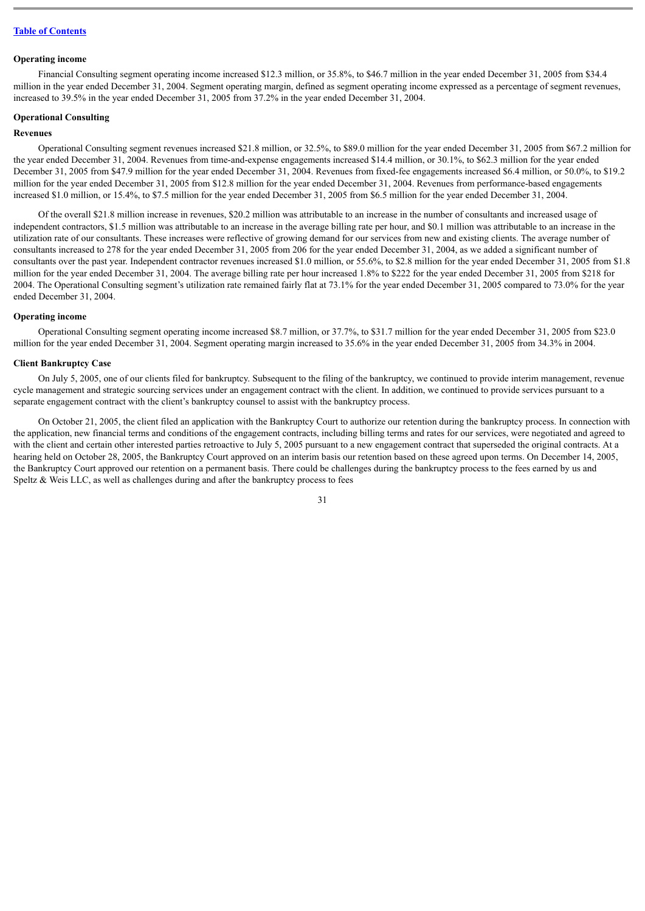#### **Operating income**

Financial Consulting segment operating income increased \$12.3 million, or 35.8%, to \$46.7 million in the year ended December 31, 2005 from \$34.4 million in the year ended December 31, 2004. Segment operating margin, defined as segment operating income expressed as a percentage of segment revenues, increased to 39.5% in the year ended December 31, 2005 from 37.2% in the year ended December 31, 2004.

#### **Operational Consulting**

#### **Revenues**

Operational Consulting segment revenues increased \$21.8 million, or 32.5%, to \$89.0 million for the year ended December 31, 2005 from \$67.2 million for the year ended December 31, 2004. Revenues from time-and-expense engagements increased \$14.4 million, or 30.1%, to \$62.3 million for the year ended December 31, 2005 from \$47.9 million for the year ended December 31, 2004. Revenues from fixed-fee engagements increased \$6.4 million, or 50.0%, to \$19.2 million for the year ended December 31, 2005 from \$12.8 million for the year ended December 31, 2004. Revenues from performance-based engagements increased \$1.0 million, or 15.4%, to \$7.5 million for the year ended December 31, 2005 from \$6.5 million for the year ended December 31, 2004.

Of the overall \$21.8 million increase in revenues, \$20.2 million was attributable to an increase in the number of consultants and increased usage of independent contractors, \$1.5 million was attributable to an increase in the average billing rate per hour, and \$0.1 million was attributable to an increase in the utilization rate of our consultants. These increases were reflective of growing demand for our services from new and existing clients. The average number of consultants increased to 278 for the year ended December 31, 2005 from 206 for the year ended December 31, 2004, as we added a significant number of consultants over the past year. Independent contractor revenues increased \$1.0 million, or 55.6%, to \$2.8 million for the year ended December 31, 2005 from \$1.8 million for the year ended December 31, 2004. The average billing rate per hour increased 1.8% to \$222 for the year ended December 31, 2005 from \$218 for 2004. The Operational Consulting segment's utilization rate remained fairly flat at 73.1% for the year ended December 31, 2005 compared to 73.0% for the year ended December 31, 2004.

#### **Operating income**

Operational Consulting segment operating income increased \$8.7 million, or 37.7%, to \$31.7 million for the year ended December 31, 2005 from \$23.0 million for the year ended December 31, 2004. Segment operating margin increased to 35.6% in the year ended December 31, 2005 from 34.3% in 2004.

#### **Client Bankruptcy Case**

On July 5, 2005, one of our clients filed for bankruptcy. Subsequent to the filing of the bankruptcy, we continued to provide interim management, revenue cycle management and strategic sourcing services under an engagement contract with the client. In addition, we continued to provide services pursuant to a separate engagement contract with the client's bankruptcy counsel to assist with the bankruptcy process.

On October 21, 2005, the client filed an application with the Bankruptcy Court to authorize our retention during the bankruptcy process. In connection with the application, new financial terms and conditions of the engagement contracts, including billing terms and rates for our services, were negotiated and agreed to with the client and certain other interested parties retroactive to July 5, 2005 pursuant to a new engagement contract that superseded the original contracts. At a hearing held on October 28, 2005, the Bankruptcy Court approved on an interim basis our retention based on these agreed upon terms. On December 14, 2005, the Bankruptcy Court approved our retention on a permanent basis. There could be challenges during the bankruptcy process to the fees earned by us and Speltz & Weis LLC, as well as challenges during and after the bankruptcy process to fees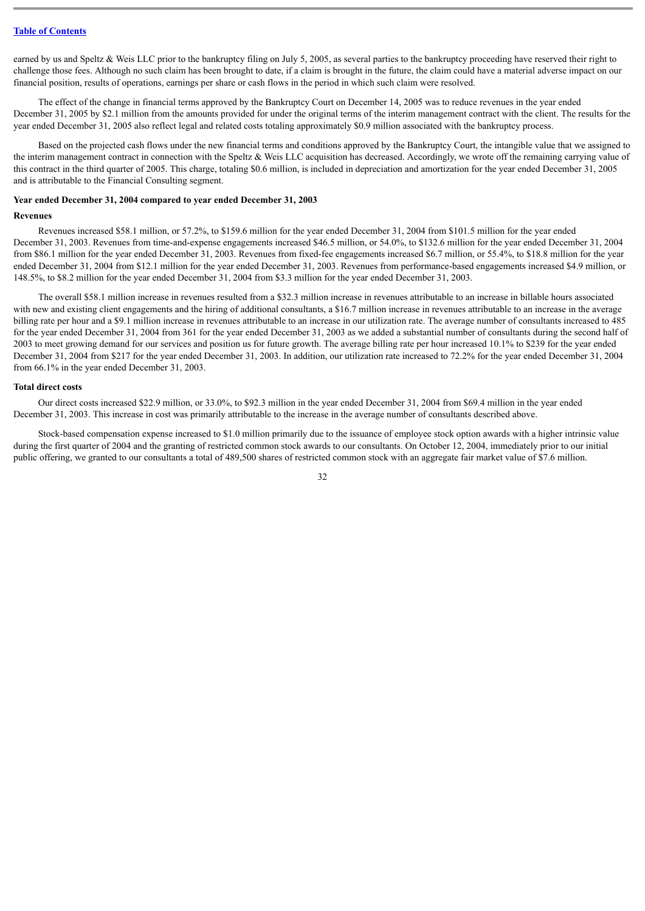earned by us and Speltz & Weis LLC prior to the bankruptcy filing on July 5, 2005, as several parties to the bankruptcy proceeding have reserved their right to challenge those fees. Although no such claim has been brought to date, if a claim is brought in the future, the claim could have a material adverse impact on our financial position, results of operations, earnings per share or cash flows in the period in which such claim were resolved.

The effect of the change in financial terms approved by the Bankruptcy Court on December 14, 2005 was to reduce revenues in the year ended December 31, 2005 by \$2.1 million from the amounts provided for under the original terms of the interim management contract with the client. The results for the year ended December 31, 2005 also reflect legal and related costs totaling approximately \$0.9 million associated with the bankruptcy process.

Based on the projected cash flows under the new financial terms and conditions approved by the Bankruptcy Court, the intangible value that we assigned to the interim management contract in connection with the Speltz & Weis LLC acquisition has decreased. Accordingly, we wrote off the remaining carrying value of this contract in the third quarter of 2005. This charge, totaling \$0.6 million, is included in depreciation and amortization for the year ended December 31, 2005 and is attributable to the Financial Consulting segment.

#### **Year ended December 31, 2004 compared to year ended December 31, 2003**

#### **Revenues**

Revenues increased \$58.1 million, or 57.2%, to \$159.6 million for the year ended December 31, 2004 from \$101.5 million for the year ended December 31, 2003. Revenues from time-and-expense engagements increased \$46.5 million, or 54.0%, to \$132.6 million for the year ended December 31, 2004 from \$86.1 million for the year ended December 31, 2003. Revenues from fixed-fee engagements increased \$6.7 million, or 55.4%, to \$18.8 million for the year ended December 31, 2004 from \$12.1 million for the year ended December 31, 2003. Revenues from performance-based engagements increased \$4.9 million, or 148.5%, to \$8.2 million for the year ended December 31, 2004 from \$3.3 million for the year ended December 31, 2003.

The overall \$58.1 million increase in revenues resulted from a \$32.3 million increase in revenues attributable to an increase in billable hours associated with new and existing client engagements and the hiring of additional consultants, a \$16.7 million increase in revenues attributable to an increase in the average billing rate per hour and a \$9.1 million increase in revenues attributable to an increase in our utilization rate. The average number of consultants increased to 485 for the year ended December 31, 2004 from 361 for the year ended December 31, 2003 as we added a substantial number of consultants during the second half of 2003 to meet growing demand for our services and position us for future growth. The average billing rate per hour increased 10.1% to \$239 for the year ended December 31, 2004 from \$217 for the year ended December 31, 2003. In addition, our utilization rate increased to 72.2% for the year ended December 31, 2004 from 66.1% in the year ended December 31, 2003.

#### **Total direct costs**

Our direct costs increased \$22.9 million, or 33.0%, to \$92.3 million in the year ended December 31, 2004 from \$69.4 million in the year ended December 31, 2003. This increase in cost was primarily attributable to the increase in the average number of consultants described above.

Stock-based compensation expense increased to \$1.0 million primarily due to the issuance of employee stock option awards with a higher intrinsic value during the first quarter of 2004 and the granting of restricted common stock awards to our consultants. On October 12, 2004, immediately prior to our initial public offering, we granted to our consultants a total of 489,500 shares of restricted common stock with an aggregate fair market value of \$7.6 million.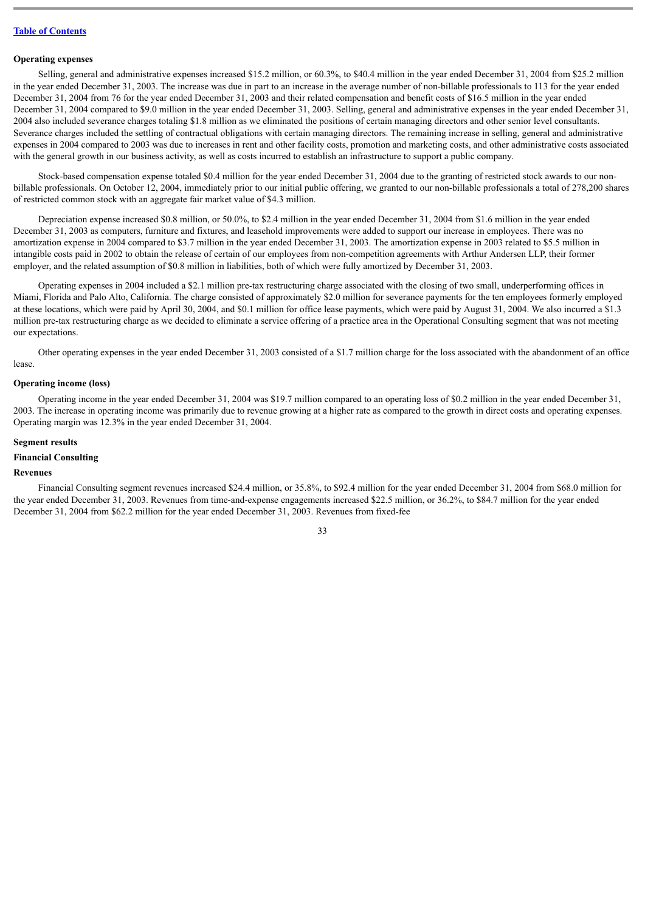#### **Operating expenses**

Selling, general and administrative expenses increased \$15.2 million, or 60.3%, to \$40.4 million in the year ended December 31, 2004 from \$25.2 million in the year ended December 31, 2003. The increase was due in part to an increase in the average number of non-billable professionals to 113 for the year ended December 31, 2004 from 76 for the year ended December 31, 2003 and their related compensation and benefit costs of \$16.5 million in the year ended December 31, 2004 compared to \$9.0 million in the year ended December 31, 2003. Selling, general and administrative expenses in the year ended December 31, 2004 also included severance charges totaling \$1.8 million as we eliminated the positions of certain managing directors and other senior level consultants. Severance charges included the settling of contractual obligations with certain managing directors. The remaining increase in selling, general and administrative expenses in 2004 compared to 2003 was due to increases in rent and other facility costs, promotion and marketing costs, and other administrative costs associated with the general growth in our business activity, as well as costs incurred to establish an infrastructure to support a public company.

Stock-based compensation expense totaled \$0.4 million for the year ended December 31, 2004 due to the granting of restricted stock awards to our nonbillable professionals. On October 12, 2004, immediately prior to our initial public offering, we granted to our non-billable professionals a total of 278,200 shares of restricted common stock with an aggregate fair market value of \$4.3 million.

Depreciation expense increased \$0.8 million, or 50.0%, to \$2.4 million in the year ended December 31, 2004 from \$1.6 million in the year ended December 31, 2003 as computers, furniture and fixtures, and leasehold improvements were added to support our increase in employees. There was no amortization expense in 2004 compared to \$3.7 million in the year ended December 31, 2003. The amortization expense in 2003 related to \$5.5 million in intangible costs paid in 2002 to obtain the release of certain of our employees from non-competition agreements with Arthur Andersen LLP, their former employer, and the related assumption of \$0.8 million in liabilities, both of which were fully amortized by December 31, 2003.

Operating expenses in 2004 included a \$2.1 million pre-tax restructuring charge associated with the closing of two small, underperforming offices in Miami, Florida and Palo Alto, California. The charge consisted of approximately \$2.0 million for severance payments for the ten employees formerly employed at these locations, which were paid by April 30, 2004, and \$0.1 million for office lease payments, which were paid by August 31, 2004. We also incurred a \$1.3 million pre-tax restructuring charge as we decided to eliminate a service offering of a practice area in the Operational Consulting segment that was not meeting our expectations.

Other operating expenses in the year ended December 31, 2003 consisted of a \$1.7 million charge for the loss associated with the abandonment of an office lease.

#### **Operating income (loss)**

Operating income in the year ended December 31, 2004 was \$19.7 million compared to an operating loss of \$0.2 million in the year ended December 31, 2003. The increase in operating income was primarily due to revenue growing at a higher rate as compared to the growth in direct costs and operating expenses. Operating margin was 12.3% in the year ended December 31, 2004.

#### **Segment results**

## **Financial Consulting**

#### **Revenues**

Financial Consulting segment revenues increased \$24.4 million, or 35.8%, to \$92.4 million for the year ended December 31, 2004 from \$68.0 million for the year ended December 31, 2003. Revenues from time-and-expense engagements increased \$22.5 million, or 36.2%, to \$84.7 million for the year ended December 31, 2004 from \$62.2 million for the year ended December 31, 2003. Revenues from fixed-fee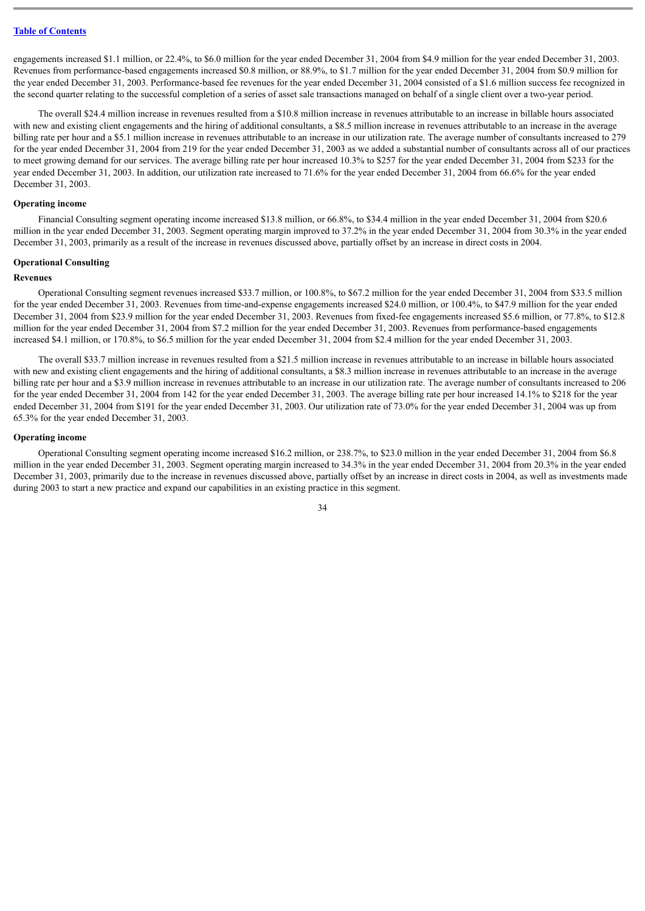engagements increased \$1.1 million, or 22.4%, to \$6.0 million for the year ended December 31, 2004 from \$4.9 million for the year ended December 31, 2003. Revenues from performance-based engagements increased \$0.8 million, or 88.9%, to \$1.7 million for the year ended December 31, 2004 from \$0.9 million for the year ended December 31, 2003. Performance-based fee revenues for the year ended December 31, 2004 consisted of a \$1.6 million success fee recognized in the second quarter relating to the successful completion of a series of asset sale transactions managed on behalf of a single client over a two-year period.

The overall \$24.4 million increase in revenues resulted from a \$10.8 million increase in revenues attributable to an increase in billable hours associated with new and existing client engagements and the hiring of additional consultants, a \$8.5 million increase in revenues attributable to an increase in the average billing rate per hour and a \$5.1 million increase in revenues attributable to an increase in our utilization rate. The average number of consultants increased to 279 for the year ended December 31, 2004 from 219 for the year ended December 31, 2003 as we added a substantial number of consultants across all of our practices to meet growing demand for our services. The average billing rate per hour increased 10.3% to \$257 for the year ended December 31, 2004 from \$233 for the year ended December 31, 2003. In addition, our utilization rate increased to 71.6% for the year ended December 31, 2004 from 66.6% for the year ended December 31, 2003.

#### **Operating income**

Financial Consulting segment operating income increased \$13.8 million, or 66.8%, to \$34.4 million in the year ended December 31, 2004 from \$20.6 million in the year ended December 31, 2003. Segment operating margin improved to 37.2% in the year ended December 31, 2004 from 30.3% in the year ended December 31, 2003, primarily as a result of the increase in revenues discussed above, partially offset by an increase in direct costs in 2004.

#### **Operational Consulting**

# **Revenues**

Operational Consulting segment revenues increased \$33.7 million, or 100.8%, to \$67.2 million for the year ended December 31, 2004 from \$33.5 million for the year ended December 31, 2003. Revenues from time-and-expense engagements increased \$24.0 million, or 100.4%, to \$47.9 million for the year ended December 31, 2004 from \$23.9 million for the year ended December 31, 2003. Revenues from fixed-fee engagements increased \$5.6 million, or 77.8%, to \$12.8 million for the year ended December 31, 2004 from \$7.2 million for the year ended December 31, 2003. Revenues from performance-based engagements increased \$4.1 million, or 170.8%, to \$6.5 million for the year ended December 31, 2004 from \$2.4 million for the year ended December 31, 2003.

The overall \$33.7 million increase in revenues resulted from a \$21.5 million increase in revenues attributable to an increase in billable hours associated with new and existing client engagements and the hiring of additional consultants, a \$8.3 million increase in revenues attributable to an increase in the average billing rate per hour and a \$3.9 million increase in revenues attributable to an increase in our utilization rate. The average number of consultants increased to 206 for the year ended December 31, 2004 from 142 for the year ended December 31, 2003. The average billing rate per hour increased 14.1% to \$218 for the year ended December 31, 2004 from \$191 for the year ended December 31, 2003. Our utilization rate of 73.0% for the year ended December 31, 2004 was up from 65.3% for the year ended December 31, 2003.

#### **Operating income**

Operational Consulting segment operating income increased \$16.2 million, or 238.7%, to \$23.0 million in the year ended December 31, 2004 from \$6.8 million in the year ended December 31, 2003. Segment operating margin increased to 34.3% in the year ended December 31, 2004 from 20.3% in the year ended December 31, 2003, primarily due to the increase in revenues discussed above, partially offset by an increase in direct costs in 2004, as well as investments made during 2003 to start a new practice and expand our capabilities in an existing practice in this segment.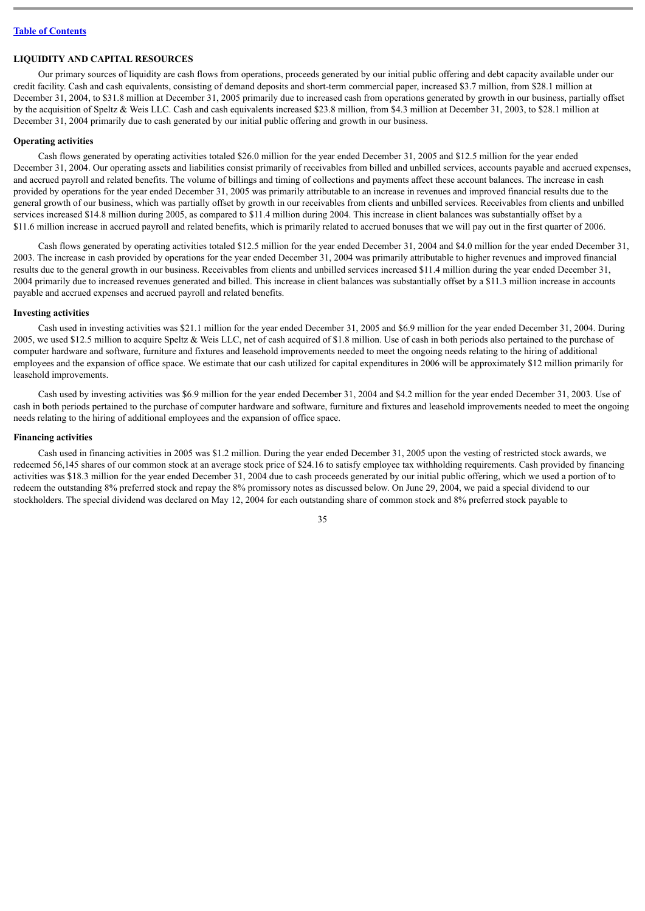# **LIQUIDITY AND CAPITAL RESOURCES**

Our primary sources of liquidity are cash flows from operations, proceeds generated by our initial public offering and debt capacity available under our credit facility. Cash and cash equivalents, consisting of demand deposits and short-term commercial paper, increased \$3.7 million, from \$28.1 million at December 31, 2004, to \$31.8 million at December 31, 2005 primarily due to increased cash from operations generated by growth in our business, partially offset by the acquisition of Speltz & Weis LLC. Cash and cash equivalents increased \$23.8 million, from \$4.3 million at December 31, 2003, to \$28.1 million at December 31, 2004 primarily due to cash generated by our initial public offering and growth in our business.

#### **Operating activities**

Cash flows generated by operating activities totaled \$26.0 million for the year ended December 31, 2005 and \$12.5 million for the year ended December 31, 2004. Our operating assets and liabilities consist primarily of receivables from billed and unbilled services, accounts payable and accrued expenses, and accrued payroll and related benefits. The volume of billings and timing of collections and payments affect these account balances. The increase in cash provided by operations for the year ended December 31, 2005 was primarily attributable to an increase in revenues and improved financial results due to the general growth of our business, which was partially offset by growth in our receivables from clients and unbilled services. Receivables from clients and unbilled services increased \$14.8 million during 2005, as compared to \$11.4 million during 2004. This increase in client balances was substantially offset by a \$11.6 million increase in accrued payroll and related benefits, which is primarily related to accrued bonuses that we will pay out in the first quarter of 2006.

Cash flows generated by operating activities totaled \$12.5 million for the year ended December 31, 2004 and \$4.0 million for the year ended December 31, 2003. The increase in cash provided by operations for the year ended December 31, 2004 was primarily attributable to higher revenues and improved financial results due to the general growth in our business. Receivables from clients and unbilled services increased \$11.4 million during the year ended December 31, 2004 primarily due to increased revenues generated and billed. This increase in client balances was substantially offset by a \$11.3 million increase in accounts payable and accrued expenses and accrued payroll and related benefits.

#### **Investing activities**

Cash used in investing activities was \$21.1 million for the year ended December 31, 2005 and \$6.9 million for the year ended December 31, 2004. During 2005, we used \$12.5 million to acquire Speltz & Weis LLC, net of cash acquired of \$1.8 million. Use of cash in both periods also pertained to the purchase of computer hardware and software, furniture and fixtures and leasehold improvements needed to meet the ongoing needs relating to the hiring of additional employees and the expansion of office space. We estimate that our cash utilized for capital expenditures in 2006 will be approximately \$12 million primarily for leasehold improvements.

Cash used by investing activities was \$6.9 million for the year ended December 31, 2004 and \$4.2 million for the year ended December 31, 2003. Use of cash in both periods pertained to the purchase of computer hardware and software, furniture and fixtures and leasehold improvements needed to meet the ongoing needs relating to the hiring of additional employees and the expansion of office space.

#### **Financing activities**

Cash used in financing activities in 2005 was \$1.2 million. During the year ended December 31, 2005 upon the vesting of restricted stock awards, we redeemed 56,145 shares of our common stock at an average stock price of \$24.16 to satisfy employee tax withholding requirements. Cash provided by financing activities was \$18.3 million for the year ended December 31, 2004 due to cash proceeds generated by our initial public offering, which we used a portion of to redeem the outstanding 8% preferred stock and repay the 8% promissory notes as discussed below. On June 29, 2004, we paid a special dividend to our stockholders. The special dividend was declared on May 12, 2004 for each outstanding share of common stock and 8% preferred stock payable to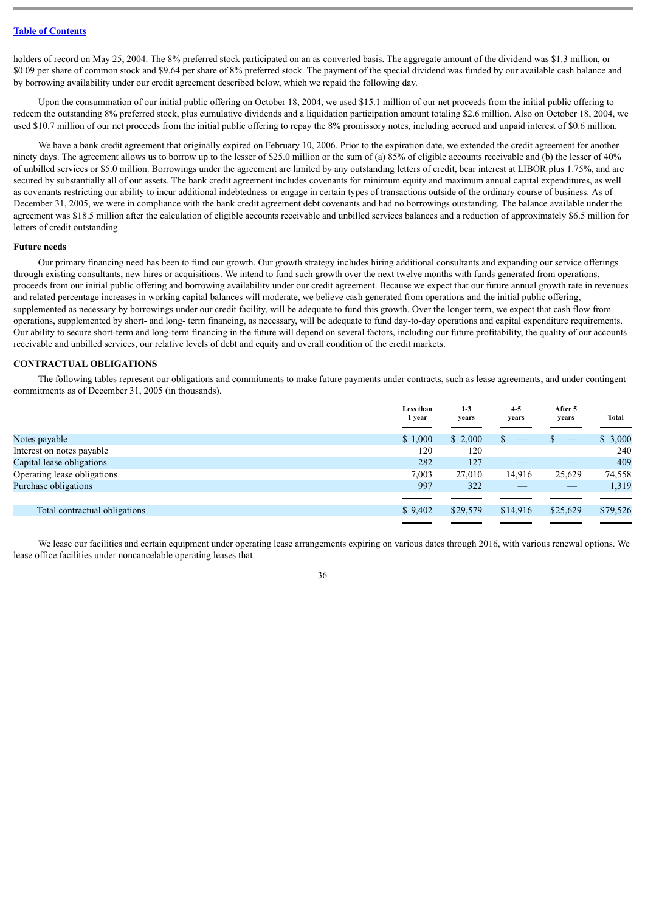holders of record on May 25, 2004. The 8% preferred stock participated on an as converted basis. The aggregate amount of the dividend was \$1.3 million, or \$0.09 per share of common stock and \$9.64 per share of 8% preferred stock. The payment of the special dividend was funded by our available cash balance and by borrowing availability under our credit agreement described below, which we repaid the following day.

Upon the consummation of our initial public offering on October 18, 2004, we used \$15.1 million of our net proceeds from the initial public offering to redeem the outstanding 8% preferred stock, plus cumulative dividends and a liquidation participation amount totaling \$2.6 million. Also on October 18, 2004, we used \$10.7 million of our net proceeds from the initial public offering to repay the 8% promissory notes, including accrued and unpaid interest of \$0.6 million.

We have a bank credit agreement that originally expired on February 10, 2006. Prior to the expiration date, we extended the credit agreement for another ninety days. The agreement allows us to borrow up to the lesser of \$25.0 million or the sum of (a) 85% of eligible accounts receivable and (b) the lesser of 40% of unbilled services or \$5.0 million. Borrowings under the agreement are limited by any outstanding letters of credit, bear interest at LIBOR plus 1.75%, and are secured by substantially all of our assets. The bank credit agreement includes covenants for minimum equity and maximum annual capital expenditures, as well as covenants restricting our ability to incur additional indebtedness or engage in certain types of transactions outside of the ordinary course of business. As of December 31, 2005, we were in compliance with the bank credit agreement debt covenants and had no borrowings outstanding. The balance available under the agreement was \$18.5 million after the calculation of eligible accounts receivable and unbilled services balances and a reduction of approximately \$6.5 million for letters of credit outstanding.

### **Future needs**

Our primary financing need has been to fund our growth. Our growth strategy includes hiring additional consultants and expanding our service offerings through existing consultants, new hires or acquisitions. We intend to fund such growth over the next twelve months with funds generated from operations, proceeds from our initial public offering and borrowing availability under our credit agreement. Because we expect that our future annual growth rate in revenues and related percentage increases in working capital balances will moderate, we believe cash generated from operations and the initial public offering, supplemented as necessary by borrowings under our credit facility, will be adequate to fund this growth. Over the longer term, we expect that cash flow from operations, supplemented by short- and long- term financing, as necessary, will be adequate to fund day-to-day operations and capital expenditure requirements. Our ability to secure short-term and long-term financing in the future will depend on several factors, including our future profitability, the quality of our accounts receivable and unbilled services, our relative levels of debt and equity and overall condition of the credit markets.

### **CONTRACTUAL OBLIGATIONS**

The following tables represent our obligations and commitments to make future payments under contracts, such as lease agreements, and under contingent commitments as of December 31, 2005 (in thousands).

|                               | Less than<br>1 year | $1 - 3$<br>years | $4 - 5$<br>years | After 5<br>years  | Total    |
|-------------------------------|---------------------|------------------|------------------|-------------------|----------|
|                               |                     |                  |                  |                   |          |
| Notes payable                 | \$1,000             | \$2,000          |                  | $\hspace{0.05cm}$ | \$3,000  |
| Interest on notes payable     | 120                 | 120              |                  |                   | 240      |
| Capital lease obligations     | 282                 | 127              |                  |                   | 409      |
| Operating lease obligations   | 7,003               | 27,010           | 14,916           | 25,629            | 74,558   |
| Purchase obligations          | 997                 | 322              |                  |                   | 1,319    |
|                               |                     |                  |                  |                   |          |
| Total contractual obligations | \$9,402             | \$29,579         | \$14,916         | \$25,629          | \$79,526 |
|                               |                     |                  |                  |                   |          |

We lease our facilities and certain equipment under operating lease arrangements expiring on various dates through 2016, with various renewal options. We lease office facilities under noncancelable operating leases that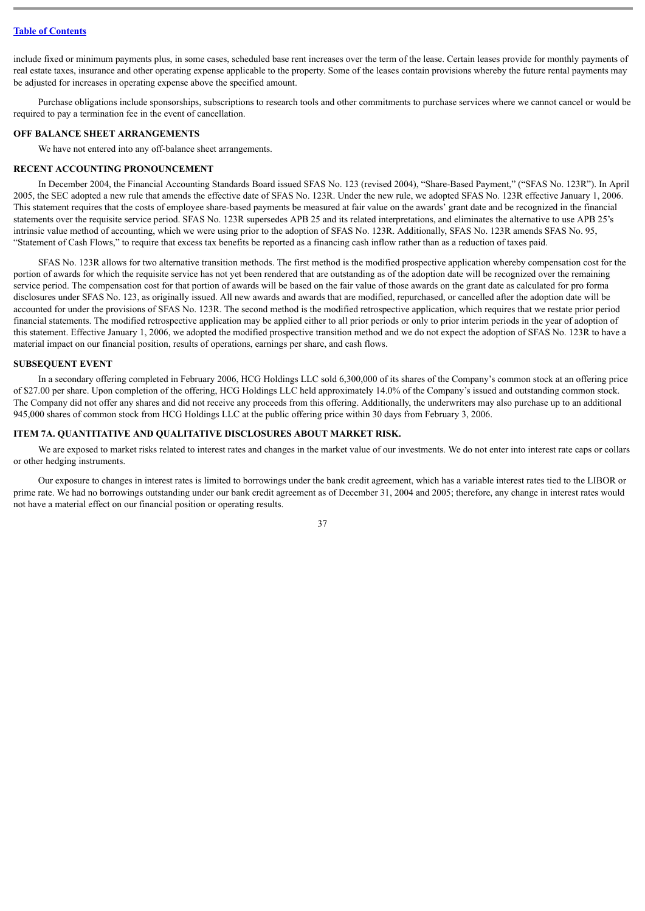include fixed or minimum payments plus, in some cases, scheduled base rent increases over the term of the lease. Certain leases provide for monthly payments of real estate taxes, insurance and other operating expense applicable to the property. Some of the leases contain provisions whereby the future rental payments may be adjusted for increases in operating expense above the specified amount.

Purchase obligations include sponsorships, subscriptions to research tools and other commitments to purchase services where we cannot cancel or would be required to pay a termination fee in the event of cancellation.

#### **OFF BALANCE SHEET ARRANGEMENTS**

We have not entered into any off-balance sheet arrangements.

#### **RECENT ACCOUNTING PRONOUNCEMENT**

In December 2004, the Financial Accounting Standards Board issued SFAS No. 123 (revised 2004), "Share-Based Payment," ("SFAS No. 123R"). In April 2005, the SEC adopted a new rule that amends the effective date of SFAS No. 123R. Under the new rule, we adopted SFAS No. 123R effective January 1, 2006. This statement requires that the costs of employee share-based payments be measured at fair value on the awards' grant date and be recognized in the financial statements over the requisite service period. SFAS No. 123R supersedes APB 25 and its related interpretations, and eliminates the alternative to use APB 25's intrinsic value method of accounting, which we were using prior to the adoption of SFAS No. 123R. Additionally, SFAS No. 123R amends SFAS No. 95, "Statement of Cash Flows," to require that excess tax benefits be reported as a financing cash inflow rather than as a reduction of taxes paid.

SFAS No. 123R allows for two alternative transition methods. The first method is the modified prospective application whereby compensation cost for the portion of awards for which the requisite service has not yet been rendered that are outstanding as of the adoption date will be recognized over the remaining service period. The compensation cost for that portion of awards will be based on the fair value of those awards on the grant date as calculated for pro forma disclosures under SFAS No. 123, as originally issued. All new awards and awards that are modified, repurchased, or cancelled after the adoption date will be accounted for under the provisions of SFAS No. 123R. The second method is the modified retrospective application, which requires that we restate prior period financial statements. The modified retrospective application may be applied either to all prior periods or only to prior interim periods in the year of adoption of this statement. Effective January 1, 2006, we adopted the modified prospective transition method and we do not expect the adoption of SFAS No. 123R to have a material impact on our financial position, results of operations, earnings per share, and cash flows.

### **SUBSEQUENT EVENT**

In a secondary offering completed in February 2006, HCG Holdings LLC sold 6,300,000 of its shares of the Company's common stock at an offering price of \$27.00 per share. Upon completion of the offering, HCG Holdings LLC held approximately 14.0% of the Company's issued and outstanding common stock. The Company did not offer any shares and did not receive any proceeds from this offering. Additionally, the underwriters may also purchase up to an additional 945,000 shares of common stock from HCG Holdings LLC at the public offering price within 30 days from February 3, 2006.

# **ITEM 7A. QUANTITATIVE AND QUALITATIVE DISCLOSURES ABOUT MARKET RISK.**

We are exposed to market risks related to interest rates and changes in the market value of our investments. We do not enter into interest rate caps or collars or other hedging instruments.

Our exposure to changes in interest rates is limited to borrowings under the bank credit agreement, which has a variable interest rates tied to the LIBOR or prime rate. We had no borrowings outstanding under our bank credit agreement as of December 31, 2004 and 2005; therefore, any change in interest rates would not have a material effect on our financial position or operating results.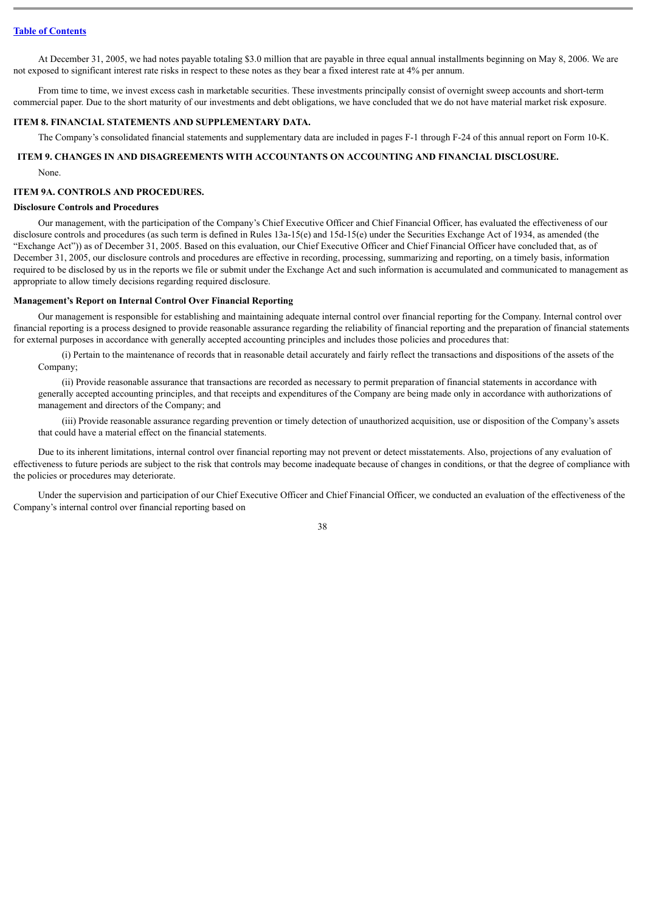At December 31, 2005, we had notes payable totaling \$3.0 million that are payable in three equal annual installments beginning on May 8, 2006. We are not exposed to significant interest rate risks in respect to these notes as they bear a fixed interest rate at 4% per annum.

From time to time, we invest excess cash in marketable securities. These investments principally consist of overnight sweep accounts and short-term commercial paper. Due to the short maturity of our investments and debt obligations, we have concluded that we do not have material market risk exposure.

### **ITEM 8. FINANCIAL STATEMENTS AND SUPPLEMENTARY DATA.**

The Company's consolidated financial statements and supplementary data are included in pages F-1 through F-24 of this annual report on Form 10-K.

# **ITEM 9. CHANGES IN AND DISAGREEMENTS WITH ACCOUNTANTS ON ACCOUNTING AND FINANCIAL DISCLOSURE.**

None.

### **ITEM 9A. CONTROLS AND PROCEDURES.**

# **Disclosure Controls and Procedures**

Our management, with the participation of the Company's Chief Executive Officer and Chief Financial Officer, has evaluated the effectiveness of our disclosure controls and procedures (as such term is defined in Rules 13a-15(e) and 15d-15(e) under the Securities Exchange Act of 1934, as amended (the "Exchange Act")) as of December 31, 2005. Based on this evaluation, our Chief Executive Officer and Chief Financial Officer have concluded that, as of December 31, 2005, our disclosure controls and procedures are effective in recording, processing, summarizing and reporting, on a timely basis, information required to be disclosed by us in the reports we file or submit under the Exchange Act and such information is accumulated and communicated to management as appropriate to allow timely decisions regarding required disclosure.

## **Management's Report on Internal Control Over Financial Reporting**

Our management is responsible for establishing and maintaining adequate internal control over financial reporting for the Company. Internal control over financial reporting is a process designed to provide reasonable assurance regarding the reliability of financial reporting and the preparation of financial statements for external purposes in accordance with generally accepted accounting principles and includes those policies and procedures that:

(i) Pertain to the maintenance of records that in reasonable detail accurately and fairly reflect the transactions and dispositions of the assets of the Company;

(ii) Provide reasonable assurance that transactions are recorded as necessary to permit preparation of financial statements in accordance with generally accepted accounting principles, and that receipts and expenditures of the Company are being made only in accordance with authorizations of management and directors of the Company; and

(iii) Provide reasonable assurance regarding prevention or timely detection of unauthorized acquisition, use or disposition of the Company's assets that could have a material effect on the financial statements.

Due to its inherent limitations, internal control over financial reporting may not prevent or detect misstatements. Also, projections of any evaluation of effectiveness to future periods are subject to the risk that controls may become inadequate because of changes in conditions, or that the degree of compliance with the policies or procedures may deteriorate.

Under the supervision and participation of our Chief Executive Officer and Chief Financial Officer, we conducted an evaluation of the effectiveness of the Company's internal control over financial reporting based on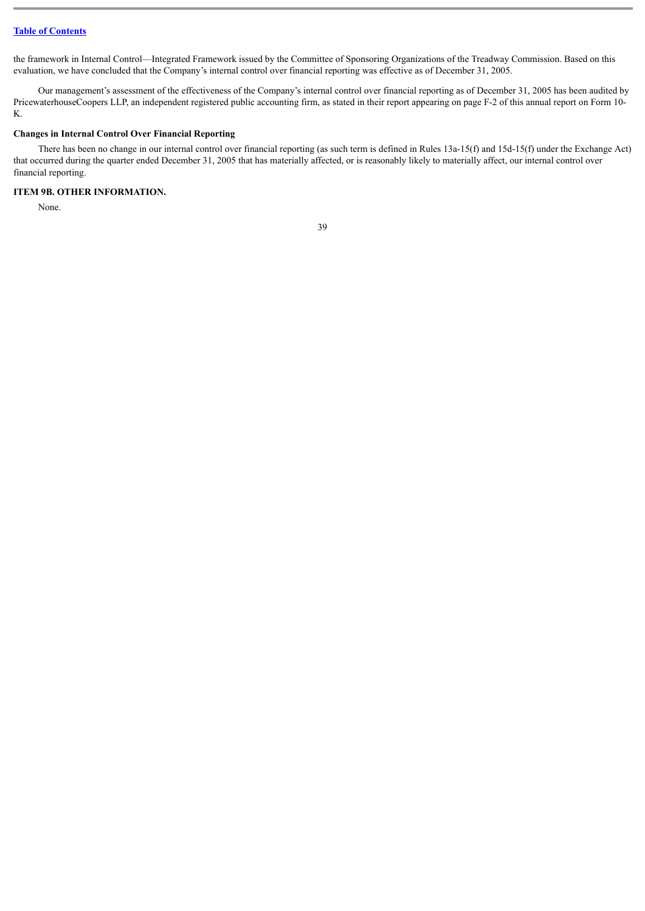the framework in Internal Control—Integrated Framework issued by the Committee of Sponsoring Organizations of the Treadway Commission. Based on this evaluation, we have concluded that the Company's internal control over financial reporting was effective as of December 31, 2005.

Our management's assessment of the effectiveness of the Company's internal control over financial reporting as of December 31, 2005 has been audited by PricewaterhouseCoopers LLP, an independent registered public accounting firm, as stated in their report appearing on page F-2 of this annual report on Form 10-K.

# **Changes in Internal Control Over Financial Reporting**

There has been no change in our internal control over financial reporting (as such term is defined in Rules 13a-15(f) and 15d-15(f) under the Exchange Act) that occurred during the quarter ended December 31, 2005 that has materially affected, or is reasonably likely to materially affect, our internal control over financial reporting.

# **ITEM 9B. OTHER INFORMATION.**

None.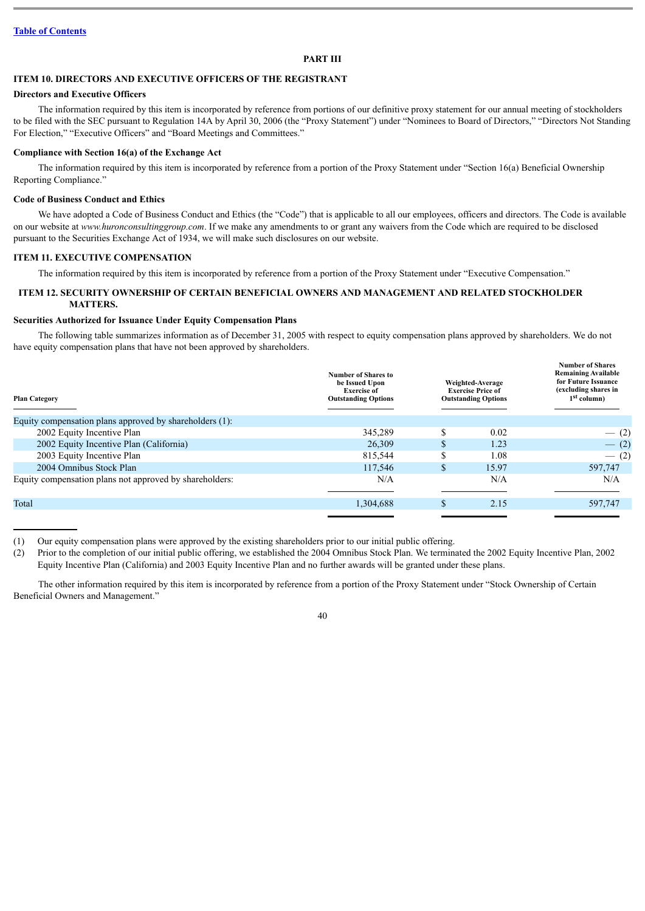### **PART III**

# **ITEM 10. DIRECTORS AND EXECUTIVE OFFICERS OF THE REGISTRANT**

#### **Directors and Executive Officers**

The information required by this item is incorporated by reference from portions of our definitive proxy statement for our annual meeting of stockholders to be filed with the SEC pursuant to Regulation 14A by April 30, 2006 (the "Proxy Statement") under "Nominees to Board of Directors," "Directors Not Standing For Election," "Executive Officers" and "Board Meetings and Committees."

### **Compliance with Section 16(a) of the Exchange Act**

The information required by this item is incorporated by reference from a portion of the Proxy Statement under "Section 16(a) Beneficial Ownership Reporting Compliance."

#### **Code of Business Conduct and Ethics**

We have adopted a Code of Business Conduct and Ethics (the "Code") that is applicable to all our employees, officers and directors. The Code is available on our website at *www.huronconsultinggroup.com*. If we make any amendments to or grant any waivers from the Code which are required to be disclosed pursuant to the Securities Exchange Act of 1934, we will make such disclosures on our website.

# **ITEM 11. EXECUTIVE COMPENSATION**

The information required by this item is incorporated by reference from a portion of the Proxy Statement under "Executive Compensation."

# **ITEM 12. SECURITY OWNERSHIP OF CERTAIN BENEFICIAL OWNERS AND MANAGEMENT AND RELATED STOCKHOLDER MATTERS.**

#### **Securities Authorized for Issuance Under Equity Compensation Plans**

The following table summarizes information as of December 31, 2005 with respect to equity compensation plans approved by shareholders. We do not have equity compensation plans that have not been approved by shareholders.

| <b>Plan Category</b>                                    | Number of Shares to<br>be Issued Upon<br><b>Exercise</b> of<br><b>Outstanding Options</b> | Weighted-Average<br><b>Exercise Price of</b><br><b>Outstanding Options</b> |       | <b>Number of Shares</b><br><b>Remaining Available</b><br>for Future Issuance<br>(excluding shares in<br>$1st$ column) |  |
|---------------------------------------------------------|-------------------------------------------------------------------------------------------|----------------------------------------------------------------------------|-------|-----------------------------------------------------------------------------------------------------------------------|--|
| Equity compensation plans approved by shareholders (1): |                                                                                           |                                                                            |       |                                                                                                                       |  |
| 2002 Equity Incentive Plan                              | 345,289                                                                                   |                                                                            | 0.02  | $-$ (2)                                                                                                               |  |
| 2002 Equity Incentive Plan (California)                 | 26,309                                                                                    |                                                                            | 1.23  | $-$ (2)                                                                                                               |  |
| 2003 Equity Incentive Plan                              | 815,544                                                                                   |                                                                            | 1.08  | $-$ (2)                                                                                                               |  |
| 2004 Omnibus Stock Plan                                 | 117,546                                                                                   | $\mathbf{a}$                                                               | 15.97 | 597,747                                                                                                               |  |
| Equity compensation plans not approved by shareholders: | N/A                                                                                       |                                                                            | N/A   | N/A                                                                                                                   |  |
| Total                                                   | 1,304,688                                                                                 | ъ                                                                          | 2.15  | 597,747                                                                                                               |  |
|                                                         |                                                                                           |                                                                            |       |                                                                                                                       |  |

(1) Our equity compensation plans were approved by the existing shareholders prior to our initial public offering.

(2) Prior to the completion of our initial public offering, we established the 2004 Omnibus Stock Plan. We terminated the 2002 Equity Incentive Plan, 2002 Equity Incentive Plan (California) and 2003 Equity Incentive Plan and no further awards will be granted under these plans.

The other information required by this item is incorporated by reference from a portion of the Proxy Statement under "Stock Ownership of Certain Beneficial Owners and Management."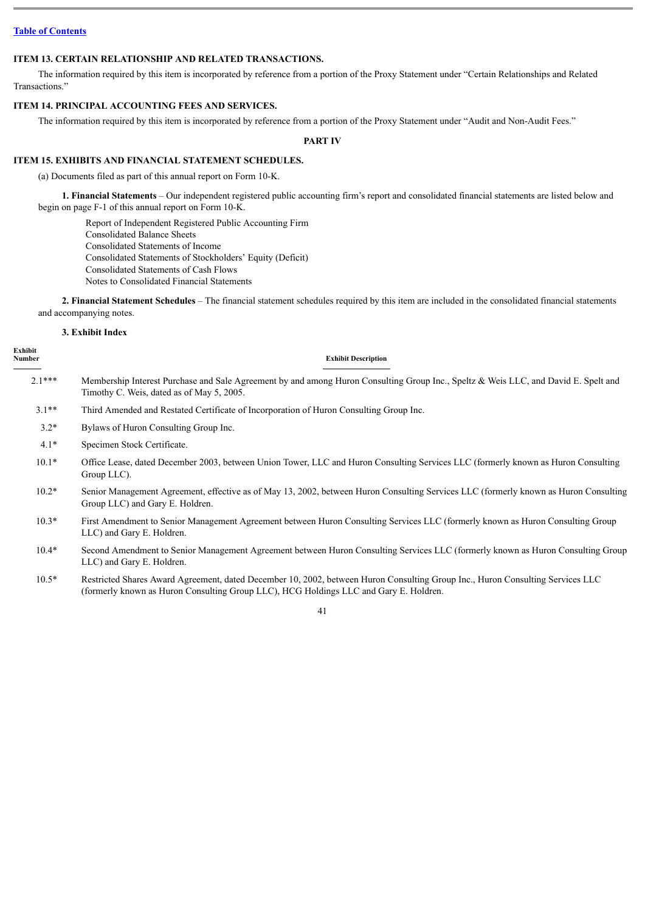# **ITEM 13. CERTAIN RELATIONSHIP AND RELATED TRANSACTIONS.**

The information required by this item is incorporated by reference from a portion of the Proxy Statement under "Certain Relationships and Related Transactions."

# **ITEM 14. PRINCIPAL ACCOUNTING FEES AND SERVICES.**

The information required by this item is incorporated by reference from a portion of the Proxy Statement under "Audit and Non-Audit Fees."

**PART IV**

# **ITEM 15. EXHIBITS AND FINANCIAL STATEMENT SCHEDULES.**

(a) Documents filed as part of this annual report on Form 10-K.

**1. Financial Statements** – Our independent registered public accounting firm's report and consolidated financial statements are listed below and begin on page F-1 of this annual report on Form 10-K.

Report of Independent Registered Public Accounting Firm Consolidated Balance Sheets Consolidated Statements of Income Consolidated Statements of Stockholders' Equity (Deficit) Consolidated Statements of Cash Flows Notes to Consolidated Financial Statements

**2. Financial Statement Schedules** – The financial statement schedules required by this item are included in the consolidated financial statements and accompanying notes.

### **3. Exhibit Index**

**Exhibit Number**

### **Exhibit Description**

- 2.1\*\*\* Membership Interest Purchase and Sale Agreement by and among Huron Consulting Group Inc., Speltz & Weis LLC, and David E. Spelt and Timothy C. Weis, dated as of May 5, 2005.
- 3.1\*\* Third Amended and Restated Certificate of Incorporation of Huron Consulting Group Inc.
- 3.2\* Bylaws of Huron Consulting Group Inc.
- 4.1\* Specimen Stock Certificate.
- 10.1\* Office Lease, dated December 2003, between Union Tower, LLC and Huron Consulting Services LLC (formerly known as Huron Consulting Group LLC).
- 10.2\* Senior Management Agreement, effective as of May 13, 2002, between Huron Consulting Services LLC (formerly known as Huron Consulting Group LLC) and Gary E. Holdren.
- 10.3\* First Amendment to Senior Management Agreement between Huron Consulting Services LLC (formerly known as Huron Consulting Group LLC) and Gary E. Holdren.
- 10.4\* Second Amendment to Senior Management Agreement between Huron Consulting Services LLC (formerly known as Huron Consulting Group LLC) and Gary E. Holdren.
- 10.5\* Restricted Shares Award Agreement, dated December 10, 2002, between Huron Consulting Group Inc., Huron Consulting Services LLC (formerly known as Huron Consulting Group LLC), HCG Holdings LLC and Gary E. Holdren.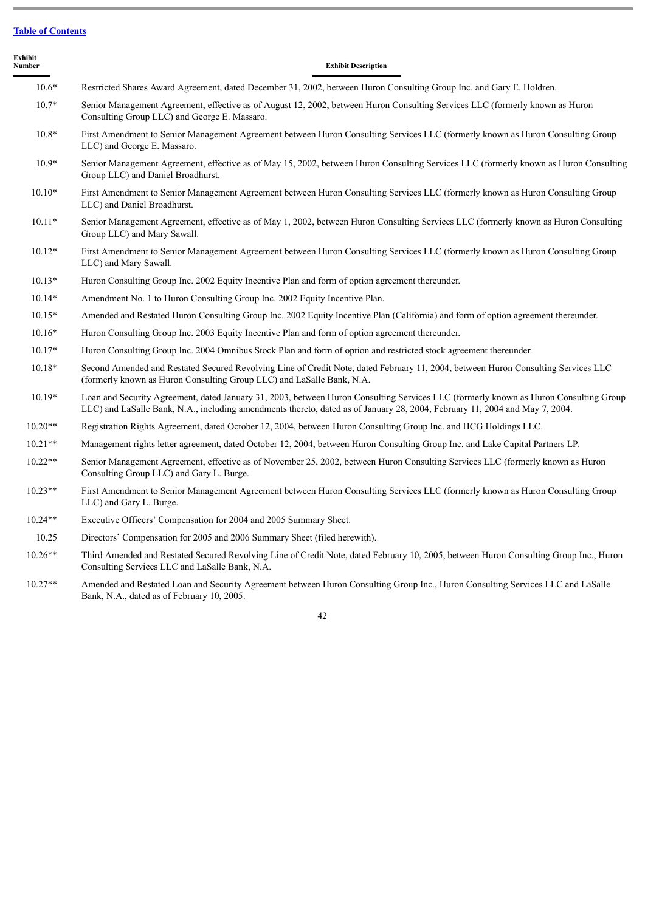| Exhibit<br>Number | <b>Exhibit Description</b>                                                                                                                                                                                                                                          |
|-------------------|---------------------------------------------------------------------------------------------------------------------------------------------------------------------------------------------------------------------------------------------------------------------|
| $10.6*$           | Restricted Shares Award Agreement, dated December 31, 2002, between Huron Consulting Group Inc. and Gary E. Holdren.                                                                                                                                                |
| $10.7*$           | Senior Management Agreement, effective as of August 12, 2002, between Huron Consulting Services LLC (formerly known as Huron<br>Consulting Group LLC) and George E. Massaro.                                                                                        |
| $10.8*$           | First Amendment to Senior Management Agreement between Huron Consulting Services LLC (formerly known as Huron Consulting Group<br>LLC) and George E. Massaro.                                                                                                       |
| $10.9*$           | Senior Management Agreement, effective as of May 15, 2002, between Huron Consulting Services LLC (formerly known as Huron Consulting<br>Group LLC) and Daniel Broadhurst.                                                                                           |
| $10.10*$          | First Amendment to Senior Management Agreement between Huron Consulting Services LLC (formerly known as Huron Consulting Group<br>LLC) and Daniel Broadhurst.                                                                                                       |
| $10.11*$          | Senior Management Agreement, effective as of May 1, 2002, between Huron Consulting Services LLC (formerly known as Huron Consulting<br>Group LLC) and Mary Sawall.                                                                                                  |
| $10.12*$          | First Amendment to Senior Management Agreement between Huron Consulting Services LLC (formerly known as Huron Consulting Group<br>LLC) and Mary Sawall.                                                                                                             |
| $10.13*$          | Huron Consulting Group Inc. 2002 Equity Incentive Plan and form of option agreement thereunder.                                                                                                                                                                     |
| $10.14*$          | Amendment No. 1 to Huron Consulting Group Inc. 2002 Equity Incentive Plan.                                                                                                                                                                                          |
| $10.15*$          | Amended and Restated Huron Consulting Group Inc. 2002 Equity Incentive Plan (California) and form of option agreement thereunder.                                                                                                                                   |
| $10.16*$          | Huron Consulting Group Inc. 2003 Equity Incentive Plan and form of option agreement thereunder.                                                                                                                                                                     |
| $10.17*$          | Huron Consulting Group Inc. 2004 Omnibus Stock Plan and form of option and restricted stock agreement thereunder.                                                                                                                                                   |
| $10.18*$          | Second Amended and Restated Secured Revolving Line of Credit Note, dated February 11, 2004, between Huron Consulting Services LLC<br>(formerly known as Huron Consulting Group LLC) and LaSalle Bank, N.A.                                                          |
| $10.19*$          | Loan and Security Agreement, dated January 31, 2003, between Huron Consulting Services LLC (formerly known as Huron Consulting Group<br>LLC) and LaSalle Bank, N.A., including amendments thereto, dated as of January 28, 2004, February 11, 2004 and May 7, 2004. |
| $10.20**$         | Registration Rights Agreement, dated October 12, 2004, between Huron Consulting Group Inc. and HCG Holdings LLC.                                                                                                                                                    |
| $10.21**$         | Management rights letter agreement, dated October 12, 2004, between Huron Consulting Group Inc. and Lake Capital Partners LP.                                                                                                                                       |
| $10.22**$         | Senior Management Agreement, effective as of November 25, 2002, between Huron Consulting Services LLC (formerly known as Huron<br>Consulting Group LLC) and Gary L. Burge.                                                                                          |
| $10.23**$         | First Amendment to Senior Management Agreement between Huron Consulting Services LLC (formerly known as Huron Consulting Group<br>LLC) and Gary L. Burge.                                                                                                           |
| $10.24**$         | Executive Officers' Compensation for 2004 and 2005 Summary Sheet.                                                                                                                                                                                                   |
| 10.25             | Directors' Compensation for 2005 and 2006 Summary Sheet (filed herewith).                                                                                                                                                                                           |
| $10.26**$         | Third Amended and Restated Secured Revolving Line of Credit Note, dated February 10, 2005, between Huron Consulting Group Inc., Huron<br>Consulting Services LLC and LaSalle Bank, N.A.                                                                             |
| $10.27**$         | Amended and Restated Loan and Security Agreement between Huron Consulting Group Inc., Huron Consulting Services LLC and LaSalle<br>Bank, N.A., dated as of February 10, 2005.                                                                                       |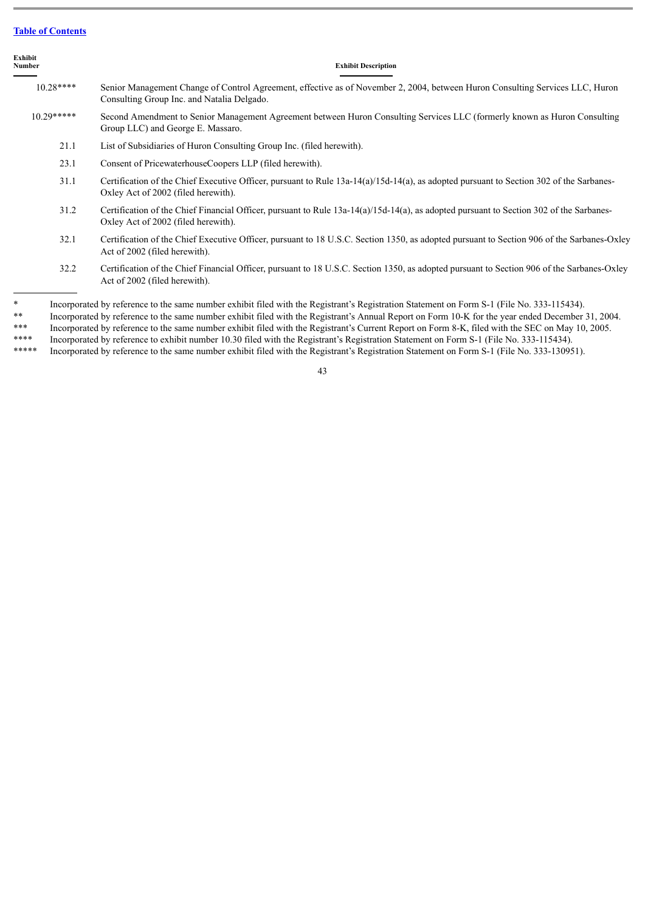| Exhibit<br><b>Number</b> | <b>Exhibit Description</b>                                                                                                                                                     |
|--------------------------|--------------------------------------------------------------------------------------------------------------------------------------------------------------------------------|
| $10.28***$               | Senior Management Change of Control Agreement, effective as of November 2, 2004, between Huron Consulting Services LLC, Huron<br>Consulting Group Inc. and Natalia Delgado.    |
| $10.29*****$             | Second Amendment to Senior Management Agreement between Huron Consulting Services LLC (formerly known as Huron Consulting<br>Group LLC) and George E. Massaro.                 |
| 21.1                     | List of Subsidiaries of Huron Consulting Group Inc. (filed herewith).                                                                                                          |
| 23.1                     | Consent of PricewaterhouseCoopers LLP (filed herewith).                                                                                                                        |
| 31.1                     | Certification of the Chief Executive Officer, pursuant to Rule 13a-14(a)/15d-14(a), as adopted pursuant to Section 302 of the Sarbanes-<br>Oxley Act of 2002 (filed herewith). |
| 31.2                     | Certification of the Chief Financial Officer, pursuant to Rule 13a-14(a)/15d-14(a), as adopted pursuant to Section 302 of the Sarbanes-<br>Oxley Act of 2002 (filed herewith). |
| 32.1                     | Certification of the Chief Executive Officer, pursuant to 18 U.S.C. Section 1350, as adopted pursuant to Section 906 of the Sarbanes-Oxley<br>Act of 2002 (filed herewith).    |
| 32.2                     | Certification of the Chief Financial Officer, pursuant to 18 U.S.C. Section 1350, as adopted pursuant to Section 906 of the Sarbanes-Oxley<br>Act of 2002 (filed herewith).    |

\*\* Incorporated by reference to the same number exhibit filed with the Registrant's Annual Report on Form 10-K for the year ended December 31, 2004.

\*\*\* Incorporated by reference to the same number exhibit filed with the Registrant's Current Report on Form 8-K, filed with the SEC on May 10, 2005.

\*\*\*\* Incorporated by reference to exhibit number 10.30 filed with the Registrant's Registration Statement on Form S-1 (File No. 333-115434).<br>\*\*\*\*\* Incorporated by reference to the same number exhibit filed with the Registr

Incorporated by reference to the same number exhibit filed with the Registrant's Registration Statement on Form S-1 (File No. 333-130951).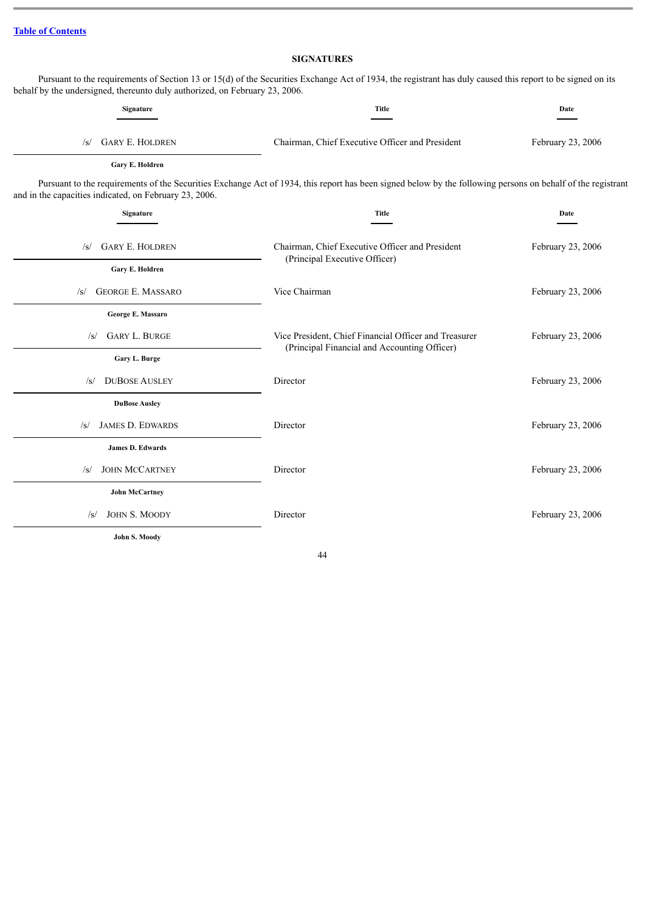**SIGNATURES**

| behalf by the undersigned, thereunto duly authorized, on February 23, 2006. | Pursuant to the requirements of Section 13 or 15(d) of the Securities Exchange Act of 1934, the registrant has duly caused this report to be signed on its  |                   |
|-----------------------------------------------------------------------------|-------------------------------------------------------------------------------------------------------------------------------------------------------------|-------------------|
| Signature                                                                   | <b>Title</b>                                                                                                                                                | Date              |
| <b>GARY E. HOLDREN</b><br>$\sqrt{s}$                                        | Chairman, Chief Executive Officer and President                                                                                                             | February 23, 2006 |
| Gary E. Holdren                                                             |                                                                                                                                                             |                   |
| and in the capacities indicated, on February 23, 2006.                      | Pursuant to the requirements of the Securities Exchange Act of 1934, this report has been signed below by the following persons on behalf of the registrant |                   |
| Signature                                                                   | <b>Title</b>                                                                                                                                                | Date              |
| <b>GARY E. HOLDREN</b><br>$\sqrt{s}$                                        | Chairman, Chief Executive Officer and President<br>(Principal Executive Officer)                                                                            | February 23, 2006 |
| Gary E. Holdren                                                             |                                                                                                                                                             |                   |
| <b>GEORGE E. MASSARO</b><br>/S/                                             | Vice Chairman                                                                                                                                               | February 23, 2006 |
| George E. Massaro                                                           |                                                                                                                                                             |                   |
| <b>GARY L. BURGE</b><br>/s/                                                 | Vice President, Chief Financial Officer and Treasurer<br>(Principal Financial and Accounting Officer)                                                       | February 23, 2006 |
| Gary L. Burge                                                               |                                                                                                                                                             |                   |
| <b>DUBOSE AUSLEY</b><br>$\sqrt{s}$                                          | Director                                                                                                                                                    | February 23, 2006 |
| <b>DuBose Ausley</b>                                                        |                                                                                                                                                             |                   |
| <b>JAMES D. EDWARDS</b><br>$\sqrt{s}$                                       | Director                                                                                                                                                    | February 23, 2006 |
| James D. Edwards                                                            |                                                                                                                                                             |                   |
| <b>JOHN MCCARTNEY</b><br>$\sqrt{s}$                                         | Director                                                                                                                                                    | February 23, 2006 |
| <b>John McCartney</b>                                                       |                                                                                                                                                             |                   |
| JOHN S. MOODY<br>$\sqrt{s}$                                                 | Director                                                                                                                                                    | February 23, 2006 |

**John S. Moody**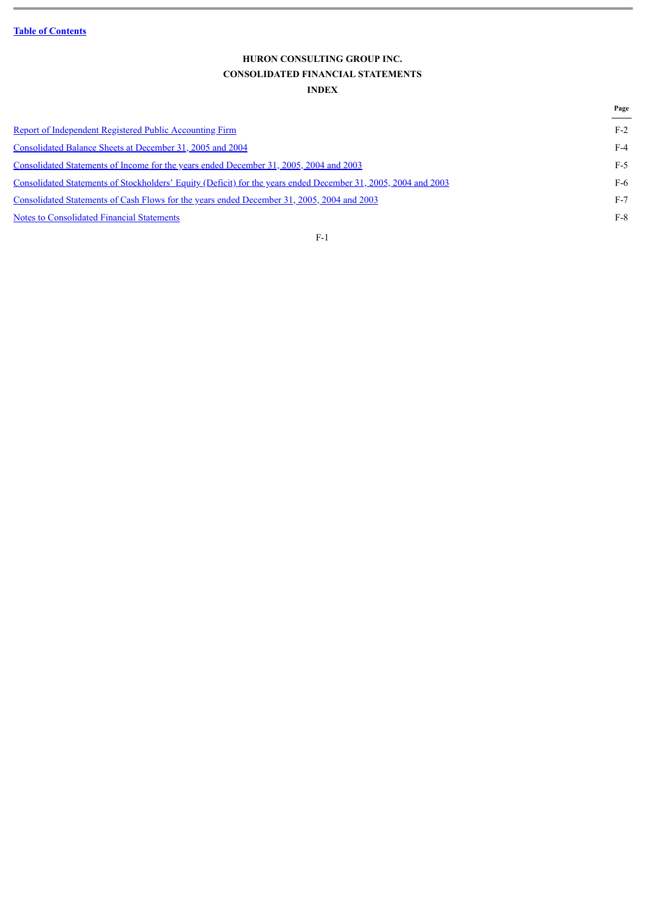# **HURON CONSULTING GROUP INC. CONSOLIDATED FINANCIAL STATEMENTS INDEX**

|                                                                                                                | Page  |
|----------------------------------------------------------------------------------------------------------------|-------|
| <b>Report of Independent Registered Public Accounting Firm</b>                                                 | $F-2$ |
| Consolidated Balance Sheets at December 31, 2005 and 2004                                                      | $F-4$ |
| Consolidated Statements of Income for the years ended December 31, 2005, 2004 and 2003                         | $F-5$ |
| Consolidated Statements of Stockholders' Equity (Deficit) for the years ended December 31, 2005, 2004 and 2003 | F-6   |
| Consolidated Statements of Cash Flows for the years ended December 31, 2005, 2004 and 2003                     | $F-7$ |
| Notes to Consolidated Financial Statements                                                                     | $F-8$ |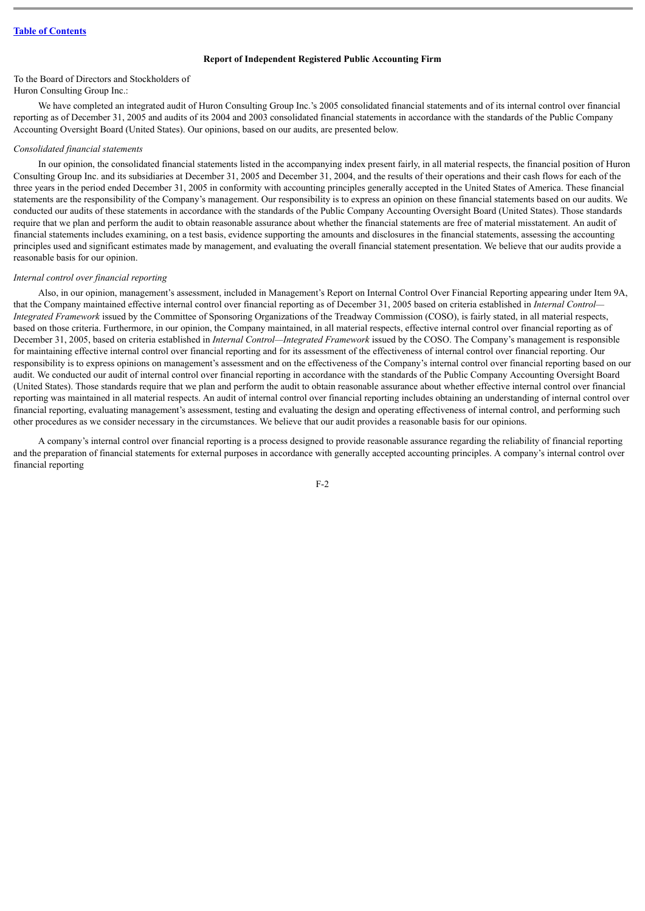#### **Report of Independent Registered Public Accounting Firm**

<span id="page-47-0"></span>To the Board of Directors and Stockholders of Huron Consulting Group Inc.:

We have completed an integrated audit of Huron Consulting Group Inc.'s 2005 consolidated financial statements and of its internal control over financial reporting as of December 31, 2005 and audits of its 2004 and 2003 consolidated financial statements in accordance with the standards of the Public Company Accounting Oversight Board (United States). Our opinions, based on our audits, are presented below.

#### *Consolidated financial statements*

In our opinion, the consolidated financial statements listed in the accompanying index present fairly, in all material respects, the financial position of Huron Consulting Group Inc. and its subsidiaries at December 31, 2005 and December 31, 2004, and the results of their operations and their cash flows for each of the three years in the period ended December 31, 2005 in conformity with accounting principles generally accepted in the United States of America. These financial statements are the responsibility of the Company's management. Our responsibility is to express an opinion on these financial statements based on our audits. We conducted our audits of these statements in accordance with the standards of the Public Company Accounting Oversight Board (United States). Those standards require that we plan and perform the audit to obtain reasonable assurance about whether the financial statements are free of material misstatement. An audit of financial statements includes examining, on a test basis, evidence supporting the amounts and disclosures in the financial statements, assessing the accounting principles used and significant estimates made by management, and evaluating the overall financial statement presentation. We believe that our audits provide a reasonable basis for our opinion.

#### *Internal control over financial reporting*

Also, in our opinion, management's assessment, included in Management's Report on Internal Control Over Financial Reporting appearing under Item 9A, that the Company maintained effective internal control over financial reporting as of December 31, 2005 based on criteria established in *Internal Control— Integrated Framework* issued by the Committee of Sponsoring Organizations of the Treadway Commission (COSO), is fairly stated, in all material respects, based on those criteria. Furthermore, in our opinion, the Company maintained, in all material respects, effective internal control over financial reporting as of December 31, 2005, based on criteria established in *Internal Control—Integrated Framework* issued by the COSO. The Company's management is responsible for maintaining effective internal control over financial reporting and for its assessment of the effectiveness of internal control over financial reporting. Our responsibility is to express opinions on management's assessment and on the effectiveness of the Company's internal control over financial reporting based on our audit. We conducted our audit of internal control over financial reporting in accordance with the standards of the Public Company Accounting Oversight Board (United States). Those standards require that we plan and perform the audit to obtain reasonable assurance about whether effective internal control over financial reporting was maintained in all material respects. An audit of internal control over financial reporting includes obtaining an understanding of internal control over financial reporting, evaluating management's assessment, testing and evaluating the design and operating effectiveness of internal control, and performing such other procedures as we consider necessary in the circumstances. We believe that our audit provides a reasonable basis for our opinions.

A company's internal control over financial reporting is a process designed to provide reasonable assurance regarding the reliability of financial reporting and the preparation of financial statements for external purposes in accordance with generally accepted accounting principles. A company's internal control over financial reporting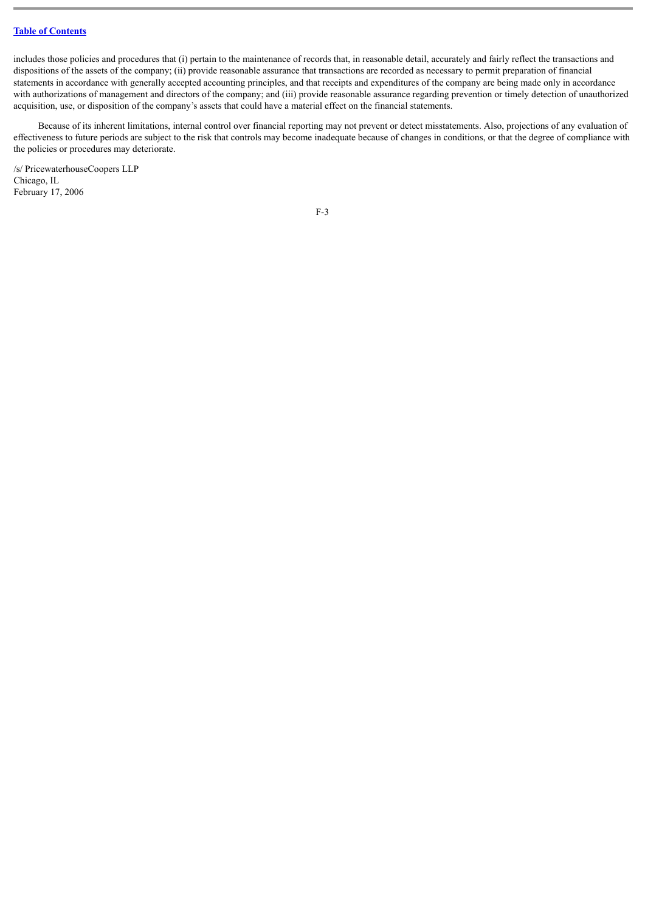includes those policies and procedures that (i) pertain to the maintenance of records that, in reasonable detail, accurately and fairly reflect the transactions and dispositions of the assets of the company; (ii) provide reasonable assurance that transactions are recorded as necessary to permit preparation of financial statements in accordance with generally accepted accounting principles, and that receipts and expenditures of the company are being made only in accordance with authorizations of management and directors of the company; and (iii) provide reasonable assurance regarding prevention or timely detection of unauthorized acquisition, use, or disposition of the company's assets that could have a material effect on the financial statements.

Because of its inherent limitations, internal control over financial reporting may not prevent or detect misstatements. Also, projections of any evaluation of effectiveness to future periods are subject to the risk that controls may become inadequate because of changes in conditions, or that the degree of compliance with the policies or procedures may deteriorate.

/s/ PricewaterhouseCoopers LLP Chicago, IL February 17, 2006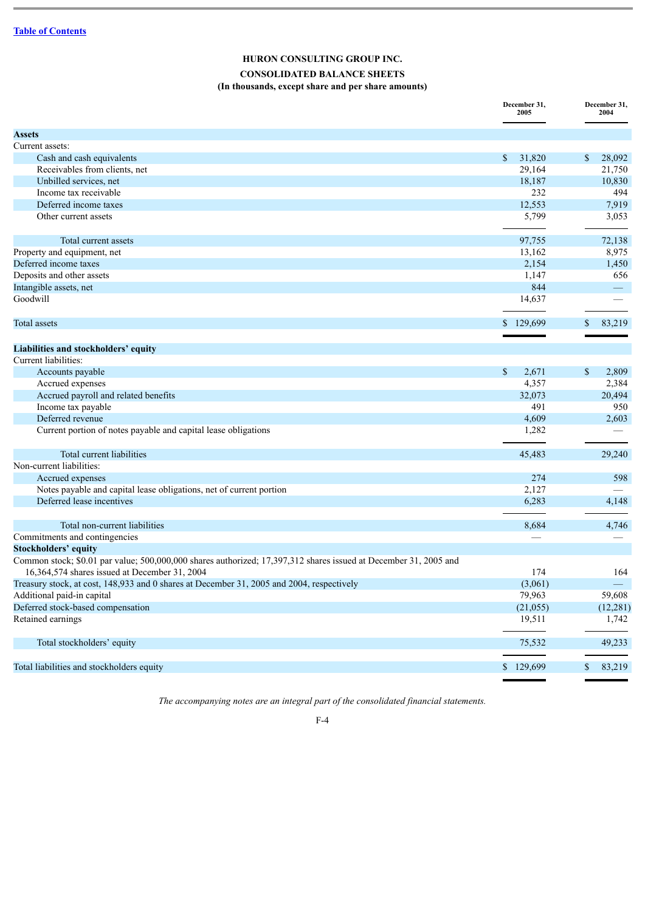# **CONSOLIDATED BALANCE SHEETS**

# **(In thousands, except share and per share amounts)**

<span id="page-49-0"></span>

|                                                                                                                                                                   | December 31,<br>2005   | December 31,<br>2004 |  |
|-------------------------------------------------------------------------------------------------------------------------------------------------------------------|------------------------|----------------------|--|
| <b>Assets</b>                                                                                                                                                     |                        |                      |  |
| Current assets:                                                                                                                                                   |                        |                      |  |
| Cash and cash equivalents                                                                                                                                         | $\mathbb{S}$<br>31,820 | \$<br>28,092         |  |
| Receivables from clients, net                                                                                                                                     | 29,164                 | 21,750               |  |
| Unbilled services, net                                                                                                                                            | 18,187                 | 10,830               |  |
| Income tax receivable                                                                                                                                             | 232                    | 494                  |  |
| Deferred income taxes                                                                                                                                             | 12,553                 | 7,919                |  |
| Other current assets                                                                                                                                              | 5,799                  | 3,053                |  |
| Total current assets                                                                                                                                              | 97,755                 | 72,138               |  |
| Property and equipment, net                                                                                                                                       | 13,162                 | 8,975                |  |
| Deferred income taxes                                                                                                                                             | 2,154                  | 1,450                |  |
| Deposits and other assets                                                                                                                                         | 1,147                  | 656                  |  |
| Intangible assets, net                                                                                                                                            | 844                    |                      |  |
| Goodwill                                                                                                                                                          | 14,637                 |                      |  |
| <b>Total assets</b>                                                                                                                                               | \$129,699              | 83,219               |  |
| Liabilities and stockholders' equity                                                                                                                              |                        |                      |  |
| Current liabilities:                                                                                                                                              |                        |                      |  |
| Accounts payable                                                                                                                                                  | $\mathbb{S}$<br>2,671  | \$<br>2,809          |  |
| Accrued expenses                                                                                                                                                  | 4,357                  | 2,384                |  |
| Accrued payroll and related benefits                                                                                                                              | 32,073                 | 20,494               |  |
| Income tax payable                                                                                                                                                | 491                    | 950                  |  |
| Deferred revenue                                                                                                                                                  | 4,609                  | 2,603                |  |
| Current portion of notes payable and capital lease obligations                                                                                                    | 1,282                  |                      |  |
| Total current liabilities                                                                                                                                         | 45,483                 | 29,240               |  |
| Non-current liabilities:                                                                                                                                          |                        |                      |  |
| Accrued expenses                                                                                                                                                  | 274                    | 598                  |  |
| Notes payable and capital lease obligations, net of current portion                                                                                               | 2,127                  |                      |  |
| Deferred lease incentives                                                                                                                                         | 6,283                  | 4,148                |  |
| Total non-current liabilities                                                                                                                                     | 8,684                  | 4,746                |  |
| Commitments and contingencies                                                                                                                                     |                        |                      |  |
| <b>Stockholders' equity</b>                                                                                                                                       |                        |                      |  |
| Common stock; \$0.01 par value; 500,000,000 shares authorized; 17,397,312 shares issued at December 31, 2005 and<br>16,364,574 shares issued at December 31, 2004 | 174                    | 164                  |  |
| Treasury stock, at cost, 148,933 and 0 shares at December 31, 2005 and 2004, respectively                                                                         | (3,061)                |                      |  |
| Additional paid-in capital                                                                                                                                        | 79,963                 | 59,608               |  |
| Deferred stock-based compensation                                                                                                                                 | (21,055)               | (12, 281)            |  |
| Retained earnings                                                                                                                                                 | 19,511                 | 1,742                |  |
| Total stockholders' equity                                                                                                                                        | 75,532                 | 49,233               |  |
| Total liabilities and stockholders equity                                                                                                                         | \$129,699              | 83,219<br>\$         |  |

*The accompanying notes are an integral part of the consolidated financial statements.*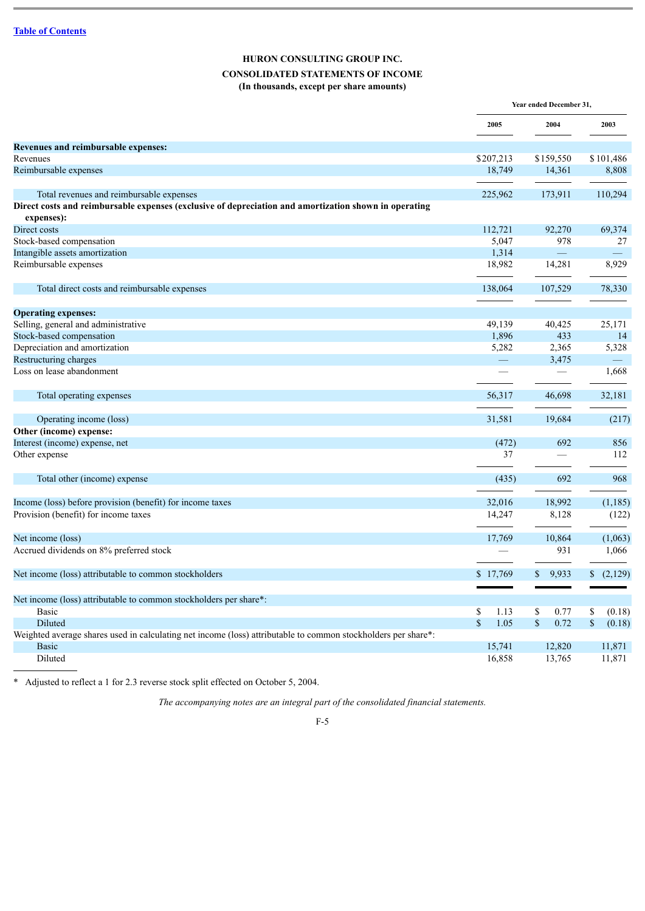# **CONSOLIDATED STATEMENTS OF INCOME (In thousands, except per share amounts)**

<span id="page-50-0"></span>

|                                                                                                                               |                          | Year ended December 31, |                                     |
|-------------------------------------------------------------------------------------------------------------------------------|--------------------------|-------------------------|-------------------------------------|
|                                                                                                                               | 2005                     | 2004                    | 2003                                |
| Revenues and reimbursable expenses:                                                                                           |                          |                         |                                     |
| Revenues                                                                                                                      | \$207,213                | \$159,550               | \$101,486                           |
| Reimbursable expenses                                                                                                         | 18,749                   | 14,361                  | 8,808                               |
| Total revenues and reimbursable expenses                                                                                      | 225,962                  | 173,911                 | 110,294                             |
| Direct costs and reimbursable expenses (exclusive of depreciation and amortization shown in operating                         |                          |                         |                                     |
| expenses):                                                                                                                    |                          |                         |                                     |
| Direct costs                                                                                                                  | 112,721                  | 92,270                  | 69,374                              |
| Stock-based compensation                                                                                                      | 5,047                    | 978                     | 27                                  |
| Intangible assets amortization                                                                                                | 1,314                    | $\equiv$                |                                     |
| Reimbursable expenses                                                                                                         | 18,982                   | 14,281                  | 8,929                               |
| Total direct costs and reimbursable expenses                                                                                  | 138,064                  | 107,529                 | 78,330                              |
| <b>Operating expenses:</b>                                                                                                    |                          |                         |                                     |
| Selling, general and administrative                                                                                           | 49,139                   | 40,425                  | 25,171                              |
| Stock-based compensation                                                                                                      | 1,896                    | 433                     | 14                                  |
| Depreciation and amortization                                                                                                 | 5,282                    | 2,365                   | 5,328                               |
| Restructuring charges                                                                                                         | $\overline{\phantom{0}}$ | 3,475                   |                                     |
| Loss on lease abandonment                                                                                                     |                          | $\equiv$                | 1,668                               |
| Total operating expenses                                                                                                      | 56,317                   | 46,698                  | 32,181                              |
| Operating income (loss)                                                                                                       | 31,581                   | 19,684                  | (217)                               |
| Other (income) expense:                                                                                                       |                          |                         |                                     |
| Interest (income) expense, net                                                                                                | (472)                    | 692                     | 856                                 |
| Other expense                                                                                                                 | 37                       |                         | 112                                 |
| Total other (income) expense                                                                                                  | (435)                    | 692                     | 968                                 |
| Income (loss) before provision (benefit) for income taxes                                                                     | 32,016                   | 18,992                  | (1,185)                             |
| Provision (benefit) for income taxes                                                                                          | 14,247                   | 8,128                   | (122)                               |
| Net income (loss)                                                                                                             | 17,769                   | 10,864                  | (1,063)                             |
| Accrued dividends on 8% preferred stock                                                                                       |                          | 931                     | 1,066                               |
| Net income (loss) attributable to common stockholders                                                                         | \$17,769                 | 9,933<br>$\mathbb{S}$   | (2,129)                             |
| Net income (loss) attributable to common stockholders per share*:                                                             |                          |                         |                                     |
| <b>Basic</b>                                                                                                                  | \$<br>1.13               | \$<br>0.77              | \$<br>(0.18)                        |
| Diluted                                                                                                                       | $\mathbf S$<br>1.05      | $\mathbb{S}$<br>0.72    | $\boldsymbol{\mathsf{S}}$<br>(0.18) |
| Weighted average shares used in calculating net income (loss) attributable to common stockholders per share*:<br><b>Basic</b> | 15,741                   | 12,820                  | 11,871                              |
| Diluted                                                                                                                       | 16,858                   | 13,765                  | 11,871                              |
|                                                                                                                               |                          |                         |                                     |

\* Adjusted to reflect a 1 for 2.3 reverse stock split effected on October 5, 2004.

*The accompanying notes are an integral part of the consolidated financial statements.*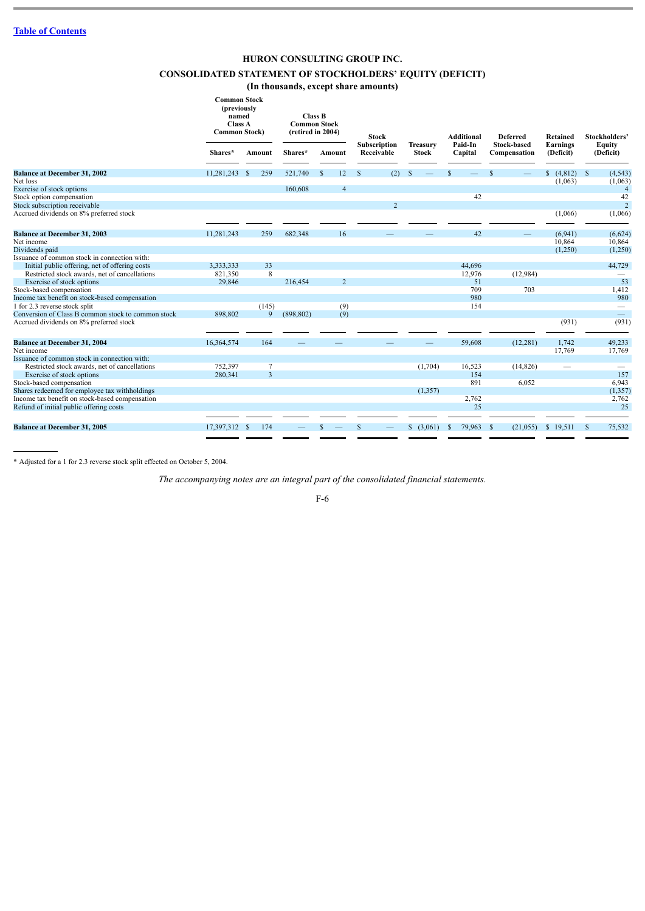# **CONSOLIDATED STATEMENT OF STOCKHOLDERS' EQUITY (DEFICIT)**

**(In thousands, except share amounts)**

<span id="page-51-0"></span>

|                                                    | <b>Common Stock</b><br>(previously<br>named<br><b>Class A</b><br><b>Common Stock)</b> |                |                   | <b>Class B</b><br><b>Common Stock</b><br>(retired in 2004) | <b>Stock</b>         |                                                       | Additional | <b>Deferred</b>                    | <b>Retained</b>              | Stockholders'       |
|----------------------------------------------------|---------------------------------------------------------------------------------------|----------------|-------------------|------------------------------------------------------------|----------------------|-------------------------------------------------------|------------|------------------------------------|------------------------------|---------------------|
|                                                    | Shares*                                                                               |                | Shares*<br>Amount | Subscription<br>Receivable<br>Amount                       |                      | <b>Treasury</b><br>Paid-In<br><b>Stock</b><br>Capital |            | <b>Stock-based</b><br>Compensation | <b>Earnings</b><br>(Deficit) | Equity<br>(Deficit) |
| <b>Balance at December 31, 2002</b>                | 11,281,243                                                                            | 259<br>-S      | 521,740           | 12                                                         | (2)<br><sup>\$</sup> | <sup>S</sup>                                          |            |                                    | \$(4,812)                    | -S<br>(4, 543)      |
| Net loss                                           |                                                                                       |                |                   |                                                            |                      |                                                       |            |                                    | (1,063)                      | (1,063)             |
| Exercise of stock options                          |                                                                                       |                | 160,608           | $\overline{4}$                                             |                      |                                                       |            |                                    |                              | $\overline{4}$      |
| Stock option compensation                          |                                                                                       |                |                   |                                                            |                      |                                                       | 42         |                                    |                              | 42                  |
| Stock subscription receivable                      |                                                                                       |                |                   |                                                            | $\overline{2}$       |                                                       |            |                                    |                              | $\overline{2}$      |
| Accrued dividends on 8% preferred stock            |                                                                                       |                |                   |                                                            |                      |                                                       |            |                                    | (1,066)                      | (1,066)             |
| <b>Balance at December 31, 2003</b>                | 11,281,243                                                                            | 259            | 682,348           | 16                                                         |                      |                                                       | 42         |                                    | (6,941)                      | (6,624)             |
| Net income                                         |                                                                                       |                |                   |                                                            |                      |                                                       |            |                                    | 10,864                       | 10,864              |
| Dividends paid                                     |                                                                                       |                |                   |                                                            |                      |                                                       |            |                                    | (1,250)                      | (1,250)             |
| Issuance of common stock in connection with:       |                                                                                       |                |                   |                                                            |                      |                                                       |            |                                    |                              |                     |
| Initial public offering, net of offering costs     | 3,333,333                                                                             | 33             |                   |                                                            |                      |                                                       | 44.696     |                                    |                              | 44,729              |
| Restricted stock awards, net of cancellations      | 821,350                                                                               | 8              |                   |                                                            |                      |                                                       | 12,976     | (12,984)                           |                              |                     |
| Exercise of stock options                          | 29,846                                                                                |                | 216,454           | $\overline{2}$                                             |                      |                                                       | 51         |                                    |                              | 53                  |
| Stock-based compensation                           |                                                                                       |                |                   |                                                            |                      |                                                       | 709        | 703                                |                              | 1,412               |
| Income tax benefit on stock-based compensation     |                                                                                       |                |                   |                                                            |                      |                                                       | 980        |                                    |                              | 980                 |
| 1 for 2.3 reverse stock split                      |                                                                                       | (145)          |                   | (9)                                                        |                      |                                                       | 154        |                                    |                              |                     |
| Conversion of Class B common stock to common stock | 898,802                                                                               | 9              | (898, 802)        | (9)                                                        |                      |                                                       |            |                                    |                              | $\equiv$            |
| Accrued dividends on 8% preferred stock            |                                                                                       |                |                   |                                                            |                      |                                                       |            |                                    | (931)                        | (931)               |
| <b>Balance at December 31, 2004</b>                | 16,364,574                                                                            | 164            |                   |                                                            |                      |                                                       | 59,608     | (12, 281)                          | 1,742                        | 49,233              |
| Net income                                         |                                                                                       |                |                   |                                                            |                      |                                                       |            |                                    | 17,769                       | 17,769              |
| Issuance of common stock in connection with:       |                                                                                       |                |                   |                                                            |                      |                                                       |            |                                    |                              |                     |
| Restricted stock awards, net of cancellations      | 752,397                                                                               | $\tau$         |                   |                                                            |                      | (1,704)                                               | 16,523     | (14, 826)                          | $\overline{\phantom{0}}$     |                     |
| Exercise of stock options                          | 280,341                                                                               | $\overline{3}$ |                   |                                                            |                      |                                                       | 154        |                                    |                              | 157                 |
| Stock-based compensation                           |                                                                                       |                |                   |                                                            |                      |                                                       | 891        | 6,052                              |                              | 6,943               |
| Shares redeemed for employee tax withholdings      |                                                                                       |                |                   |                                                            |                      | (1,357)                                               |            |                                    |                              | (1, 357)            |
| Income tax benefit on stock-based compensation     |                                                                                       |                |                   |                                                            |                      |                                                       | 2,762      |                                    |                              | 2,762               |
| Refund of initial public offering costs            |                                                                                       |                |                   |                                                            |                      |                                                       | 25         |                                    |                              | 25                  |
| <b>Balance at December 31, 2005</b>                | 17,397,312                                                                            | 174            |                   |                                                            |                      | \$ (3,061)                                            | 79,963 \$  | (21,055)                           | \$19,511                     | 75,532              |
|                                                    |                                                                                       |                |                   |                                                            |                      |                                                       |            |                                    |                              |                     |

\* Adjusted for a 1 for 2.3 reverse stock split effected on October 5, 2004.

*The accompanying notes are an integral part of the consolidated financial statements.*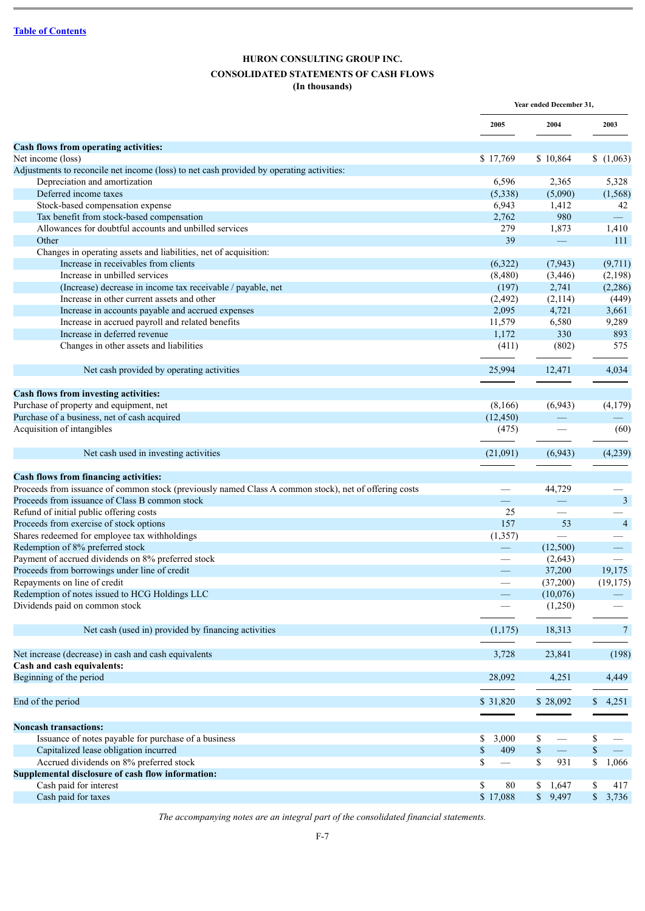# **HURON CONSULTING GROUP INC. CONSOLIDATED STATEMENTS OF CASH FLOWS (In thousands)**

<span id="page-52-0"></span>

|                                                                                                       | Year ended December 31,  |                                   |                          |
|-------------------------------------------------------------------------------------------------------|--------------------------|-----------------------------------|--------------------------|
|                                                                                                       | 2005                     | 2004                              | 2003                     |
| Cash flows from operating activities:                                                                 |                          |                                   |                          |
| Net income (loss)                                                                                     | \$17,769                 | \$10,864                          | (1,063)                  |
| Adjustments to reconcile net income (loss) to net cash provided by operating activities:              |                          |                                   |                          |
| Depreciation and amortization                                                                         | 6,596                    | 2,365                             | 5,328                    |
| Deferred income taxes                                                                                 | (5,338)                  | (5,090)                           | (1, 568)                 |
| Stock-based compensation expense                                                                      | 6,943                    | 1,412                             | 42                       |
| Tax benefit from stock-based compensation                                                             | 2,762                    | 980                               |                          |
| Allowances for doubtful accounts and unbilled services                                                | 279                      | 1,873                             | 1,410                    |
| Other                                                                                                 | 39                       | $\equiv$                          | 111                      |
| Changes in operating assets and liabilities, net of acquisition:                                      |                          |                                   |                          |
| Increase in receivables from clients                                                                  | (6,322)                  | (7, 943)                          | (9,711)                  |
| Increase in unbilled services                                                                         | (8,480)                  | (3,446)                           | (2,198)                  |
| (Increase) decrease in income tax receivable / payable, net                                           | (197)                    | 2,741                             | (2, 286)                 |
| Increase in other current assets and other                                                            | (2, 492)                 | (2,114)                           | (449)                    |
| Increase in accounts payable and accrued expenses                                                     | 2,095                    | 4,721                             | 3,661                    |
| Increase in accrued payroll and related benefits                                                      | 11,579                   | 6,580                             | 9,289                    |
| Increase in deferred revenue                                                                          | 1,172                    | 330                               | 893                      |
| Changes in other assets and liabilities                                                               | (411)                    | (802)                             | 575                      |
| Net cash provided by operating activities                                                             | 25,994                   | 12,471                            | 4,034                    |
| Cash flows from investing activities:                                                                 |                          |                                   |                          |
| Purchase of property and equipment, net                                                               | (8,166)                  | (6,943)                           | (4,179)                  |
| Purchase of a business, net of cash acquired                                                          | (12, 450)                |                                   |                          |
| Acquisition of intangibles                                                                            | (475)                    |                                   | (60)                     |
| Net cash used in investing activities                                                                 | (21,091)                 | (6,943)                           | (4,239)                  |
| Cash flows from financing activities:                                                                 |                          |                                   |                          |
| Proceeds from issuance of common stock (previously named Class A common stock), net of offering costs |                          | 44,729                            |                          |
| Proceeds from issuance of Class B common stock                                                        | $\mathbb{Z}$             | $\overbrace{\phantom{aaaaa}}^{x}$ | $\overline{3}$           |
| Refund of initial public offering costs                                                               | 25                       |                                   |                          |
| Proceeds from exercise of stock options                                                               | 157                      | 53                                | $\overline{4}$           |
| Shares redeemed for employee tax withholdings                                                         | (1,357)                  | $\overline{\phantom{0}}$          |                          |
| Redemption of 8% preferred stock                                                                      | $\overline{\phantom{0}}$ | (12,500)                          |                          |
| Payment of accrued dividends on 8% preferred stock                                                    |                          | (2,643)                           |                          |
| Proceeds from borrowings under line of credit                                                         |                          | 37,200                            | 19,175                   |
| Repayments on line of credit                                                                          |                          | (37,200)                          | (19, 175)                |
| Redemption of notes issued to HCG Holdings LLC                                                        |                          | (10,076)                          |                          |
| Dividends paid on common stock                                                                        |                          | (1,250)                           |                          |
| Net cash (used in) provided by financing activities                                                   | (1,175)                  | 18,313                            | $\overline{7}$           |
| Net increase (decrease) in cash and cash equivalents                                                  | 3,728                    | 23,841                            | (198)                    |
| Cash and cash equivalents:                                                                            |                          |                                   |                          |
| Beginning of the period                                                                               | 28,092                   | 4,251                             | 4,449                    |
| End of the period                                                                                     | \$ 31,820                | \$28,092                          | \$4,251                  |
| <b>Noncash transactions:</b>                                                                          |                          |                                   |                          |
| Issuance of notes payable for purchase of a business                                                  | \$<br>3,000              | \$                                | \$                       |
| Capitalized lease obligation incurred                                                                 | $\$$<br>409              | $\equiv$<br>\$                    | $\mathbb{S}$<br>$\equiv$ |
| Accrued dividends on 8% preferred stock                                                               | \$                       | 931<br>\$                         | \$<br>1,066              |
| Supplemental disclosure of cash flow information:                                                     |                          |                                   |                          |
| Cash paid for interest                                                                                | \$<br>80                 | 1,647<br>\$                       | 417<br>\$                |
| Cash paid for taxes                                                                                   | \$17,088                 | \$<br>9,497                       | \$3,736                  |

*The accompanying notes are an integral part of the consolidated financial statements.*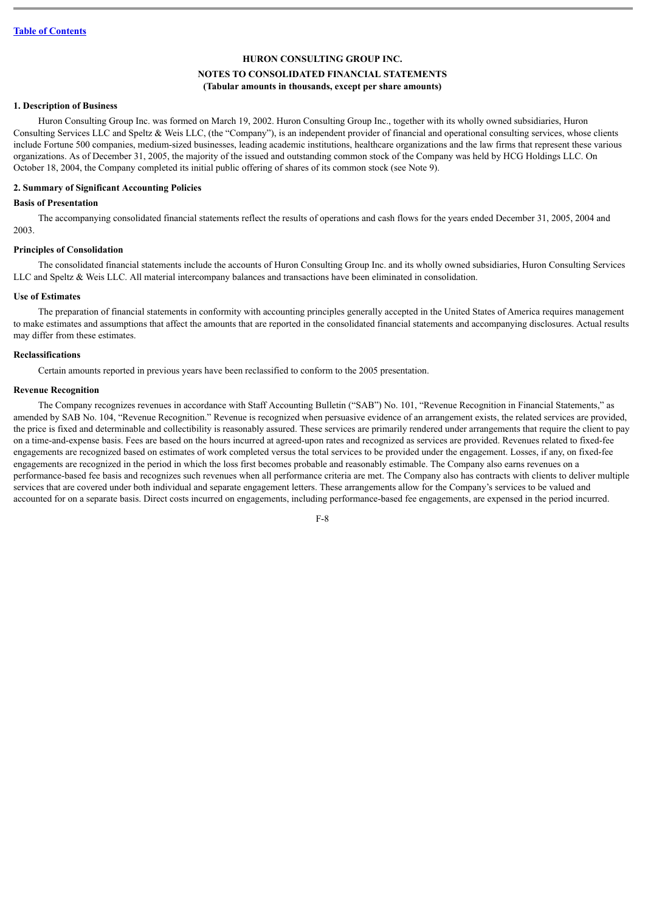## **NOTES TO CONSOLIDATED FINANCIAL STATEMENTS (Tabular amounts in thousands, except per share amounts)**

### <span id="page-53-0"></span>**1. Description of Business**

Huron Consulting Group Inc. was formed on March 19, 2002. Huron Consulting Group Inc., together with its wholly owned subsidiaries, Huron Consulting Services LLC and Speltz & Weis LLC, (the "Company"), is an independent provider of financial and operational consulting services, whose clients include Fortune 500 companies, medium-sized businesses, leading academic institutions, healthcare organizations and the law firms that represent these various organizations. As of December 31, 2005, the majority of the issued and outstanding common stock of the Company was held by HCG Holdings LLC. On October 18, 2004, the Company completed its initial public offering of shares of its common stock (see Note 9).

### **2. Summary of Significant Accounting Policies**

### **Basis of Presentation**

The accompanying consolidated financial statements reflect the results of operations and cash flows for the years ended December 31, 2005, 2004 and 2003.

#### **Principles of Consolidation**

The consolidated financial statements include the accounts of Huron Consulting Group Inc. and its wholly owned subsidiaries, Huron Consulting Services LLC and Speltz & Weis LLC. All material intercompany balances and transactions have been eliminated in consolidation.

#### **Use of Estimates**

The preparation of financial statements in conformity with accounting principles generally accepted in the United States of America requires management to make estimates and assumptions that affect the amounts that are reported in the consolidated financial statements and accompanying disclosures. Actual results may differ from these estimates.

#### **Reclassifications**

Certain amounts reported in previous years have been reclassified to conform to the 2005 presentation.

#### **Revenue Recognition**

The Company recognizes revenues in accordance with Staff Accounting Bulletin ("SAB") No. 101, "Revenue Recognition in Financial Statements," as amended by SAB No. 104, "Revenue Recognition." Revenue is recognized when persuasive evidence of an arrangement exists, the related services are provided, the price is fixed and determinable and collectibility is reasonably assured. These services are primarily rendered under arrangements that require the client to pay on a time-and-expense basis. Fees are based on the hours incurred at agreed-upon rates and recognized as services are provided. Revenues related to fixed-fee engagements are recognized based on estimates of work completed versus the total services to be provided under the engagement. Losses, if any, on fixed-fee engagements are recognized in the period in which the loss first becomes probable and reasonably estimable. The Company also earns revenues on a performance-based fee basis and recognizes such revenues when all performance criteria are met. The Company also has contracts with clients to deliver multiple services that are covered under both individual and separate engagement letters. These arrangements allow for the Company's services to be valued and accounted for on a separate basis. Direct costs incurred on engagements, including performance-based fee engagements, are expensed in the period incurred.

 $F - Q$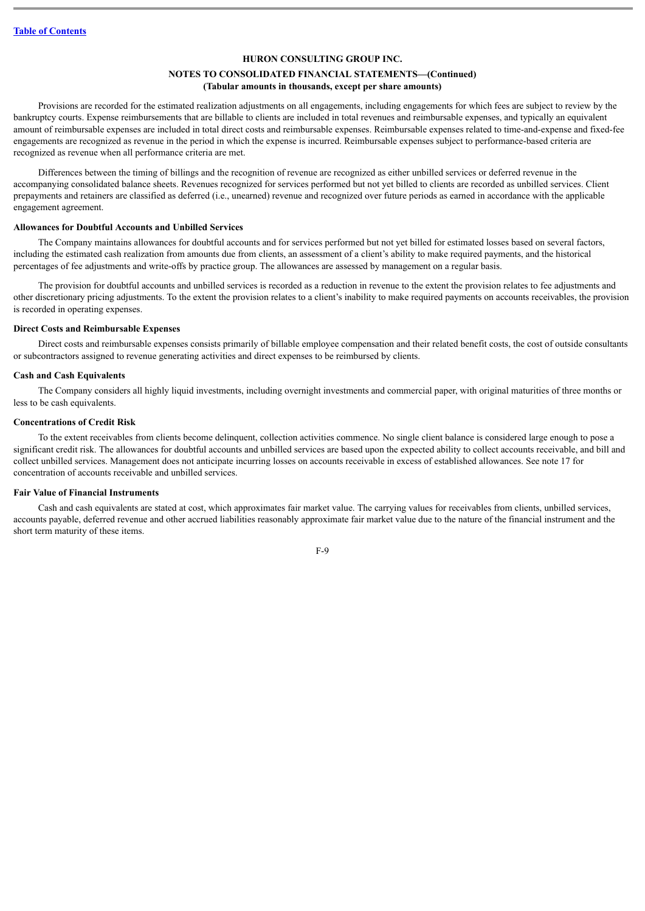# **NOTES TO CONSOLIDATED FINANCIAL STATEMENTS—(Continued) (Tabular amounts in thousands, except per share amounts)**

Provisions are recorded for the estimated realization adjustments on all engagements, including engagements for which fees are subject to review by the bankruptcy courts. Expense reimbursements that are billable to clients are included in total revenues and reimbursable expenses, and typically an equivalent amount of reimbursable expenses are included in total direct costs and reimbursable expenses. Reimbursable expenses related to time-and-expense and fixed-fee engagements are recognized as revenue in the period in which the expense is incurred. Reimbursable expenses subject to performance-based criteria are recognized as revenue when all performance criteria are met.

Differences between the timing of billings and the recognition of revenue are recognized as either unbilled services or deferred revenue in the accompanying consolidated balance sheets. Revenues recognized for services performed but not yet billed to clients are recorded as unbilled services. Client prepayments and retainers are classified as deferred (i.e., unearned) revenue and recognized over future periods as earned in accordance with the applicable engagement agreement.

#### **Allowances for Doubtful Accounts and Unbilled Services**

The Company maintains allowances for doubtful accounts and for services performed but not yet billed for estimated losses based on several factors, including the estimated cash realization from amounts due from clients, an assessment of a client's ability to make required payments, and the historical percentages of fee adjustments and write-offs by practice group. The allowances are assessed by management on a regular basis.

The provision for doubtful accounts and unbilled services is recorded as a reduction in revenue to the extent the provision relates to fee adjustments and other discretionary pricing adjustments. To the extent the provision relates to a client's inability to make required payments on accounts receivables, the provision is recorded in operating expenses.

# **Direct Costs and Reimbursable Expenses**

Direct costs and reimbursable expenses consists primarily of billable employee compensation and their related benefit costs, the cost of outside consultants or subcontractors assigned to revenue generating activities and direct expenses to be reimbursed by clients.

#### **Cash and Cash Equivalents**

The Company considers all highly liquid investments, including overnight investments and commercial paper, with original maturities of three months or less to be cash equivalents.

## **Concentrations of Credit Risk**

To the extent receivables from clients become delinquent, collection activities commence. No single client balance is considered large enough to pose a significant credit risk. The allowances for doubtful accounts and unbilled services are based upon the expected ability to collect accounts receivable, and bill and collect unbilled services. Management does not anticipate incurring losses on accounts receivable in excess of established allowances. See note 17 for concentration of accounts receivable and unbilled services.

# **Fair Value of Financial Instruments**

Cash and cash equivalents are stated at cost, which approximates fair market value. The carrying values for receivables from clients, unbilled services, accounts payable, deferred revenue and other accrued liabilities reasonably approximate fair market value due to the nature of the financial instrument and the short term maturity of these items.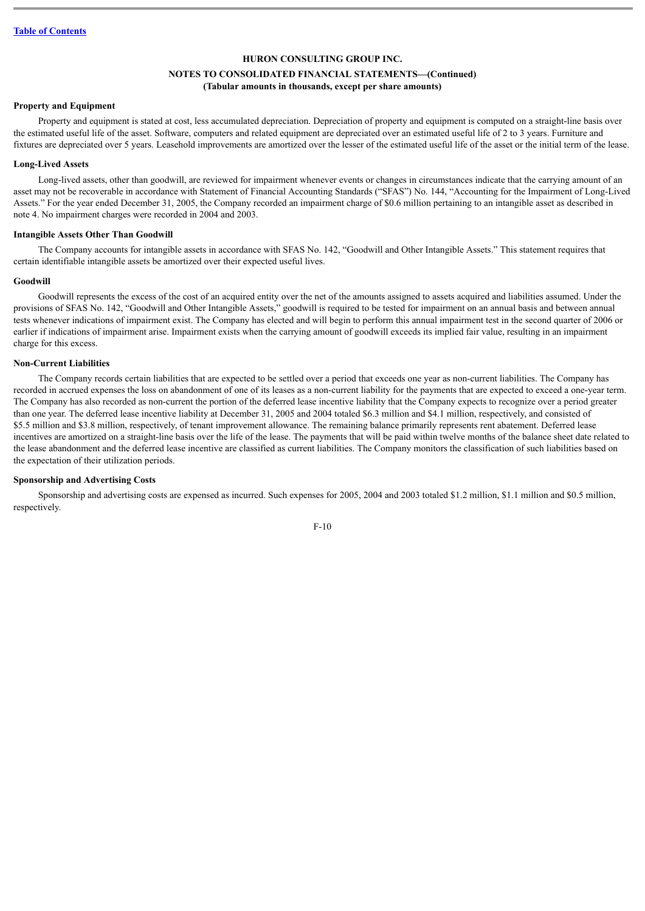# **NOTES TO CONSOLIDATED FINANCIAL STATEMENTS—(Continued) (Tabular amounts in thousands, except per share amounts)**

#### **Property and Equipment**

Property and equipment is stated at cost, less accumulated depreciation. Depreciation of property and equipment is computed on a straight-line basis over the estimated useful life of the asset. Software, computers and related equipment are depreciated over an estimated useful life of 2 to 3 years. Furniture and fixtures are depreciated over 5 years. Leasehold improvements are amortized over the lesser of the estimated useful life of the asset or the initial term of the lease.

# **Long-Lived Assets**

Long-lived assets, other than goodwill, are reviewed for impairment whenever events or changes in circumstances indicate that the carrying amount of an asset may not be recoverable in accordance with Statement of Financial Accounting Standards ("SFAS") No. 144, "Accounting for the Impairment of Long-Lived Assets." For the year ended December 31, 2005, the Company recorded an impairment charge of \$0.6 million pertaining to an intangible asset as described in note 4. No impairment charges were recorded in 2004 and 2003.

#### **Intangible Assets Other Than Goodwill**

The Company accounts for intangible assets in accordance with SFAS No. 142, "Goodwill and Other Intangible Assets." This statement requires that certain identifiable intangible assets be amortized over their expected useful lives.

#### **Goodwill**

Goodwill represents the excess of the cost of an acquired entity over the net of the amounts assigned to assets acquired and liabilities assumed. Under the provisions of SFAS No. 142, "Goodwill and Other Intangible Assets," goodwill is required to be tested for impairment on an annual basis and between annual tests whenever indications of impairment exist. The Company has elected and will begin to perform this annual impairment test in the second quarter of 2006 or earlier if indications of impairment arise. Impairment exists when the carrying amount of goodwill exceeds its implied fair value, resulting in an impairment charge for this excess.

#### **Non-Current Liabilities**

The Company records certain liabilities that are expected to be settled over a period that exceeds one year as non-current liabilities. The Company has recorded in accrued expenses the loss on abandonment of one of its leases as a non-current liability for the payments that are expected to exceed a one-year term. The Company has also recorded as non-current the portion of the deferred lease incentive liability that the Company expects to recognize over a period greater than one year. The deferred lease incentive liability at December 31, 2005 and 2004 totaled \$6.3 million and \$4.1 million, respectively, and consisted of \$5.5 million and \$3.8 million, respectively, of tenant improvement allowance. The remaining balance primarily represents rent abatement. Deferred lease incentives are amortized on a straight-line basis over the life of the lease. The payments that will be paid within twelve months of the balance sheet date related to the lease abandonment and the deferred lease incentive are classified as current liabilities. The Company monitors the classification of such liabilities based on the expectation of their utilization periods.

# **Sponsorship and Advertising Costs**

Sponsorship and advertising costs are expensed as incurred. Such expenses for 2005, 2004 and 2003 totaled \$1.2 million, \$1.1 million and \$0.5 million, respectively.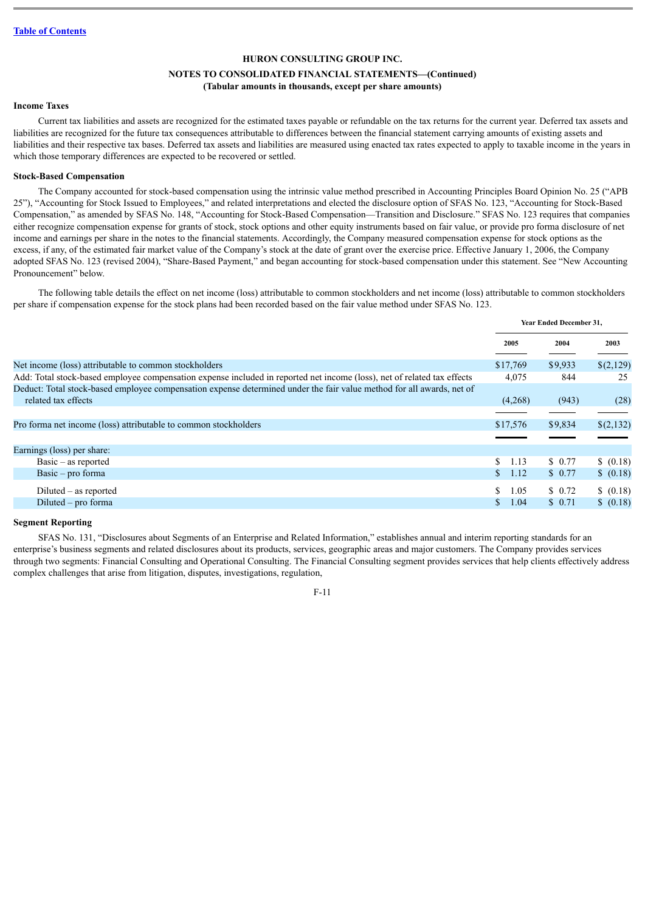# **NOTES TO CONSOLIDATED FINANCIAL STATEMENTS—(Continued) (Tabular amounts in thousands, except per share amounts)**

# **Income Taxes**

Current tax liabilities and assets are recognized for the estimated taxes payable or refundable on the tax returns for the current year. Deferred tax assets and liabilities are recognized for the future tax consequences attributable to differences between the financial statement carrying amounts of existing assets and liabilities and their respective tax bases. Deferred tax assets and liabilities are measured using enacted tax rates expected to apply to taxable income in the years in which those temporary differences are expected to be recovered or settled.

# **Stock-Based Compensation**

The Company accounted for stock-based compensation using the intrinsic value method prescribed in Accounting Principles Board Opinion No. 25 ("APB 25"), "Accounting for Stock Issued to Employees," and related interpretations and elected the disclosure option of SFAS No. 123, "Accounting for Stock-Based Compensation," as amended by SFAS No. 148, "Accounting for Stock-Based Compensation—Transition and Disclosure." SFAS No. 123 requires that companies either recognize compensation expense for grants of stock, stock options and other equity instruments based on fair value, or provide pro forma disclosure of net income and earnings per share in the notes to the financial statements. Accordingly, the Company measured compensation expense for stock options as the excess, if any, of the estimated fair market value of the Company's stock at the date of grant over the exercise price. Effective January 1, 2006, the Company adopted SFAS No. 123 (revised 2004), "Share-Based Payment," and began accounting for stock-based compensation under this statement. See "New Accounting Pronouncement" below.

The following table details the effect on net income (loss) attributable to common stockholders and net income (loss) attributable to common stockholders per share if compensation expense for the stock plans had been recorded based on the fair value method under SFAS No. 123.

|                                                                                                                                              | <b>Year Ended December 31,</b> |         |           |
|----------------------------------------------------------------------------------------------------------------------------------------------|--------------------------------|---------|-----------|
|                                                                                                                                              | 2005                           | 2004    | 2003      |
| Net income (loss) attributable to common stockholders                                                                                        | \$17,769                       | \$9,933 | \$(2,129) |
| Add: Total stock-based employee compensation expense included in reported net income (loss), net of related tax effects                      | 4,075                          | 844     | 25        |
| Deduct: Total stock-based employee compensation expense determined under the fair value method for all awards, net of<br>related tax effects | (4,268)                        | (943)   | (28)      |
| Pro forma net income (loss) attributable to common stockholders                                                                              | \$17,576                       | \$9,834 | \$(2,132) |
|                                                                                                                                              |                                |         |           |
| Earnings (loss) per share:                                                                                                                   |                                |         |           |
| $Basic - as reported$                                                                                                                        | \$<br>1.13                     | \$0.77  | \$ (0.18) |
| Basic – pro forma                                                                                                                            | S.<br>1.12                     | \$0.77  | \$ (0.18) |
| Diluted – as reported                                                                                                                        | \$<br>1.05                     | \$0.72  | \$ (0.18) |
| Diluted – pro forma                                                                                                                          | S<br>1.04                      | \$0.71  | \$ (0.18) |

#### **Segment Reporting**

SFAS No. 131, "Disclosures about Segments of an Enterprise and Related Information," establishes annual and interim reporting standards for an enterprise's business segments and related disclosures about its products, services, geographic areas and major customers. The Company provides services through two segments: Financial Consulting and Operational Consulting. The Financial Consulting segment provides services that help clients effectively address complex challenges that arise from litigation, disputes, investigations, regulation,

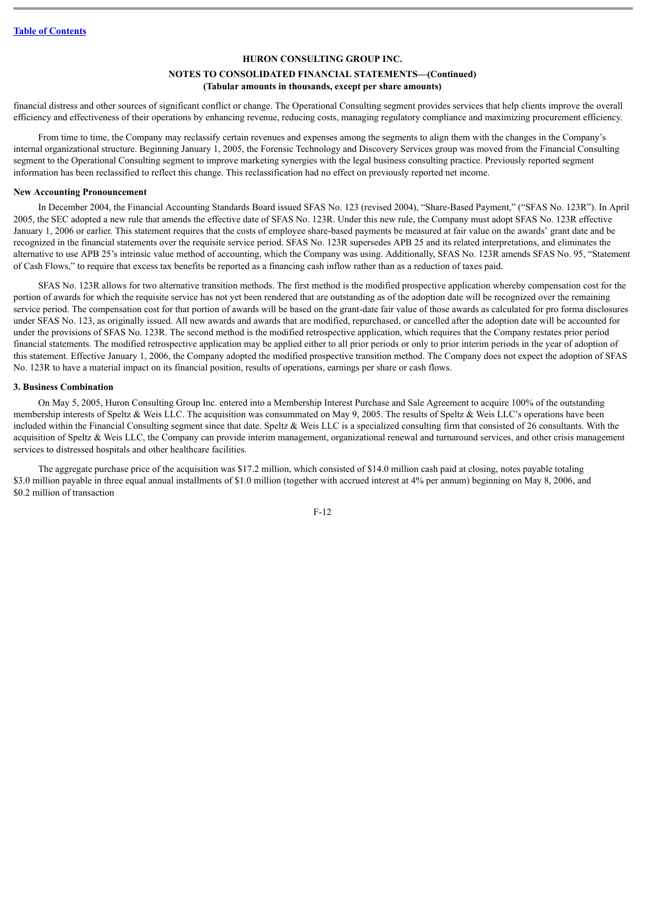# **NOTES TO CONSOLIDATED FINANCIAL STATEMENTS—(Continued) (Tabular amounts in thousands, except per share amounts)**

financial distress and other sources of significant conflict or change. The Operational Consulting segment provides services that help clients improve the overall efficiency and effectiveness of their operations by enhancing revenue, reducing costs, managing regulatory compliance and maximizing procurement efficiency.

From time to time, the Company may reclassify certain revenues and expenses among the segments to align them with the changes in the Company's internal organizational structure. Beginning January 1, 2005, the Forensic Technology and Discovery Services group was moved from the Financial Consulting segment to the Operational Consulting segment to improve marketing synergies with the legal business consulting practice. Previously reported segment information has been reclassified to reflect this change. This reclassification had no effect on previously reported net income.

#### **New Accounting Pronouncement**

In December 2004, the Financial Accounting Standards Board issued SFAS No. 123 (revised 2004), "Share-Based Payment," ("SFAS No. 123R"). In April 2005, the SEC adopted a new rule that amends the effective date of SFAS No. 123R. Under this new rule, the Company must adopt SFAS No. 123R effective January 1, 2006 or earlier. This statement requires that the costs of employee share-based payments be measured at fair value on the awards' grant date and be recognized in the financial statements over the requisite service period. SFAS No. 123R supersedes APB 25 and its related interpretations, and eliminates the alternative to use APB 25's intrinsic value method of accounting, which the Company was using. Additionally, SFAS No. 123R amends SFAS No. 95, "Statement of Cash Flows," to require that excess tax benefits be reported as a financing cash inflow rather than as a reduction of taxes paid.

SFAS No. 123R allows for two alternative transition methods. The first method is the modified prospective application whereby compensation cost for the portion of awards for which the requisite service has not yet been rendered that are outstanding as of the adoption date will be recognized over the remaining service period. The compensation cost for that portion of awards will be based on the grant-date fair value of those awards as calculated for pro forma disclosures under SFAS No. 123, as originally issued. All new awards and awards that are modified, repurchased, or cancelled after the adoption date will be accounted for under the provisions of SFAS No. 123R. The second method is the modified retrospective application, which requires that the Company restates prior period financial statements. The modified retrospective application may be applied either to all prior periods or only to prior interim periods in the year of adoption of this statement. Effective January 1, 2006, the Company adopted the modified prospective transition method. The Company does not expect the adoption of SFAS No. 123R to have a material impact on its financial position, results of operations, earnings per share or cash flows.

#### **3. Business Combination**

On May 5, 2005, Huron Consulting Group Inc. entered into a Membership Interest Purchase and Sale Agreement to acquire 100% of the outstanding membership interests of Speltz & Weis LLC. The acquisition was consummated on May 9, 2005. The results of Speltz & Weis LLC's operations have been included within the Financial Consulting segment since that date. Speltz & Weis LLC is a specialized consulting firm that consisted of 26 consultants. With the acquisition of Speltz & Weis LLC, the Company can provide interim management, organizational renewal and turnaround services, and other crisis management services to distressed hospitals and other healthcare facilities.

The aggregate purchase price of the acquisition was \$17.2 million, which consisted of \$14.0 million cash paid at closing, notes payable totaling \$3.0 million payable in three equal annual installments of \$1.0 million (together with accrued interest at 4% per annum) beginning on May 8, 2006, and \$0.2 million of transaction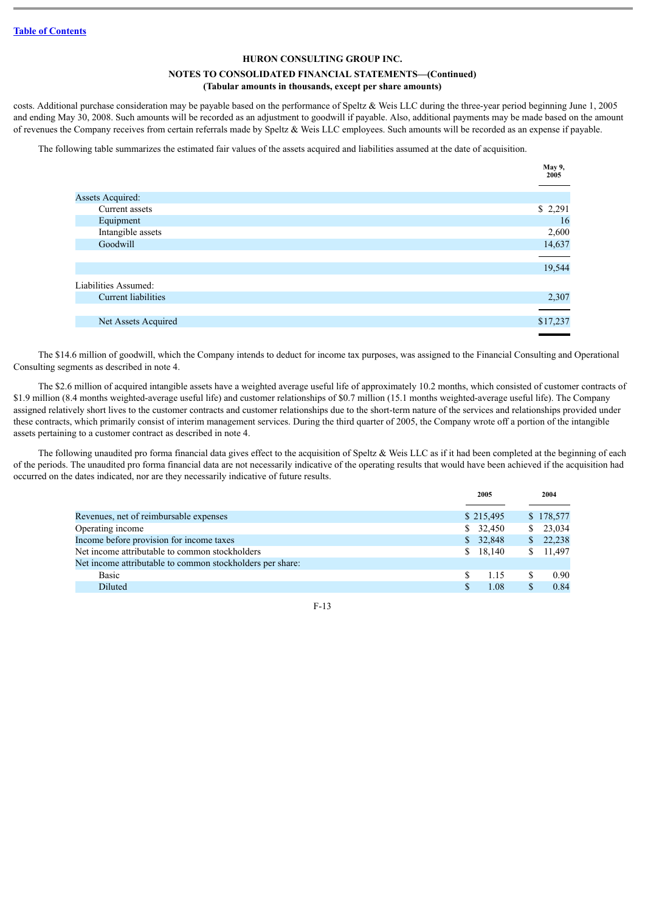# **NOTES TO CONSOLIDATED FINANCIAL STATEMENTS—(Continued) (Tabular amounts in thousands, except per share amounts)**

costs. Additional purchase consideration may be payable based on the performance of Speltz & Weis LLC during the three-year period beginning June 1, 2005 and ending May 30, 2008. Such amounts will be recorded as an adjustment to goodwill if payable. Also, additional payments may be made based on the amount of revenues the Company receives from certain referrals made by Speltz & Weis LLC employees. Such amounts will be recorded as an expense if payable.

The following table summarizes the estimated fair values of the assets acquired and liabilities assumed at the date of acquisition.

|                         | May 9,<br>2005                 |
|-------------------------|--------------------------------|
| <b>Assets Acquired:</b> |                                |
| Current assets          | \$2,291                        |
| Equipment               | 16                             |
| Intangible assets       | 2,600                          |
| Goodwill                | 14,637                         |
|                         | $\overbrace{\hspace{27mm}}^{}$ |
|                         | 19,544                         |
| Liabilities Assumed:    |                                |
| Current liabilities     | 2,307                          |
|                         |                                |
| Net Assets Acquired     | \$17,237                       |
|                         |                                |

The \$14.6 million of goodwill, which the Company intends to deduct for income tax purposes, was assigned to the Financial Consulting and Operational Consulting segments as described in note 4.

The \$2.6 million of acquired intangible assets have a weighted average useful life of approximately 10.2 months, which consisted of customer contracts of \$1.9 million (8.4 months weighted-average useful life) and customer relationships of \$0.7 million (15.1 months weighted-average useful life). The Company assigned relatively short lives to the customer contracts and customer relationships due to the short-term nature of the services and relationships provided under these contracts, which primarily consist of interim management services. During the third quarter of 2005, the Company wrote off a portion of the intangible assets pertaining to a customer contract as described in note 4.

The following unaudited pro forma financial data gives effect to the acquisition of Speltz & Weis LLC as if it had been completed at the beginning of each of the periods. The unaudited pro forma financial data are not necessarily indicative of the operating results that would have been achieved if the acquisition had occurred on the dates indicated, nor are they necessarily indicative of future results.

|                                                           | 2005      |      | 2004      |
|-----------------------------------------------------------|-----------|------|-----------|
| Revenues, net of reimbursable expenses                    | \$215,495 |      | \$178,577 |
| Operating income                                          | \$32,450  | S.   | 23,034    |
| Income before provision for income taxes                  | \$32,848  |      | \$22,238  |
| Net income attributable to common stockholders            | \$ 18.140 | S.   | 11.497    |
| Net income attributable to common stockholders per share: |           |      |           |
| Basic                                                     |           | 115  | 0.90      |
| Diluted                                                   |           | 1.08 | 0.84      |
|                                                           |           |      |           |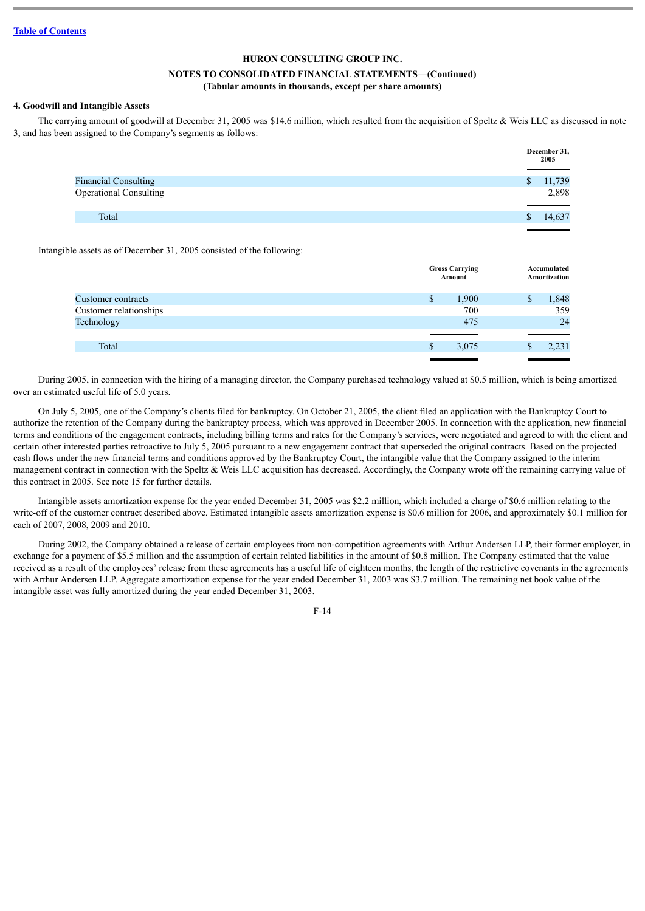## **NOTES TO CONSOLIDATED FINANCIAL STATEMENTS—(Continued) (Tabular amounts in thousands, except per share amounts)**

# **4. Goodwill and Intangible Assets**

The carrying amount of goodwill at December 31, 2005 was \$14.6 million, which resulted from the acquisition of Speltz & Weis LLC as discussed in note 3, and has been assigned to the Company's segments as follows:

|                               |    | December 31,<br>2005 |
|-------------------------------|----|----------------------|
| <b>Financial Consulting</b>   |    | 11,739               |
| <b>Operational Consulting</b> |    | 2,898                |
|                               |    |                      |
| Total                         | S. | 14,637               |

Intangible assets as of December 31, 2005 consisted of the following:

|                        | <b>Gross Carrying</b><br>Amount | Accumulated<br>Amortization |
|------------------------|---------------------------------|-----------------------------|
|                        |                                 |                             |
| Customer contracts     | 1,900<br>S                      | 1,848<br>\$                 |
| Customer relationships | 700                             | 359                         |
| Technology             | 475                             | 24                          |
|                        |                                 |                             |
| Total                  | 3,075<br>S                      | 2,231                       |
|                        |                                 |                             |

During 2005, in connection with the hiring of a managing director, the Company purchased technology valued at \$0.5 million, which is being amortized over an estimated useful life of 5.0 years.

On July 5, 2005, one of the Company's clients filed for bankruptcy. On October 21, 2005, the client filed an application with the Bankruptcy Court to authorize the retention of the Company during the bankruptcy process, which was approved in December 2005. In connection with the application, new financial terms and conditions of the engagement contracts, including billing terms and rates for the Company's services, were negotiated and agreed to with the client and certain other interested parties retroactive to July 5, 2005 pursuant to a new engagement contract that superseded the original contracts. Based on the projected cash flows under the new financial terms and conditions approved by the Bankruptcy Court, the intangible value that the Company assigned to the interim management contract in connection with the Speltz & Weis LLC acquisition has decreased. Accordingly, the Company wrote off the remaining carrying value of this contract in 2005. See note 15 for further details.

Intangible assets amortization expense for the year ended December 31, 2005 was \$2.2 million, which included a charge of \$0.6 million relating to the write-off of the customer contract described above. Estimated intangible assets amortization expense is \$0.6 million for 2006, and approximately \$0.1 million for each of 2007, 2008, 2009 and 2010.

During 2002, the Company obtained a release of certain employees from non-competition agreements with Arthur Andersen LLP, their former employer, in exchange for a payment of \$5.5 million and the assumption of certain related liabilities in the amount of \$0.8 million. The Company estimated that the value received as a result of the employees' release from these agreements has a useful life of eighteen months, the length of the restrictive covenants in the agreements with Arthur Andersen LLP. Aggregate amortization expense for the year ended December 31, 2003 was \$3.7 million. The remaining net book value of the intangible asset was fully amortized during the year ended December 31, 2003.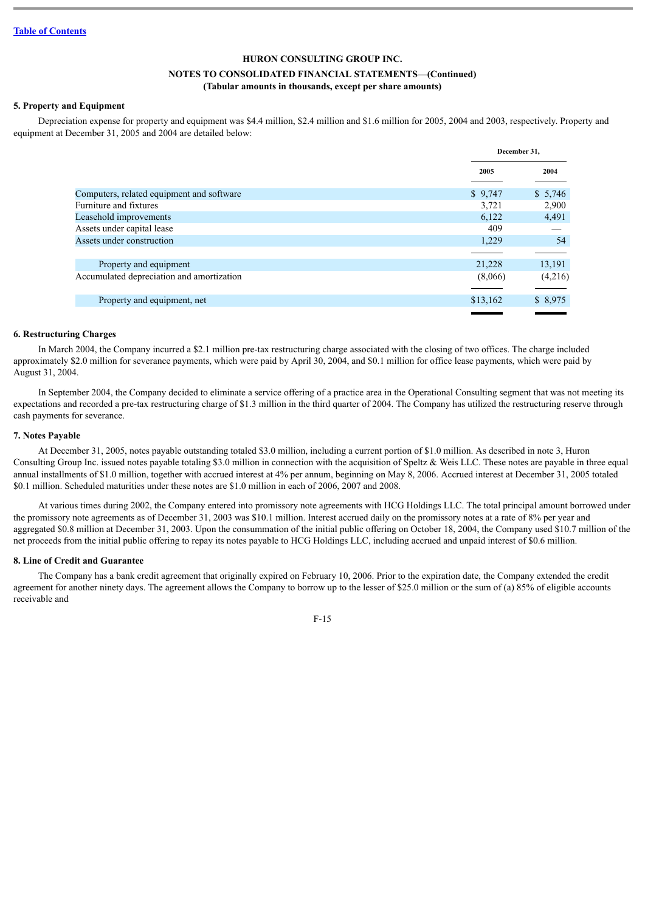## **NOTES TO CONSOLIDATED FINANCIAL STATEMENTS—(Continued) (Tabular amounts in thousands, except per share amounts)**

# **5. Property and Equipment**

Depreciation expense for property and equipment was \$4.4 million, \$2.4 million and \$1.6 million for 2005, 2004 and 2003, respectively. Property and equipment at December 31, 2005 and 2004 are detailed below:

|                                           | December 31, |         |
|-------------------------------------------|--------------|---------|
|                                           | 2005         | 2004    |
| Computers, related equipment and software | \$9,747      | \$5,746 |
| Furniture and fixtures                    | 3,721        | 2,900   |
| Leasehold improvements                    | 6,122        | 4,491   |
| Assets under capital lease                | 409          |         |
| Assets under construction                 | 1,229        | 54      |
|                                           |              |         |
| Property and equipment                    | 21,228       | 13,191  |
| Accumulated depreciation and amortization | (8,066)      | (4,216) |
|                                           |              |         |
| Property and equipment, net               | \$13,162     | \$8,975 |
|                                           |              |         |

#### **6. Restructuring Charges**

In March 2004, the Company incurred a \$2.1 million pre-tax restructuring charge associated with the closing of two offices. The charge included approximately \$2.0 million for severance payments, which were paid by April 30, 2004, and \$0.1 million for office lease payments, which were paid by August 31, 2004.

In September 2004, the Company decided to eliminate a service offering of a practice area in the Operational Consulting segment that was not meeting its expectations and recorded a pre-tax restructuring charge of \$1.3 million in the third quarter of 2004. The Company has utilized the restructuring reserve through cash payments for severance.

#### **7. Notes Payable**

At December 31, 2005, notes payable outstanding totaled \$3.0 million, including a current portion of \$1.0 million. As described in note 3, Huron Consulting Group Inc. issued notes payable totaling \$3.0 million in connection with the acquisition of Speltz & Weis LLC. These notes are payable in three equal annual installments of \$1.0 million, together with accrued interest at 4% per annum, beginning on May 8, 2006. Accrued interest at December 31, 2005 totaled \$0.1 million. Scheduled maturities under these notes are \$1.0 million in each of 2006, 2007 and 2008.

At various times during 2002, the Company entered into promissory note agreements with HCG Holdings LLC. The total principal amount borrowed under the promissory note agreements as of December 31, 2003 was \$10.1 million. Interest accrued daily on the promissory notes at a rate of 8% per year and aggregated \$0.8 million at December 31, 2003. Upon the consummation of the initial public offering on October 18, 2004, the Company used \$10.7 million of the net proceeds from the initial public offering to repay its notes payable to HCG Holdings LLC, including accrued and unpaid interest of \$0.6 million.

### **8. Line of Credit and Guarantee**

The Company has a bank credit agreement that originally expired on February 10, 2006. Prior to the expiration date, the Company extended the credit agreement for another ninety days. The agreement allows the Company to borrow up to the lesser of \$25.0 million or the sum of (a) 85% of eligible accounts receivable and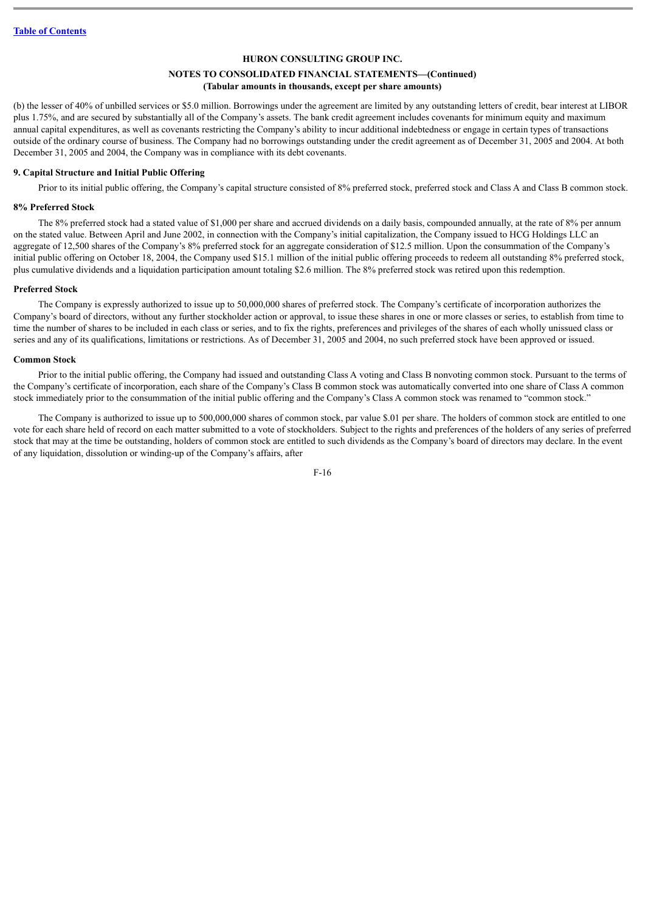# **NOTES TO CONSOLIDATED FINANCIAL STATEMENTS—(Continued) (Tabular amounts in thousands, except per share amounts)**

(b) the lesser of 40% of unbilled services or \$5.0 million. Borrowings under the agreement are limited by any outstanding letters of credit, bear interest at LIBOR plus 1.75%, and are secured by substantially all of the Company's assets. The bank credit agreement includes covenants for minimum equity and maximum annual capital expenditures, as well as covenants restricting the Company's ability to incur additional indebtedness or engage in certain types of transactions outside of the ordinary course of business. The Company had no borrowings outstanding under the credit agreement as of December 31, 2005 and 2004. At both December 31, 2005 and 2004, the Company was in compliance with its debt covenants.

# **9. Capital Structure and Initial Public Offering**

Prior to its initial public offering, the Company's capital structure consisted of 8% preferred stock, preferred stock and Class A and Class B common stock.

# **8% Preferred Stock**

The 8% preferred stock had a stated value of \$1,000 per share and accrued dividends on a daily basis, compounded annually, at the rate of 8% per annum on the stated value. Between April and June 2002, in connection with the Company's initial capitalization, the Company issued to HCG Holdings LLC an aggregate of 12,500 shares of the Company's 8% preferred stock for an aggregate consideration of \$12.5 million. Upon the consummation of the Company's initial public offering on October 18, 2004, the Company used \$15.1 million of the initial public offering proceeds to redeem all outstanding 8% preferred stock, plus cumulative dividends and a liquidation participation amount totaling \$2.6 million. The 8% preferred stock was retired upon this redemption.

## **Preferred Stock**

The Company is expressly authorized to issue up to 50,000,000 shares of preferred stock. The Company's certificate of incorporation authorizes the Company's board of directors, without any further stockholder action or approval, to issue these shares in one or more classes or series, to establish from time to time the number of shares to be included in each class or series, and to fix the rights, preferences and privileges of the shares of each wholly unissued class or series and any of its qualifications, limitations or restrictions. As of December 31, 2005 and 2004, no such preferred stock have been approved or issued.

### **Common Stock**

Prior to the initial public offering, the Company had issued and outstanding Class A voting and Class B nonvoting common stock. Pursuant to the terms of the Company's certificate of incorporation, each share of the Company's Class B common stock was automatically converted into one share of Class A common stock immediately prior to the consummation of the initial public offering and the Company's Class A common stock was renamed to "common stock."

The Company is authorized to issue up to 500,000,000 shares of common stock, par value \$.01 per share. The holders of common stock are entitled to one vote for each share held of record on each matter submitted to a vote of stockholders. Subject to the rights and preferences of the holders of any series of preferred stock that may at the time be outstanding, holders of common stock are entitled to such dividends as the Company's board of directors may declare. In the event of any liquidation, dissolution or winding-up of the Company's affairs, after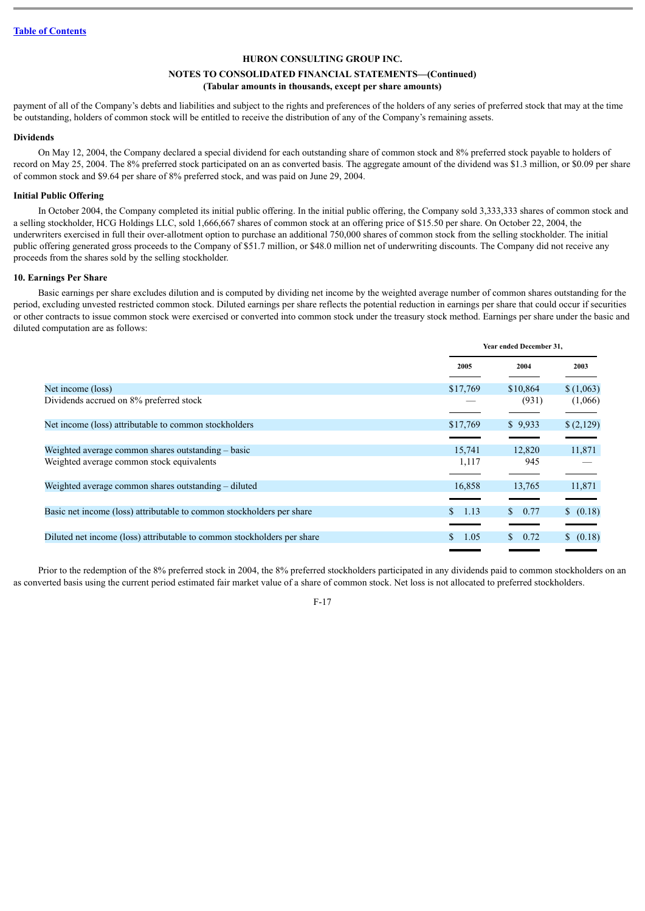# **NOTES TO CONSOLIDATED FINANCIAL STATEMENTS—(Continued) (Tabular amounts in thousands, except per share amounts)**

payment of all of the Company's debts and liabilities and subject to the rights and preferences of the holders of any series of preferred stock that may at the time be outstanding, holders of common stock will be entitled to receive the distribution of any of the Company's remaining assets.

### **Dividends**

On May 12, 2004, the Company declared a special dividend for each outstanding share of common stock and 8% preferred stock payable to holders of record on May 25, 2004. The 8% preferred stock participated on an as converted basis. The aggregate amount of the dividend was \$1.3 million, or \$0.09 per share of common stock and \$9.64 per share of 8% preferred stock, and was paid on June 29, 2004.

# **Initial Public Offering**

In October 2004, the Company completed its initial public offering. In the initial public offering, the Company sold 3,333,333 shares of common stock and a selling stockholder, HCG Holdings LLC, sold 1,666,667 shares of common stock at an offering price of \$15.50 per share. On October 22, 2004, the underwriters exercised in full their over-allotment option to purchase an additional 750,000 shares of common stock from the selling stockholder. The initial public offering generated gross proceeds to the Company of \$51.7 million, or \$48.0 million net of underwriting discounts. The Company did not receive any proceeds from the shares sold by the selling stockholder.

### **10. Earnings Per Share**

Basic earnings per share excludes dilution and is computed by dividing net income by the weighted average number of common shares outstanding for the period, excluding unvested restricted common stock. Diluted earnings per share reflects the potential reduction in earnings per share that could occur if securities or other contracts to issue common stock were exercised or converted into common stock under the treasury stock method. Earnings per share under the basic and diluted computation are as follows:

|                                                                         |          | Year ended December 31, |           |  |
|-------------------------------------------------------------------------|----------|-------------------------|-----------|--|
|                                                                         | 2005     | 2004                    | 2003      |  |
| Net income (loss)                                                       | \$17,769 | \$10,864                | \$(1,063) |  |
| Dividends accrued on 8% preferred stock                                 |          | (931)                   | (1,066)   |  |
|                                                                         |          |                         |           |  |
| Net income (loss) attributable to common stockholders                   | \$17,769 | \$9.933                 | \$(2,129) |  |
|                                                                         |          |                         |           |  |
| Weighted average common shares outstanding – basic                      | 15,741   | 12,820                  | 11,871    |  |
| Weighted average common stock equivalents                               | 1,117    | 945                     |           |  |
|                                                                         |          |                         |           |  |
| Weighted average common shares outstanding – diluted                    | 16,858   | 13,765                  | 11,871    |  |
|                                                                         |          |                         |           |  |
| Basic net income (loss) attributable to common stockholders per share   | 1.13     | 0.77<br>S.              | \$ (0.18) |  |
|                                                                         |          |                         |           |  |
| Diluted net income (loss) attributable to common stockholders per share | 1.05     | 0.72<br>S.              | \$ (0.18) |  |
|                                                                         |          |                         |           |  |

Prior to the redemption of the 8% preferred stock in 2004, the 8% preferred stockholders participated in any dividends paid to common stockholders on an as converted basis using the current period estimated fair market value of a share of common stock. Net loss is not allocated to preferred stockholders.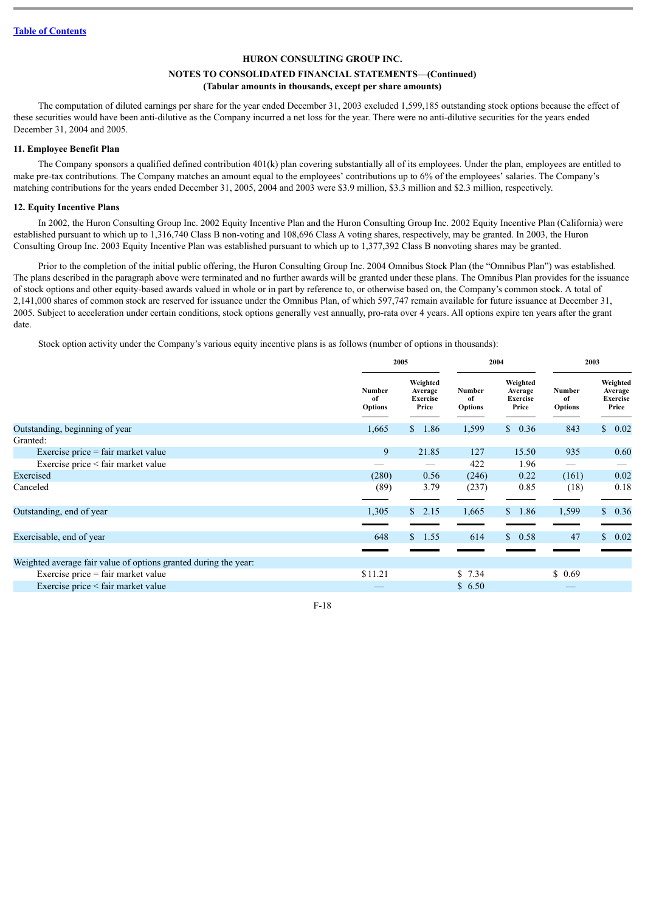# **NOTES TO CONSOLIDATED FINANCIAL STATEMENTS—(Continued) (Tabular amounts in thousands, except per share amounts)**

The computation of diluted earnings per share for the year ended December 31, 2003 excluded 1,599,185 outstanding stock options because the effect of these securities would have been anti-dilutive as the Company incurred a net loss for the year. There were no anti-dilutive securities for the years ended December 31, 2004 and 2005.

### **11. Employee Benefit Plan**

The Company sponsors a qualified defined contribution 401(k) plan covering substantially all of its employees. Under the plan, employees are entitled to make pre-tax contributions. The Company matches an amount equal to the employees' contributions up to 6% of the employees' salaries. The Company's matching contributions for the years ended December 31, 2005, 2004 and 2003 were \$3.9 million, \$3.3 million and \$2.3 million, respectively.

#### **12. Equity Incentive Plans**

In 2002, the Huron Consulting Group Inc. 2002 Equity Incentive Plan and the Huron Consulting Group Inc. 2002 Equity Incentive Plan (California) were established pursuant to which up to 1,316,740 Class B non-voting and 108,696 Class A voting shares, respectively, may be granted. In 2003, the Huron Consulting Group Inc. 2003 Equity Incentive Plan was established pursuant to which up to 1,377,392 Class B nonvoting shares may be granted.

Prior to the completion of the initial public offering, the Huron Consulting Group Inc. 2004 Omnibus Stock Plan (the "Omnibus Plan") was established. The plans described in the paragraph above were terminated and no further awards will be granted under these plans. The Omnibus Plan provides for the issuance of stock options and other equity-based awards valued in whole or in part by reference to, or otherwise based on, the Company's common stock. A total of 2,141,000 shares of common stock are reserved for issuance under the Omnibus Plan, of which 597,747 remain available for future issuance at December 31, 2005. Subject to acceleration under certain conditions, stock options generally vest annually, pro-rata over 4 years. All options expire ten years after the grant date.

Stock option activity under the Company's various equity incentive plans is as follows (number of options in thousands):

|                                                                 |                                       | 2005                                            |                                | 2004                                            |                                | 2003                                            |  |
|-----------------------------------------------------------------|---------------------------------------|-------------------------------------------------|--------------------------------|-------------------------------------------------|--------------------------------|-------------------------------------------------|--|
|                                                                 | <b>Number</b><br>of<br><b>Options</b> | Weighted<br>Average<br><b>Exercise</b><br>Price | Number<br>of<br><b>Options</b> | Weighted<br>Average<br><b>Exercise</b><br>Price | Number<br>of<br><b>Options</b> | Weighted<br>Average<br><b>Exercise</b><br>Price |  |
| Outstanding, beginning of year                                  | 1,665                                 | \$1.86                                          | 1,599                          | $\mathbb{S}^-$<br>0.36                          | 843                            | $\mathbb{S}$<br>0.02                            |  |
| Granted:                                                        |                                       |                                                 |                                |                                                 |                                |                                                 |  |
| Exercise price $=$ fair market value                            | 9                                     | 21.85                                           | 127                            | 15.50                                           | 935                            | 0.60                                            |  |
| Exercise price < fair market value                              |                                       |                                                 | 422                            | 1.96                                            |                                |                                                 |  |
| Exercised                                                       | (280)                                 | 0.56                                            | (246)                          | 0.22                                            | (161)                          | 0.02                                            |  |
| Canceled                                                        | (89)                                  | 3.79                                            | (237)                          | 0.85                                            | (18)                           | 0.18                                            |  |
| Outstanding, end of year                                        | 1,305                                 | \$2.15                                          | 1,665                          | 1.86<br>S.                                      | 1,599                          | 0.36<br>$\mathbb{S}$                            |  |
|                                                                 |                                       |                                                 |                                |                                                 |                                |                                                 |  |
| Exercisable, end of year                                        | 648                                   | \$1.55                                          | 614                            | \$0.58                                          | 47                             | $\mathbb{S}$<br>0.02                            |  |
|                                                                 |                                       |                                                 |                                |                                                 |                                |                                                 |  |
| Weighted average fair value of options granted during the year: |                                       |                                                 |                                |                                                 |                                |                                                 |  |
| Exercise price $=$ fair market value                            | \$11.21                               |                                                 | \$7.34                         |                                                 | \$0.69                         |                                                 |  |
| Exercise price < fair market value                              |                                       |                                                 | \$6.50                         |                                                 |                                |                                                 |  |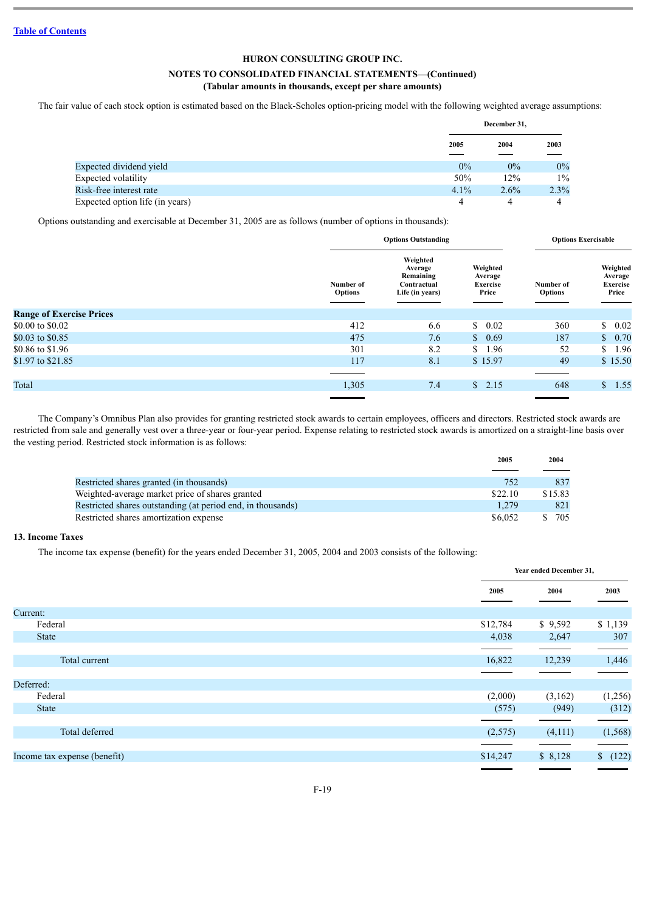# **NOTES TO CONSOLIDATED FINANCIAL STATEMENTS—(Continued) (Tabular amounts in thousands, except per share amounts)**

The fair value of each stock option is estimated based on the Black-Scholes option-pricing model with the following weighted average assumptions:

|                                 | December 31, |         |       |
|---------------------------------|--------------|---------|-------|
|                                 | 2005<br>2004 |         | 2003  |
|                                 |              |         |       |
| Expected dividend yield         | $0\%$        | $0\%$   | $0\%$ |
| Expected volatility             | 50%          | 12%     | $1\%$ |
| Risk-free interest rate         | 4.1%         | $2.6\%$ | 2.3%  |
| Expected option life (in years) | 4            | 4       | 4     |

Options outstanding and exercisable at December 31, 2005 are as follows (number of options in thousands):

|                                 |                             | <b>Options Outstanding</b>                                         |                                                 | <b>Options Exercisable</b>  |                                                 |
|---------------------------------|-----------------------------|--------------------------------------------------------------------|-------------------------------------------------|-----------------------------|-------------------------------------------------|
|                                 | Number of<br><b>Options</b> | Weighted<br>Average<br>Remaining<br>Contractual<br>Life (in years) | Weighted<br>Average<br><b>Exercise</b><br>Price | Number of<br><b>Options</b> | Weighted<br>Average<br><b>Exercise</b><br>Price |
| <b>Range of Exercise Prices</b> |                             |                                                                    |                                                 |                             |                                                 |
| \$0.00 to \$0.02                | 412                         | 6.6                                                                | \$0.02                                          | 360                         | S.<br>0.02                                      |
| \$0.03 to \$0.85                | 475                         | 7.6                                                                | \$0.69                                          | 187                         | 0.70<br>$\mathbb{S}$                            |
| \$0.86 to \$1.96                | 301                         | 8.2                                                                | $\mathbb{S}$<br>1.96                            | 52                          | 1.96<br>$\mathbf{S}$                            |
| \$1.97 to \$21.85               | 117                         | 8.1                                                                | \$15.97                                         | 49                          | \$15.50                                         |
|                                 |                             |                                                                    |                                                 |                             |                                                 |
| Total                           | 1,305                       | 7.4                                                                | \$2.15                                          | 648                         | 1.55<br>S.                                      |
|                                 |                             |                                                                    |                                                 |                             |                                                 |

The Company's Omnibus Plan also provides for granting restricted stock awards to certain employees, officers and directors. Restricted stock awards are restricted from sale and generally vest over a three-year or four-year period. Expense relating to restricted stock awards is amortized on a straight-line basis over the vesting period. Restricted stock information is as follows:

|                                                             | 2005    | 2004    |
|-------------------------------------------------------------|---------|---------|
|                                                             |         |         |
| Restricted shares granted (in thousands)                    | 752     | 837     |
| Weighted-average market price of shares granted             | \$22.10 | \$15.83 |
| Restricted shares outstanding (at period end, in thousands) | 1.279   | 821     |
| Restricted shares amortization expense                      | \$6,052 | 705     |

# **13. Income Taxes**

The income tax expense (benefit) for the years ended December 31, 2005, 2004 and 2003 consists of the following:

|                              |          | Year ended December 31, |          |  |
|------------------------------|----------|-------------------------|----------|--|
|                              | 2005     | 2004                    | 2003     |  |
| Current:                     |          |                         |          |  |
| Federal                      | \$12,784 | \$9,592                 | \$1,139  |  |
| State                        | 4,038    | 2,647                   | 307      |  |
|                              |          |                         |          |  |
| Total current                | 16,822   | 12,239                  | 1,446    |  |
|                              |          |                         |          |  |
| Deferred:                    |          |                         |          |  |
| Federal                      | (2,000)  | (3,162)                 | (1,256)  |  |
| <b>State</b>                 | (575)    | (949)                   | (312)    |  |
|                              |          |                         |          |  |
| Total deferred               | (2,575)  | (4,111)                 | (1, 568) |  |
|                              |          |                         |          |  |
| Income tax expense (benefit) | \$14,247 | \$8,128                 | \$ (122) |  |
|                              |          |                         |          |  |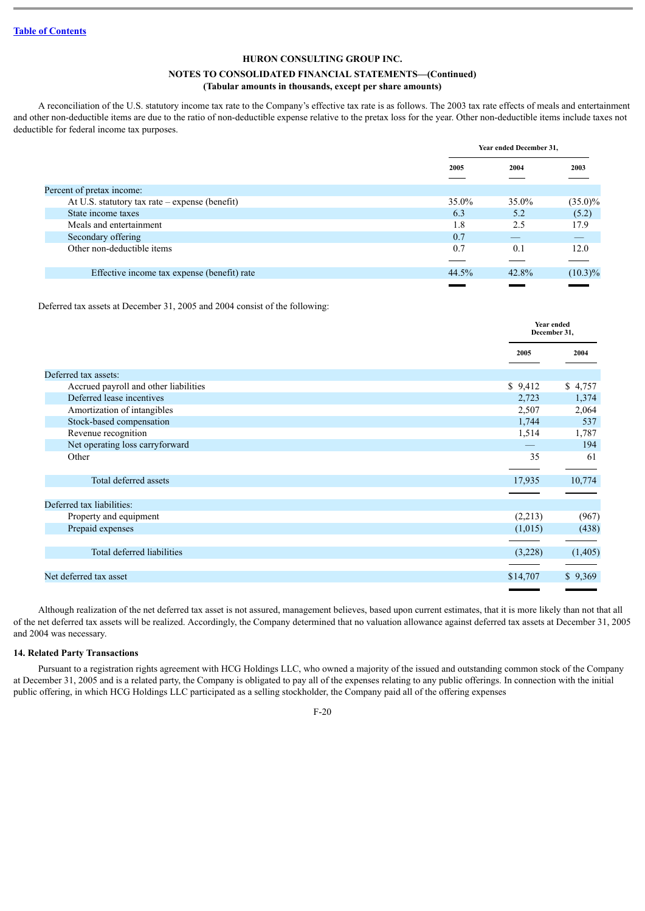# **NOTES TO CONSOLIDATED FINANCIAL STATEMENTS—(Continued) (Tabular amounts in thousands, except per share amounts)**

A reconciliation of the U.S. statutory income tax rate to the Company's effective tax rate is as follows. The 2003 tax rate effects of meals and entertainment and other non-deductible items are due to the ratio of non-deductible expense relative to the pretax loss for the year. Other non-deductible items include taxes not deductible for federal income tax purposes.

|                                                  | Year ended December 31, |       |            |
|--------------------------------------------------|-------------------------|-------|------------|
|                                                  | 2005                    | 2004  | 2003       |
|                                                  |                         |       |            |
| Percent of pretax income:                        |                         |       |            |
| At U.S. statutory tax rate $-$ expense (benefit) | $35.0\%$                | 35.0% | $(35.0)\%$ |
| State income taxes                               | 6.3                     | 5.2   | (5.2)      |
| Meals and entertainment                          | 1.8                     | 2.5   | 17.9       |
| Secondary offering                               | 0.7                     |       |            |
| Other non-deductible items                       | 0.7                     | 0.1   | 12.0       |
|                                                  |                         |       |            |
| Effective income tax expense (benefit) rate      | 44.5%                   | 42.8% | $(10.3)\%$ |
|                                                  |                         |       |            |

Deferred tax assets at December 31, 2005 and 2004 consist of the following:

|                                       |          | Year ended<br>December 31, |
|---------------------------------------|----------|----------------------------|
|                                       | 2005     | 2004                       |
| Deferred tax assets:                  |          |                            |
| Accrued payroll and other liabilities | \$9,412  | \$4,757                    |
| Deferred lease incentives             | 2,723    | 1,374                      |
| Amortization of intangibles           | 2,507    | 2,064                      |
| Stock-based compensation              | 1,744    | 537                        |
| Revenue recognition                   | 1,514    | 1,787                      |
| Net operating loss carryforward       |          | 194                        |
| Other                                 | 35       | 61                         |
|                                       |          |                            |
| Total deferred assets                 | 17,935   | 10,774                     |
|                                       |          |                            |
| Deferred tax liabilities:             |          |                            |
| Property and equipment                | (2,213)  | (967)                      |
| Prepaid expenses                      | (1,015)  | (438)                      |
|                                       |          |                            |
| Total deferred liabilities            | (3,228)  | (1, 405)                   |
|                                       |          |                            |
| Net deferred tax asset                | \$14,707 | \$9,369                    |
|                                       |          |                            |

Although realization of the net deferred tax asset is not assured, management believes, based upon current estimates, that it is more likely than not that all of the net deferred tax assets will be realized. Accordingly, the Company determined that no valuation allowance against deferred tax assets at December 31, 2005 and 2004 was necessary.

## **14. Related Party Transactions**

Pursuant to a registration rights agreement with HCG Holdings LLC, who owned a majority of the issued and outstanding common stock of the Company at December 31, 2005 and is a related party, the Company is obligated to pay all of the expenses relating to any public offerings. In connection with the initial public offering, in which HCG Holdings LLC participated as a selling stockholder, the Company paid all of the offering expenses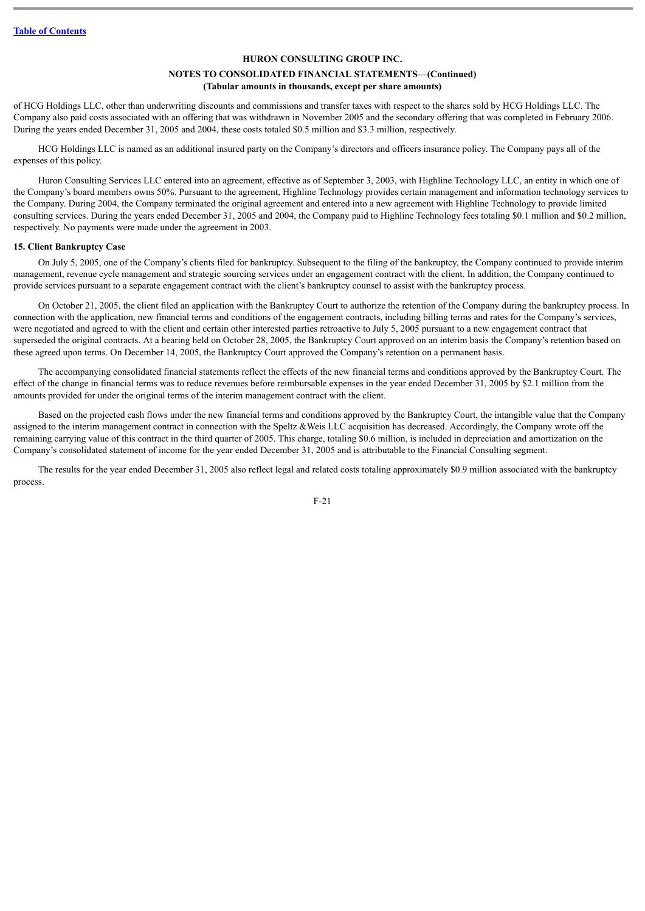# **NOTES TO CONSOLIDATED FINANCIAL STATEMENTS—(Continued) (Tabular amounts in thousands, except per share amounts)**

of HCG Holdings LLC, other than underwriting discounts and commissions and transfer taxes with respect to the shares sold by HCG Holdings LLC. The Company also paid costs associated with an offering that was withdrawn in November 2005 and the secondary offering that was completed in February 2006. During the years ended December 31, 2005 and 2004, these costs totaled \$0.5 million and \$3.3 million, respectively.

HCG Holdings LLC is named as an additional insured party on the Company's directors and officers insurance policy. The Company pays all of the expenses of this policy.

Huron Consulting Services LLC entered into an agreement, effective as of September 3, 2003, with Highline Technology LLC, an entity in which one of the Company's board members owns 50%. Pursuant to the agreement, Highline Technology provides certain management and information technology services to the Company. During 2004, the Company terminated the original agreement and entered into a new agreement with Highline Technology to provide limited consulting services. During the years ended December 31, 2005 and 2004, the Company paid to Highline Technology fees totaling \$0.1 million and \$0.2 million, respectively. No payments were made under the agreement in 2003.

#### **15. Client Bankruptcy Case**

On July 5, 2005, one of the Company's clients filed for bankruptcy. Subsequent to the filing of the bankruptcy, the Company continued to provide interim management, revenue cycle management and strategic sourcing services under an engagement contract with the client. In addition, the Company continued to provide services pursuant to a separate engagement contract with the client's bankruptcy counsel to assist with the bankruptcy process.

On October 21, 2005, the client filed an application with the Bankruptcy Court to authorize the retention of the Company during the bankruptcy process. In connection with the application, new financial terms and conditions of the engagement contracts, including billing terms and rates for the Company's services, were negotiated and agreed to with the client and certain other interested parties retroactive to July 5, 2005 pursuant to a new engagement contract that superseded the original contracts. At a hearing held on October 28, 2005, the Bankruptcy Court approved on an interim basis the Company's retention based on these agreed upon terms. On December 14, 2005, the Bankruptcy Court approved the Company's retention on a permanent basis.

The accompanying consolidated financial statements reflect the effects of the new financial terms and conditions approved by the Bankruptcy Court. The effect of the change in financial terms was to reduce revenues before reimbursable expenses in the year ended December 31, 2005 by \$2.1 million from the amounts provided for under the original terms of the interim management contract with the client.

Based on the projected cash flows under the new financial terms and conditions approved by the Bankruptcy Court, the intangible value that the Company assigned to the interim management contract in connection with the Speltz &Weis LLC acquisition has decreased. Accordingly, the Company wrote off the remaining carrying value of this contract in the third quarter of 2005. This charge, totaling \$0.6 million, is included in depreciation and amortization on the Company's consolidated statement of income for the year ended December 31, 2005 and is attributable to the Financial Consulting segment.

The results for the year ended December 31, 2005 also reflect legal and related costs totaling approximately \$0.9 million associated with the bankruptcy process.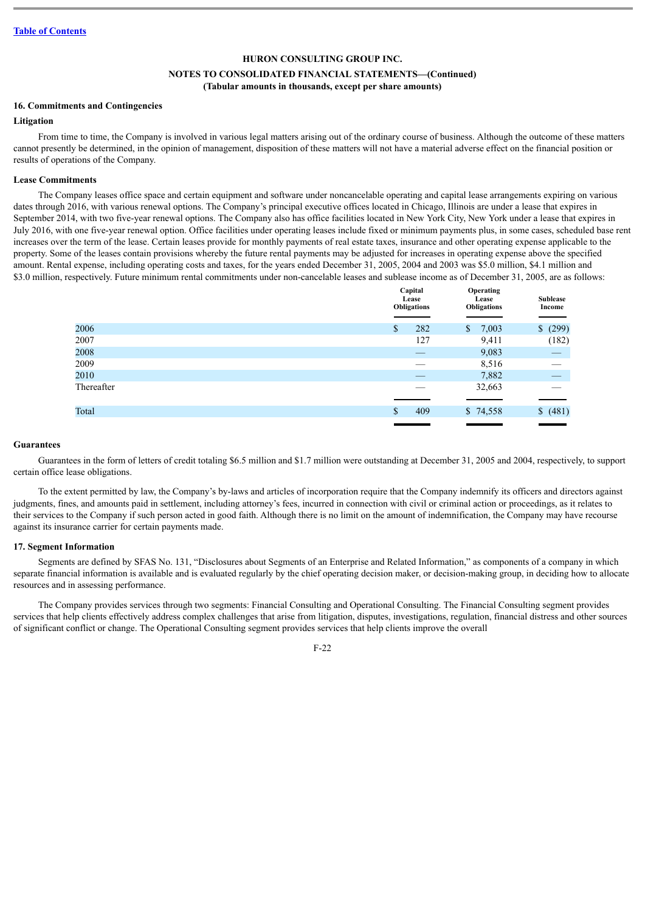## **NOTES TO CONSOLIDATED FINANCIAL STATEMENTS—(Continued) (Tabular amounts in thousands, except per share amounts)**

# **16. Commitments and Contingencies**

#### **Litigation**

From time to time, the Company is involved in various legal matters arising out of the ordinary course of business. Although the outcome of these matters cannot presently be determined, in the opinion of management, disposition of these matters will not have a material adverse effect on the financial position or results of operations of the Company.

#### **Lease Commitments**

The Company leases office space and certain equipment and software under noncancelable operating and capital lease arrangements expiring on various dates through 2016, with various renewal options. The Company's principal executive offices located in Chicago, Illinois are under a lease that expires in September 2014, with two five-year renewal options. The Company also has office facilities located in New York City, New York under a lease that expires in July 2016, with one five-year renewal option. Office facilities under operating leases include fixed or minimum payments plus, in some cases, scheduled base rent increases over the term of the lease. Certain leases provide for monthly payments of real estate taxes, insurance and other operating expense applicable to the property. Some of the leases contain provisions whereby the future rental payments may be adjusted for increases in operating expense above the specified amount. Rental expense, including operating costs and taxes, for the years ended December 31, 2005, 2004 and 2003 was \$5.0 million, \$4.1 million and \$3.0 million, respectively. Future minimum rental commitments under non-cancelable leases and sublease income as of December 31, 2005, are as follows:

|            | Capital<br>Lease<br><b>Obligations</b> | Operating<br>Lease<br><b>Obligations</b> | <b>Sublease</b><br>Income       |
|------------|----------------------------------------|------------------------------------------|---------------------------------|
| 2006       | 282<br>\$                              | 7,003<br>$\mathbb{S}$                    | \$ (299)                        |
| 2007       | 127                                    | 9,411                                    | (182)                           |
| 2008       |                                        | 9,083                                    | $\hspace{0.1mm}-\hspace{0.1mm}$ |
| 2009       |                                        | 8,516                                    |                                 |
| 2010       |                                        | 7,882                                    |                                 |
| Thereafter |                                        | 32,663                                   |                                 |
|            |                                        |                                          |                                 |
| Total      | \$<br>409                              | \$74,558                                 | \$ (481)                        |
|            |                                        |                                          |                                 |

### **Guarantees**

Guarantees in the form of letters of credit totaling \$6.5 million and \$1.7 million were outstanding at December 31, 2005 and 2004, respectively, to support certain office lease obligations.

To the extent permitted by law, the Company's by-laws and articles of incorporation require that the Company indemnify its officers and directors against judgments, fines, and amounts paid in settlement, including attorney's fees, incurred in connection with civil or criminal action or proceedings, as it relates to their services to the Company if such person acted in good faith. Although there is no limit on the amount of indemnification, the Company may have recourse against its insurance carrier for certain payments made.

### **17. Segment Information**

Segments are defined by SFAS No. 131, "Disclosures about Segments of an Enterprise and Related Information," as components of a company in which separate financial information is available and is evaluated regularly by the chief operating decision maker, or decision-making group, in deciding how to allocate resources and in assessing performance.

The Company provides services through two segments: Financial Consulting and Operational Consulting. The Financial Consulting segment provides services that help clients effectively address complex challenges that arise from litigation, disputes, investigations, regulation, financial distress and other sources of significant conflict or change. The Operational Consulting segment provides services that help clients improve the overall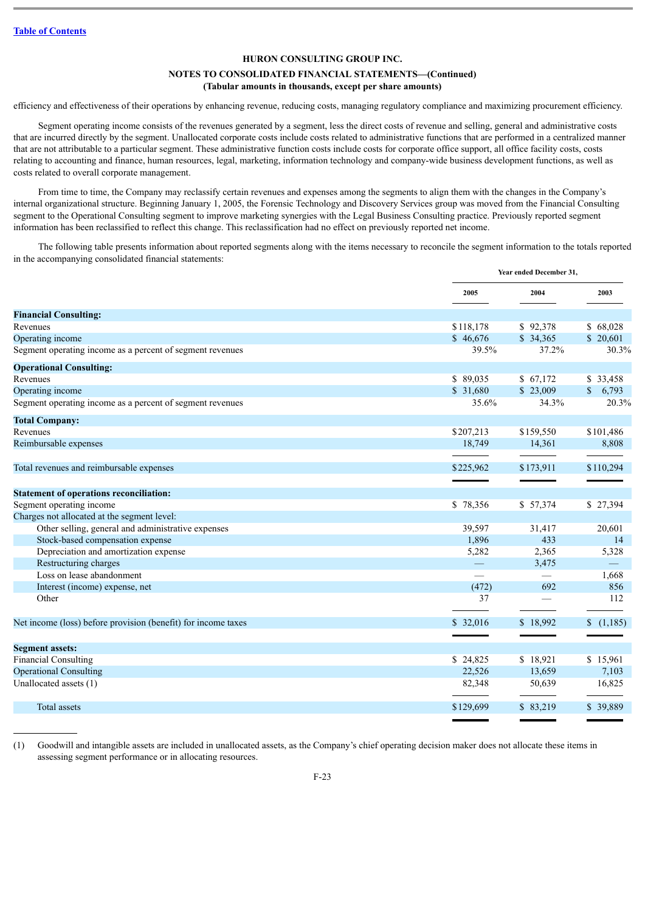# **NOTES TO CONSOLIDATED FINANCIAL STATEMENTS—(Continued) (Tabular amounts in thousands, except per share amounts)**

efficiency and effectiveness of their operations by enhancing revenue, reducing costs, managing regulatory compliance and maximizing procurement efficiency.

Segment operating income consists of the revenues generated by a segment, less the direct costs of revenue and selling, general and administrative costs that are incurred directly by the segment. Unallocated corporate costs include costs related to administrative functions that are performed in a centralized manner that are not attributable to a particular segment. These administrative function costs include costs for corporate office support, all office facility costs, costs relating to accounting and finance, human resources, legal, marketing, information technology and company-wide business development functions, as well as costs related to overall corporate management.

From time to time, the Company may reclassify certain revenues and expenses among the segments to align them with the changes in the Company's internal organizational structure. Beginning January 1, 2005, the Forensic Technology and Discovery Services group was moved from the Financial Consulting segment to the Operational Consulting segment to improve marketing synergies with the Legal Business Consulting practice. Previously reported segment information has been reclassified to reflect this change. This reclassification had no effect on previously reported net income.

The following table presents information about reported segments along with the items necessary to reconcile the segment information to the totals reported in the accompanying consolidated financial statements:

|                                                               |                          | Year ended December 31, |                   |  |
|---------------------------------------------------------------|--------------------------|-------------------------|-------------------|--|
|                                                               | 2005                     | 2004                    | 2003              |  |
| <b>Financial Consulting:</b>                                  |                          |                         |                   |  |
| Revenues                                                      | \$118,178                | \$92,378                | \$68,028          |  |
| Operating income                                              | \$46,676                 | \$34,365                | \$20,601          |  |
| Segment operating income as a percent of segment revenues     | 39.5%                    | 37.2%                   | 30.3%             |  |
| <b>Operational Consulting:</b>                                |                          |                         |                   |  |
| Revenues                                                      | \$89,035                 | \$67,172                | \$33,458          |  |
| Operating income                                              | \$31,680                 | \$23,009                | \$6,793           |  |
| Segment operating income as a percent of segment revenues     | 35.6%                    | 34.3%                   | 20.3%             |  |
| <b>Total Company:</b>                                         |                          |                         |                   |  |
| Revenues                                                      | \$207,213                | \$159,550               | \$101,486         |  |
| Reimbursable expenses                                         | 18,749                   | 14,361                  | 8,808             |  |
| Total revenues and reimbursable expenses                      | \$225,962                | \$173,911               | \$110,294         |  |
| <b>Statement of operations reconciliation:</b>                |                          |                         |                   |  |
| Segment operating income                                      | \$78,356                 | \$57,374                | \$27,394          |  |
| Charges not allocated at the segment level:                   |                          |                         |                   |  |
| Other selling, general and administrative expenses            | 39,597                   | 31,417                  | 20,601            |  |
| Stock-based compensation expense                              | 1,896                    | 433                     | 14                |  |
| Depreciation and amortization expense                         | 5,282                    | 2,365                   | 5,328             |  |
| Restructuring charges                                         | $\overline{\phantom{0}}$ | 3,475                   | $\qquad \qquad -$ |  |
| Loss on lease abandonment                                     |                          |                         | 1,668             |  |
| Interest (income) expense, net                                | (472)                    | 692                     | 856               |  |
| Other                                                         | 37                       |                         | 112               |  |
| Net income (loss) before provision (benefit) for income taxes | \$32,016                 | \$18,992                | (1,185)           |  |
|                                                               |                          |                         |                   |  |
| <b>Segment assets:</b>                                        |                          |                         |                   |  |
| <b>Financial Consulting</b>                                   | \$24,825                 | \$18,921                | \$15,961          |  |
| <b>Operational Consulting</b>                                 | 22,526                   | 13,659                  | 7,103             |  |
| Unallocated assets (1)                                        | 82,348                   | 50,639                  | 16,825            |  |
| Total assets                                                  | \$129,699                | \$83,219                | \$39,889          |  |
|                                                               |                          |                         |                   |  |

(1) Goodwill and intangible assets are included in unallocated assets, as the Company's chief operating decision maker does not allocate these items in assessing segment performance or in allocating resources.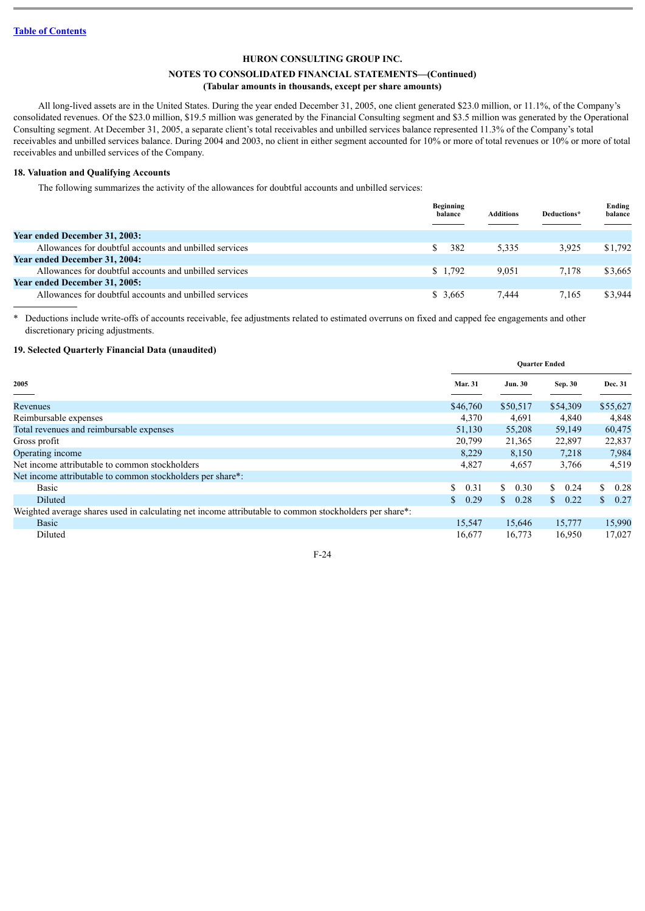# **NOTES TO CONSOLIDATED FINANCIAL STATEMENTS—(Continued) (Tabular amounts in thousands, except per share amounts)**

All long-lived assets are in the United States. During the year ended December 31, 2005, one client generated \$23.0 million, or 11.1%, of the Company's consolidated revenues. Of the \$23.0 million, \$19.5 million was generated by the Financial Consulting segment and \$3.5 million was generated by the Operational Consulting segment. At December 31, 2005, a separate client's total receivables and unbilled services balance represented 11.3% of the Company's total receivables and unbilled services balance. During 2004 and 2003, no client in either segment accounted for 10% or more of total revenues or 10% or more of total receivables and unbilled services of the Company.

# **18. Valuation and Qualifying Accounts**

The following summarizes the activity of the allowances for doubtful accounts and unbilled services:

|                                                        | <b>Beginning</b><br>balance | <b>Additions</b> | Deductions* | Ending<br>balance |
|--------------------------------------------------------|-----------------------------|------------------|-------------|-------------------|
| Year ended December 31, 2003:                          |                             |                  |             |                   |
| Allowances for doubtful accounts and unbilled services | 382                         | 5.335            | 3.925       | \$1.792           |
| Year ended December 31, 2004:                          |                             |                  |             |                   |
| Allowances for doubtful accounts and unbilled services | \$1.792                     | 9.051            | 7.178       | \$3,665           |
| Year ended December 31, 2005:                          |                             |                  |             |                   |
| Allowances for doubtful accounts and unbilled services | \$3.665                     | 7.444            | 7.165       | \$3.944           |

\* Deductions include write-offs of accounts receivable, fee adjustments related to estimated overruns on fixed and capped fee engagements and other discretionary pricing adjustments.

# **19. Selected Quarterly Financial Data (unaudited)**

|                                                                                                        |                        | <b>Quarter Ended</b>  |                |             |  |
|--------------------------------------------------------------------------------------------------------|------------------------|-----------------------|----------------|-------------|--|
| 2005                                                                                                   | <b>Mar. 31</b>         | <b>Jun. 30</b>        | <b>Sep. 30</b> | Dec. 31     |  |
|                                                                                                        |                        |                       |                |             |  |
| Revenues                                                                                               | \$46,760               | \$50,517              | \$54,309       | \$55,627    |  |
| Reimbursable expenses                                                                                  | 4,370                  | 4,691                 | 4,840          | 4,848       |  |
| Total revenues and reimbursable expenses                                                               | 51,130                 | 55,208                | 59,149         | 60,475      |  |
| Gross profit                                                                                           | 20,799                 | 21,365                | 22,897         | 22,837      |  |
| Operating income                                                                                       | 8,229                  | 8,150                 | 7,218          | 7,984       |  |
| Net income attributable to common stockholders                                                         | 4,827                  | 4,657                 | 3,766          | 4,519       |  |
| Net income attributable to common stockholders per share*:                                             |                        |                       |                |             |  |
| Basic                                                                                                  | $\mathbf{s}$<br>0.31   | 0.30<br><sup>\$</sup> | 0.24<br>S.     | S.<br>0.28  |  |
| <b>Diluted</b>                                                                                         | 0.29<br>$\mathbb{S}^-$ | 0.28<br><sup>\$</sup> | 0.22<br>\$.    | \$.<br>0.27 |  |
| Weighted average shares used in calculating net income attributable to common stockholders per share*: |                        |                       |                |             |  |
| <b>Basic</b>                                                                                           | 15,547                 | 15,646                | 15,777         | 15,990      |  |
| Diluted                                                                                                | 16,677                 | 16,773                | 16,950         | 17,027      |  |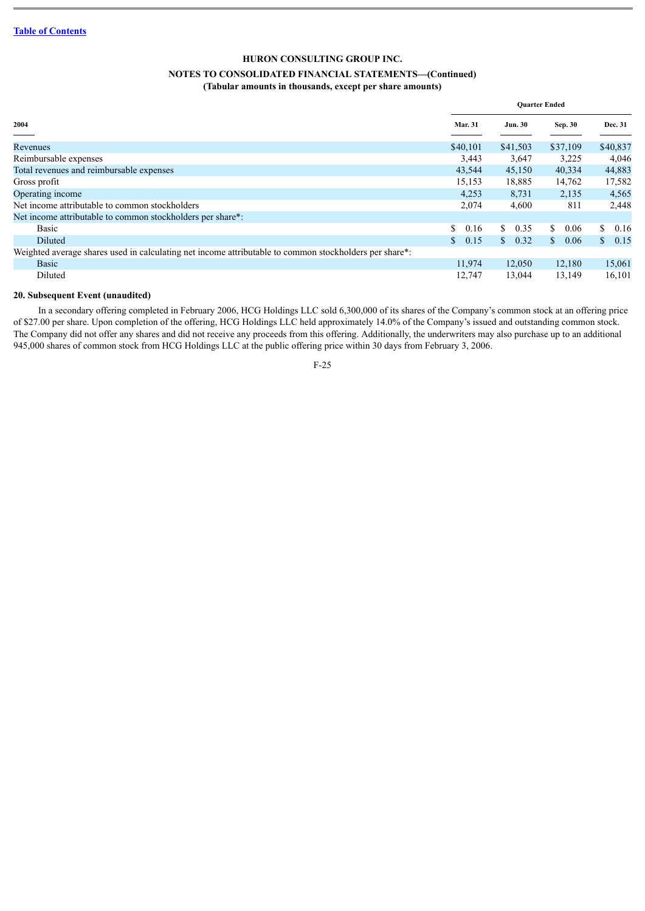# **NOTES TO CONSOLIDATED FINANCIAL STATEMENTS—(Continued) (Tabular amounts in thousands, except per share amounts)**

|                                                                                                        |                | <b>Ouarter Ended</b> |                        |            |  |
|--------------------------------------------------------------------------------------------------------|----------------|----------------------|------------------------|------------|--|
| 2004                                                                                                   | <b>Mar. 31</b> | <b>Jun. 30</b>       | <b>Sep. 30</b>         | Dec. 31    |  |
|                                                                                                        |                |                      |                        |            |  |
| Revenues                                                                                               | \$40,101       | \$41,503             | \$37,109               | \$40,837   |  |
| Reimbursable expenses                                                                                  | 3,443          | 3,647                | 3,225                  | 4,046      |  |
| Total revenues and reimbursable expenses                                                               | 43,544         | 45,150               | 40,334                 | 44,883     |  |
| Gross profit                                                                                           | 15,153         | 18,885               | 14,762                 | 17,582     |  |
| Operating income                                                                                       | 4,253          | 8,731                | 2,135                  | 4,565      |  |
| Net income attributable to common stockholders                                                         | 2,074          | 4,600                | 811                    | 2,448      |  |
| Net income attributable to common stockholders per share*:                                             |                |                      |                        |            |  |
| Basic                                                                                                  | \$.<br>0.16    | 0.35<br>S.           | \$.<br>0.06            | S.<br>0.16 |  |
| Diluted                                                                                                | \$.<br>0.15    | 0.32<br>\$.          | $\mathbb{S}^-$<br>0.06 | 0.15<br>S. |  |
| Weighted average shares used in calculating net income attributable to common stockholders per share*: |                |                      |                        |            |  |
| Basic                                                                                                  | 11,974         | 12,050               | 12,180                 | 15,061     |  |
| Diluted                                                                                                | 12,747         | 13,044               | 13,149                 | 16,101     |  |

# **20. Subsequent Event (unaudited)**

In a secondary offering completed in February 2006, HCG Holdings LLC sold 6,300,000 of its shares of the Company's common stock at an offering price of \$27.00 per share. Upon completion of the offering, HCG Holdings LLC held approximately 14.0% of the Company's issued and outstanding common stock. The Company did not offer any shares and did not receive any proceeds from this offering. Additionally, the underwriters may also purchase up to an additional 945,000 shares of common stock from HCG Holdings LLC at the public offering price within 30 days from February 3, 2006.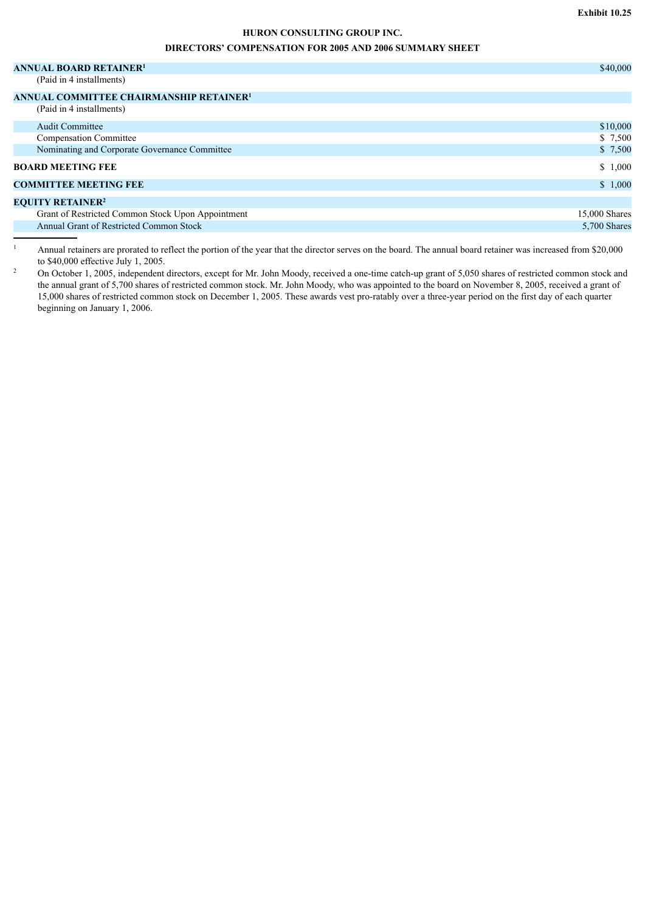# **DIRECTORS' COMPENSATION FOR 2005 AND 2006 SUMMARY SHEET**

| <b>ANNUAL BOARD RETAINER1</b>                       | \$40,000      |
|-----------------------------------------------------|---------------|
| (Paid in 4 installments)                            |               |
| ANNUAL COMMITTEE CHAIRMANSHIP RETAINER <sup>1</sup> |               |
| (Paid in 4 installments)                            |               |
| <b>Audit Committee</b>                              | \$10,000      |
| <b>Compensation Committee</b>                       | \$7,500       |
| Nominating and Corporate Governance Committee       | \$7,500       |
| <b>BOARD MEETING FEE</b>                            | \$1,000       |
| <b>COMMITTEE MEETING FEE</b>                        | \$1,000       |
| <b>EQUITY RETAINER<sup>2</sup></b>                  |               |
| Grant of Restricted Common Stock Upon Appointment   | 15,000 Shares |
| Annual Grant of Restricted Common Stock             | 5.700 Shares  |

<sup>1</sup> Annual retainers are prorated to reflect the portion of the year that the director serves on the board. The annual board retainer was increased from \$20,000 to \$40,000 effective July 1, 2005.

<sup>2</sup> On October 1, 2005, independent directors, except for Mr. John Moody, received a one-time catch-up grant of 5,050 shares of restricted common stock and the annual grant of 5,700 shares of restricted common stock. Mr. John Moody, who was appointed to the board on November 8, 2005, received a grant of 15,000 shares of restricted common stock on December 1, 2005. These awards vest pro-ratably over a three-year period on the first day of each quarter beginning on January 1, 2006.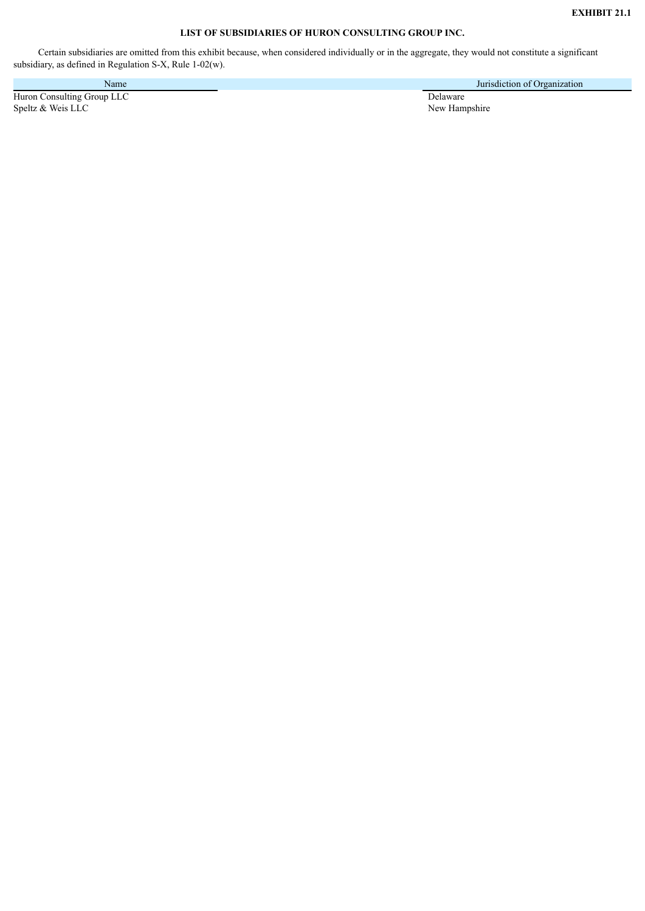# **LIST OF SUBSIDIARIES OF HURON CONSULTING GROUP INC.**

Certain subsidiaries are omitted from this exhibit because, when considered individually or in the aggregate, they would not constitute a significant subsidiary, as defined in Regulation S-X, Rule 1-02(w).

Huron Consulting Group LLC Speltz & Weis LLC

Name Jurisdiction of Organization

Delaware New Hampshire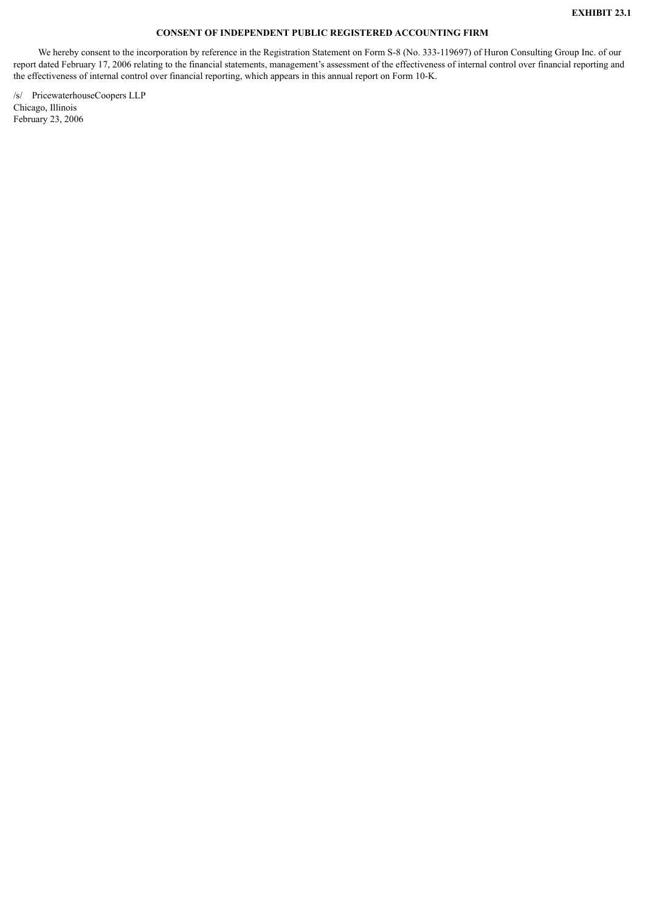## **CONSENT OF INDEPENDENT PUBLIC REGISTERED ACCOUNTING FIRM**

We hereby consent to the incorporation by reference in the Registration Statement on Form S-8 (No. 333-119697) of Huron Consulting Group Inc. of our report dated February 17, 2006 relating to the financial statements, management's assessment of the effectiveness of internal control over financial reporting and the effectiveness of internal control over financial reporting, which appears in this annual report on Form 10-K.

/s/ PricewaterhouseCoopers LLP Chicago, Illinois February 23, 2006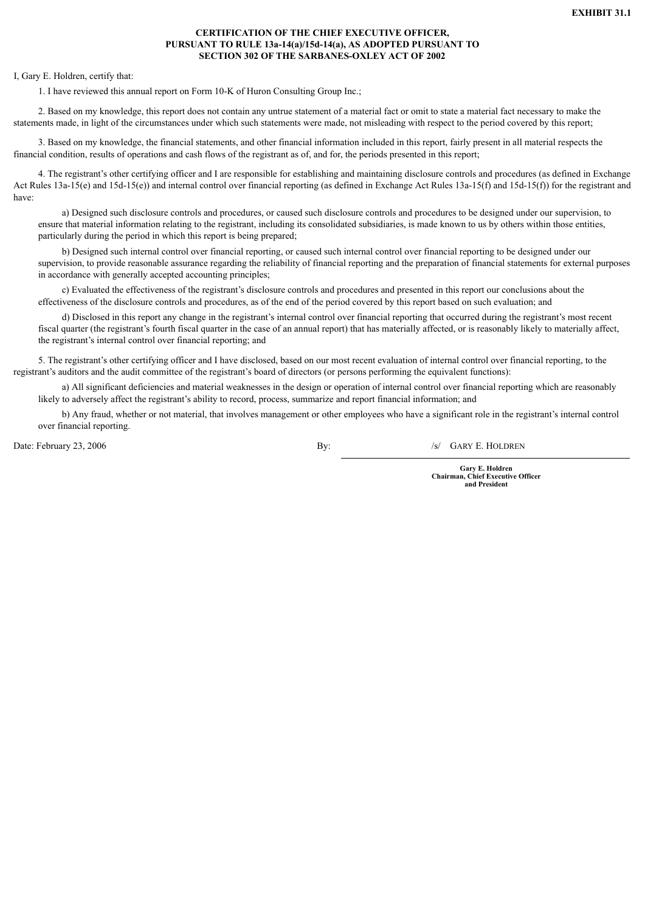#### **CERTIFICATION OF THE CHIEF EXECUTIVE OFFICER, PURSUANT TO RULE 13a-14(a)/15d-14(a), AS ADOPTED PURSUANT TO SECTION 302 OF THE SARBANES-OXLEY ACT OF 2002**

I, Gary E. Holdren, certify that:

1. I have reviewed this annual report on Form 10-K of Huron Consulting Group Inc.;

2. Based on my knowledge, this report does not contain any untrue statement of a material fact or omit to state a material fact necessary to make the statements made, in light of the circumstances under which such statements were made, not misleading with respect to the period covered by this report;

3. Based on my knowledge, the financial statements, and other financial information included in this report, fairly present in all material respects the financial condition, results of operations and cash flows of the registrant as of, and for, the periods presented in this report;

4. The registrant's other certifying officer and I are responsible for establishing and maintaining disclosure controls and procedures (as defined in Exchange Act Rules 13a-15(e) and 15d-15(e)) and internal control over financial reporting (as defined in Exchange Act Rules 13a-15(f) and 15d-15(f)) for the registrant and have:

a) Designed such disclosure controls and procedures, or caused such disclosure controls and procedures to be designed under our supervision, to ensure that material information relating to the registrant, including its consolidated subsidiaries, is made known to us by others within those entities, particularly during the period in which this report is being prepared;

b) Designed such internal control over financial reporting, or caused such internal control over financial reporting to be designed under our supervision, to provide reasonable assurance regarding the reliability of financial reporting and the preparation of financial statements for external purposes in accordance with generally accepted accounting principles;

c) Evaluated the effectiveness of the registrant's disclosure controls and procedures and presented in this report our conclusions about the effectiveness of the disclosure controls and procedures, as of the end of the period covered by this report based on such evaluation; and

d) Disclosed in this report any change in the registrant's internal control over financial reporting that occurred during the registrant's most recent fiscal quarter (the registrant's fourth fiscal quarter in the case of an annual report) that has materially affected, or is reasonably likely to materially affect, the registrant's internal control over financial reporting; and

5. The registrant's other certifying officer and I have disclosed, based on our most recent evaluation of internal control over financial reporting, to the registrant's auditors and the audit committee of the registrant's board of directors (or persons performing the equivalent functions):

a) All significant deficiencies and material weaknesses in the design or operation of internal control over financial reporting which are reasonably likely to adversely affect the registrant's ability to record, process, summarize and report financial information; and

b) Any fraud, whether or not material, that involves management or other employees who have a significant role in the registrant's internal control over financial reporting.

Date: February 23, 2006 By: /s/ GARY E. HOLDREN

**Gary E. Holdren Chairman, Chief Executive Officer and President**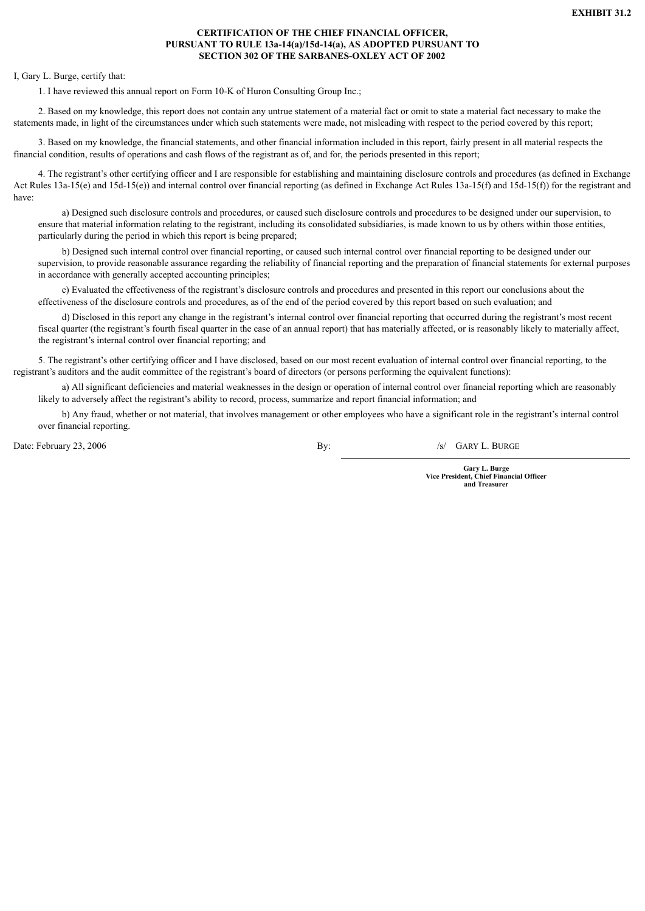#### **CERTIFICATION OF THE CHIEF FINANCIAL OFFICER, PURSUANT TO RULE 13a-14(a)/15d-14(a), AS ADOPTED PURSUANT TO SECTION 302 OF THE SARBANES-OXLEY ACT OF 2002**

I, Gary L. Burge, certify that:

1. I have reviewed this annual report on Form 10-K of Huron Consulting Group Inc.;

2. Based on my knowledge, this report does not contain any untrue statement of a material fact or omit to state a material fact necessary to make the statements made, in light of the circumstances under which such statements were made, not misleading with respect to the period covered by this report;

3. Based on my knowledge, the financial statements, and other financial information included in this report, fairly present in all material respects the financial condition, results of operations and cash flows of the registrant as of, and for, the periods presented in this report;

4. The registrant's other certifying officer and I are responsible for establishing and maintaining disclosure controls and procedures (as defined in Exchange Act Rules 13a-15(e) and 15d-15(e)) and internal control over financial reporting (as defined in Exchange Act Rules 13a-15(f) and 15d-15(f)) for the registrant and have:

a) Designed such disclosure controls and procedures, or caused such disclosure controls and procedures to be designed under our supervision, to ensure that material information relating to the registrant, including its consolidated subsidiaries, is made known to us by others within those entities, particularly during the period in which this report is being prepared;

b) Designed such internal control over financial reporting, or caused such internal control over financial reporting to be designed under our supervision, to provide reasonable assurance regarding the reliability of financial reporting and the preparation of financial statements for external purposes in accordance with generally accepted accounting principles;

c) Evaluated the effectiveness of the registrant's disclosure controls and procedures and presented in this report our conclusions about the effectiveness of the disclosure controls and procedures, as of the end of the period covered by this report based on such evaluation; and

d) Disclosed in this report any change in the registrant's internal control over financial reporting that occurred during the registrant's most recent fiscal quarter (the registrant's fourth fiscal quarter in the case of an annual report) that has materially affected, or is reasonably likely to materially affect, the registrant's internal control over financial reporting; and

5. The registrant's other certifying officer and I have disclosed, based on our most recent evaluation of internal control over financial reporting, to the registrant's auditors and the audit committee of the registrant's board of directors (or persons performing the equivalent functions):

a) All significant deficiencies and material weaknesses in the design or operation of internal control over financial reporting which are reasonably likely to adversely affect the registrant's ability to record, process, summarize and report financial information; and

b) Any fraud, whether or not material, that involves management or other employees who have a significant role in the registrant's internal control over financial reporting.

Date: February 23, 2006 **By:** /s/ GARY L. BURGE

**Gary L. Burge Vice President, Chief Financial Officer and Treasurer**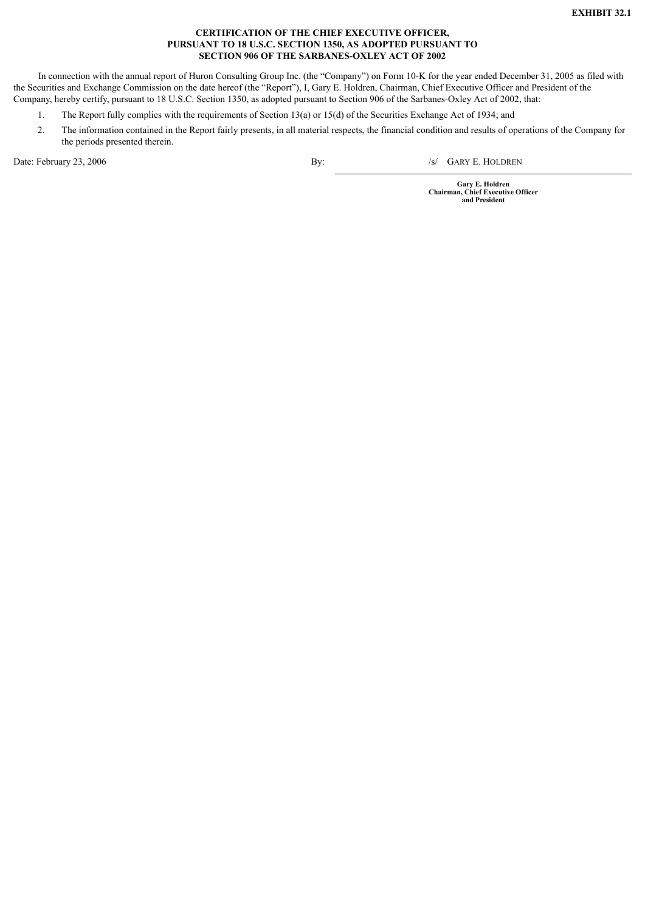### **CERTIFICATION OF THE CHIEF EXECUTIVE OFFICER, PURSUANT TO 18 U.S.C. SECTION 1350, AS ADOPTED PURSUANT TO SECTION 906 OF THE SARBANES-OXLEY ACT OF 2002**

In connection with the annual report of Huron Consulting Group Inc. (the "Company") on Form 10-K for the year ended December 31, 2005 as filed with the Securities and Exchange Commission on the date hereof (the "Report"), I, Gary E. Holdren, Chairman, Chief Executive Officer and President of the Company, hereby certify, pursuant to 18 U.S.C. Section 1350, as adopted pursuant to Section 906 of the Sarbanes-Oxley Act of 2002, that:

- 1. The Report fully complies with the requirements of Section 13(a) or 15(d) of the Securities Exchange Act of 1934; and
- 2. The information contained in the Report fairly presents, in all material respects, the financial condition and results of operations of the Company for the periods presented therein.

Date: February 23, 2006 By: /s/ GARY E. HOLDREN

**Gary E. Holdren Chairman, Chief Executive Officer and President**